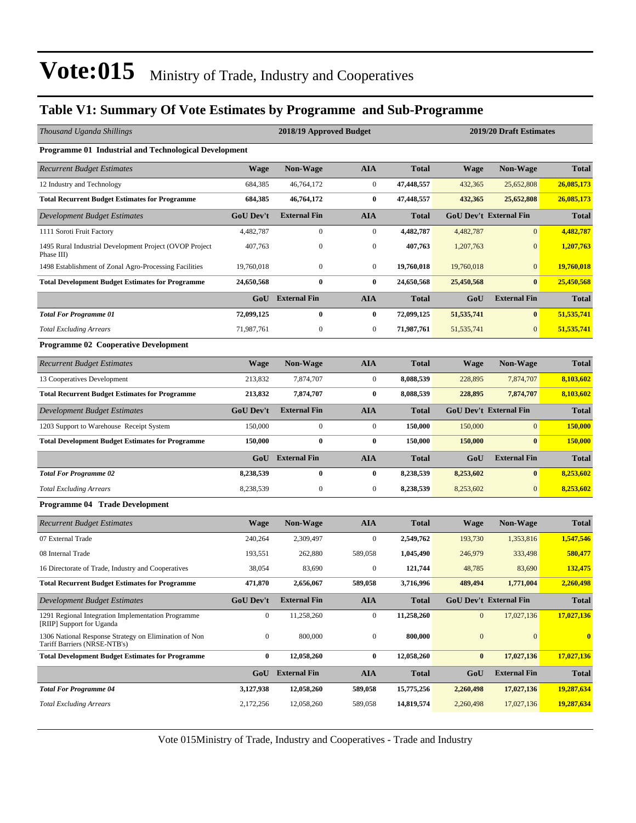#### **Table V1: Summary Of Vote Estimates by Programme and Sub-Programme**

| Thousand Uganda Shillings                                                             |                  | 2018/19 Approved Budget |                  |              |                  | 2019/20 Draft Estimates       |              |  |  |  |  |  |
|---------------------------------------------------------------------------------------|------------------|-------------------------|------------------|--------------|------------------|-------------------------------|--------------|--|--|--|--|--|
| Programme 01 Industrial and Technological Development                                 |                  |                         |                  |              |                  |                               |              |  |  |  |  |  |
| <b>Recurrent Budget Estimates</b>                                                     | <b>Wage</b>      | <b>Non-Wage</b>         | <b>AIA</b>       | <b>Total</b> | <b>Wage</b>      | <b>Non-Wage</b>               | <b>Total</b> |  |  |  |  |  |
| 12 Industry and Technology                                                            | 684,385          | 46,764,172              | $\boldsymbol{0}$ | 47,448,557   | 432,365          | 25,652,808                    | 26,085,173   |  |  |  |  |  |
| <b>Total Recurrent Budget Estimates for Programme</b>                                 | 684,385          | 46,764,172              | $\bf{0}$         | 47,448,557   | 432,365          | 25,652,808                    | 26,085,173   |  |  |  |  |  |
| Development Budget Estimates                                                          | <b>GoU Dev't</b> | <b>External Fin</b>     | <b>AIA</b>       | <b>Total</b> |                  | <b>GoU Dev't External Fin</b> | <b>Total</b> |  |  |  |  |  |
| 1111 Soroti Fruit Factory                                                             | 4,482,787        | $\overline{0}$          | $\boldsymbol{0}$ | 4,482,787    | 4,482,787        | $\overline{0}$                | 4,482,787    |  |  |  |  |  |
| 1495 Rural Industrial Development Project (OVOP Project<br>Phase III)                 | 407,763          | $\boldsymbol{0}$        | $\boldsymbol{0}$ | 407,763      | 1,207,763        | $\boldsymbol{0}$              | 1,207,763    |  |  |  |  |  |
| 1498 Establishment of Zonal Agro-Processing Facilities                                | 19,760,018       | $\boldsymbol{0}$        | $\boldsymbol{0}$ | 19,760,018   | 19,760,018       | $\overline{0}$                | 19,760,018   |  |  |  |  |  |
| <b>Total Development Budget Estimates for Programme</b>                               | 24,650,568       | $\bf{0}$                | $\bf{0}$         | 24,650,568   | 25,450,568       | $\bf{0}$                      | 25,450,568   |  |  |  |  |  |
|                                                                                       |                  | <b>GoU</b> External Fin | <b>AIA</b>       | <b>Total</b> | GoU              | <b>External Fin</b>           | <b>Total</b> |  |  |  |  |  |
| <b>Total For Programme 01</b>                                                         | 72,099,125       | $\bf{0}$                | $\bf{0}$         | 72,099,125   | 51, 535, 741     | $\bf{0}$                      | 51,535,741   |  |  |  |  |  |
| <b>Total Excluding Arrears</b>                                                        | 71,987,761       | $\boldsymbol{0}$        | $\boldsymbol{0}$ | 71,987,761   | 51, 535, 741     | $\mathbf{0}$                  | 51,535,741   |  |  |  |  |  |
| <b>Programme 02 Cooperative Development</b>                                           |                  |                         |                  |              |                  |                               |              |  |  |  |  |  |
| <b>Recurrent Budget Estimates</b>                                                     | Wage             | <b>Non-Wage</b>         | <b>AIA</b>       | <b>Total</b> | <b>Wage</b>      | <b>Non-Wage</b>               | <b>Total</b> |  |  |  |  |  |
| 13 Cooperatives Development                                                           | 213,832          | 7,874,707               | $\boldsymbol{0}$ | 8,088,539    | 228,895          | 7,874,707                     | 8,103,602    |  |  |  |  |  |
| <b>Total Recurrent Budget Estimates for Programme</b>                                 | 213,832          | 7,874,707               | $\bf{0}$         | 8,088,539    | 228,895          | 7,874,707                     | 8,103,602    |  |  |  |  |  |
| Development Budget Estimates                                                          | <b>GoU Dev't</b> | <b>External Fin</b>     | <b>AIA</b>       | <b>Total</b> |                  | <b>GoU Dev't External Fin</b> | <b>Total</b> |  |  |  |  |  |
| 1203 Support to Warehouse Receipt System                                              | 150,000          | $\boldsymbol{0}$        | $\boldsymbol{0}$ | 150,000      | 150,000          | $\mathbf{0}$                  | 150,000      |  |  |  |  |  |
| <b>Total Development Budget Estimates for Programme</b>                               | 150,000          | $\bf{0}$                | $\bf{0}$         | 150,000      | 150,000          | $\bf{0}$                      | 150,000      |  |  |  |  |  |
|                                                                                       | GoU              | <b>External Fin</b>     | <b>AIA</b>       | <b>Total</b> | GoU              | <b>External Fin</b>           | <b>Total</b> |  |  |  |  |  |
| <b>Total For Programme 02</b>                                                         | 8,238,539        | $\bf{0}$                | $\bf{0}$         | 8,238,539    | 8,253,602        | $\bf{0}$                      | 8,253,602    |  |  |  |  |  |
| <b>Total Excluding Arrears</b>                                                        | 8,238,539        | $\boldsymbol{0}$        | $\boldsymbol{0}$ | 8,238,539    | 8,253,602        | $\mathbf{0}$                  | 8,253,602    |  |  |  |  |  |
| Programme 04 Trade Development                                                        |                  |                         |                  |              |                  |                               |              |  |  |  |  |  |
| <b>Recurrent Budget Estimates</b>                                                     | <b>Wage</b>      | <b>Non-Wage</b>         | <b>AIA</b>       | <b>Total</b> | Wage             | <b>Non-Wage</b>               | <b>Total</b> |  |  |  |  |  |
| 07 External Trade                                                                     | 240,264          | 2,309,497               | $\boldsymbol{0}$ | 2,549,762    | 193,730          | 1.353.816                     | 1,547,546    |  |  |  |  |  |
| 08 Internal Trade                                                                     | 193,551          | 262,880                 | 589,058          | 1,045,490    | 246,979          | 333,498                       | 580,477      |  |  |  |  |  |
| 16 Directorate of Trade, Industry and Cooperatives                                    | 38,054           | 83,690                  | $\boldsymbol{0}$ | 121,744      | 48,785           | 83,690                        | 132,475      |  |  |  |  |  |
| <b>Total Recurrent Budget Estimates for Programme</b>                                 | 471,870          | 2,656,067               | 589,058          | 3.716.996    | 489,494          | 1,771,004                     | 2,260,498    |  |  |  |  |  |
| Development Budget Estimates                                                          | <b>GoU Dev't</b> | <b>External Fin</b>     | <b>AIA</b>       | <b>Total</b> |                  | <b>GoU Dev't External Fin</b> | <b>Total</b> |  |  |  |  |  |
| 1291 Regional Integration Implementation Programme<br>[RIIP] Support for Uganda       | $\boldsymbol{0}$ | 11,258,260              | $\boldsymbol{0}$ | 11,258,260   | $\boldsymbol{0}$ | 17,027,136                    | 17,027,136   |  |  |  |  |  |
| 1306 National Response Strategy on Elimination of Non<br>Tariff Barriers (NRSE-NTB's) | $\boldsymbol{0}$ | 800,000                 | $\boldsymbol{0}$ | 800,000      | $\mathbf{0}$     | $\mathbf{0}$                  | $\bf{0}$     |  |  |  |  |  |
| <b>Total Development Budget Estimates for Programme</b>                               | $\bf{0}$         | 12,058,260              | $\bf{0}$         | 12,058,260   | $\bf{0}$         | 17,027,136                    | 17,027,136   |  |  |  |  |  |
|                                                                                       |                  | GoU External Fin        | AIA              | <b>Total</b> | GoU              | <b>External Fin</b>           | <b>Total</b> |  |  |  |  |  |
| <b>Total For Programme 04</b>                                                         | 3,127,938        | 12,058,260              | 589,058          | 15,775,256   | 2,260,498        | 17,027,136                    | 19,287,634   |  |  |  |  |  |
| <b>Total Excluding Arrears</b>                                                        | 2,172,256        | 12,058,260              | 589,058          | 14,819,574   | 2,260,498        | 17,027,136                    | 19,287,634   |  |  |  |  |  |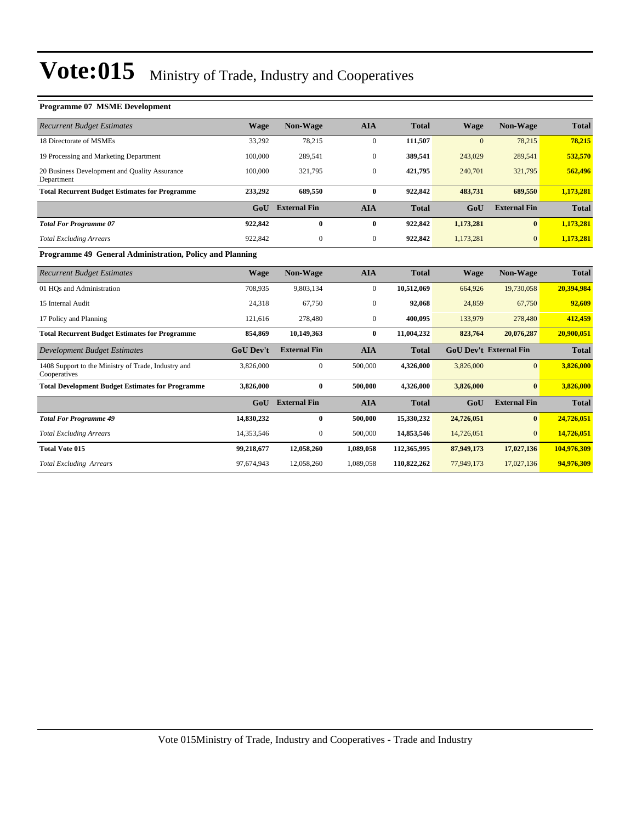| <b>Programme 07 MSME Development</b>                                |                  |                     |                  |              |             |                               |              |
|---------------------------------------------------------------------|------------------|---------------------|------------------|--------------|-------------|-------------------------------|--------------|
| <b>Recurrent Budget Estimates</b>                                   | <b>Wage</b>      | Non-Wage            | <b>AIA</b>       | <b>Total</b> | <b>Wage</b> | Non-Wage                      | <b>Total</b> |
| 18 Directorate of MSMEs                                             | 33,292           | 78,215              | $\overline{0}$   | 111,507      | $\Omega$    | 78,215                        | 78,215       |
| 19 Processing and Marketing Department                              | 100,000          | 289,541             | $\mathbf{0}$     | 389,541      | 243,029     | 289,541                       | 532,570      |
| 20 Business Development and Quality Assurance<br>Department         | 100,000          | 321,795             | $\overline{0}$   | 421,795      | 240,701     | 321,795                       | 562,496      |
| <b>Total Recurrent Budget Estimates for Programme</b>               | 233,292          | 689,550             | $\bf{0}$         | 922,842      | 483,731     | 689,550                       | 1,173,281    |
|                                                                     | Gol              | <b>External Fin</b> | <b>AIA</b>       | <b>Total</b> | GoU         | <b>External Fin</b>           | <b>Total</b> |
| <b>Total For Programme 07</b>                                       | 922,842          | $\bf{0}$            | $\bf{0}$         | 922,842      | 1,173,281   | $\bf{0}$                      | 1,173,281    |
| <b>Total Excluding Arrears</b>                                      | 922,842          | $\mathbf{0}$        | $\boldsymbol{0}$ | 922,842      | 1,173,281   | $\overline{0}$                | 1,173,281    |
| Programme 49 General Administration, Policy and Planning            |                  |                     |                  |              |             |                               |              |
| <b>Recurrent Budget Estimates</b>                                   | Wage             | Non-Wage            | <b>AIA</b>       | <b>Total</b> | <b>Wage</b> | <b>Non-Wage</b>               | <b>Total</b> |
| 01 HQs and Administration                                           | 708,935          | 9,803,134           | $\overline{0}$   | 10,512,069   | 664,926     | 19,730,058                    | 20,394,984   |
| 15 Internal Audit                                                   | 24.318           | 67.750              | $\overline{0}$   | 92,068       | 24.859      | 67,750                        | 92,609       |
| 17 Policy and Planning                                              | 121,616          | 278,480             | $\overline{0}$   | 400,095      | 133,979     | 278,480                       | 412,459      |
| <b>Total Recurrent Budget Estimates for Programme</b>               | 854,869          | 10,149,363          | $\mathbf{0}$     | 11,004,232   | 823,764     | 20,076,287                    | 20,900,051   |
| <b>Development Budget Estimates</b>                                 | <b>GoU Dev't</b> | <b>External Fin</b> | <b>AIA</b>       | <b>Total</b> |             | <b>GoU Dev't External Fin</b> | <b>Total</b> |
| 1408 Support to the Ministry of Trade, Industry and<br>Cooperatives | 3,826,000        | $\overline{0}$      | 500,000          | 4,326,000    | 3,826,000   | $\overline{0}$                | 3,826,000    |
| <b>Total Development Budget Estimates for Programme</b>             | 3,826,000        | $\bf{0}$            | 500,000          | 4,326,000    | 3,826,000   | $\mathbf{0}$                  | 3,826,000    |
|                                                                     | GoU              | <b>External Fin</b> | <b>AIA</b>       | <b>Total</b> | GoU         | <b>External Fin</b>           | <b>Total</b> |
| <b>Total For Programme 49</b>                                       | 14,830,232       | $\bf{0}$            | 500,000          | 15,330,232   | 24,726,051  | $\mathbf{0}$                  | 24,726,051   |
| <b>Total Excluding Arrears</b>                                      | 14,353,546       | $\mathbf{0}$        | 500,000          | 14,853,546   | 14,726,051  | $\Omega$                      | 14,726,051   |
| <b>Total Vote 015</b>                                               | 99,218,677       | 12,058,260          | 1,089,058        | 112,365,995  | 87,949,173  | 17,027,136                    | 104,976,309  |
| <b>Total Excluding Arrears</b>                                      | 97,674,943       | 12,058,260          | 1,089,058        | 110,822,262  | 77,949,173  | 17,027,136                    | 94,976,309   |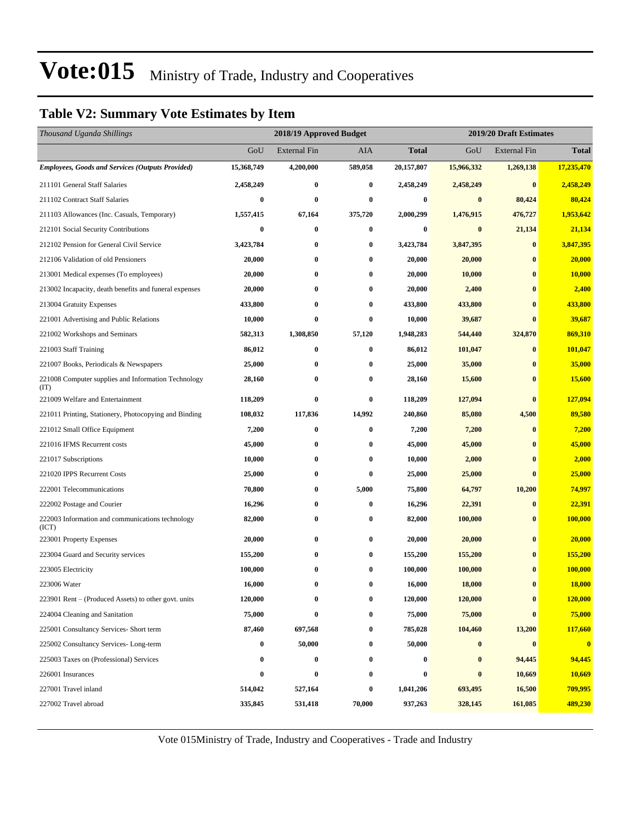#### **Table V2: Summary Vote Estimates by Item**

| Thousand Uganda Shillings                                   |            | 2018/19 Approved Budget |          |              | 2019/20 Draft Estimates |                     |              |  |
|-------------------------------------------------------------|------------|-------------------------|----------|--------------|-------------------------|---------------------|--------------|--|
|                                                             | GoU        | <b>External Fin</b>     | AIA      | <b>Total</b> | GoU                     | <b>External Fin</b> | <b>Total</b> |  |
| <b>Employees, Goods and Services (Outputs Provided)</b>     | 15,368,749 | 4,200,000               | 589,058  | 20,157,807   | 15,966,332              | 1,269,138           | 17,235,470   |  |
| 211101 General Staff Salaries                               | 2,458,249  | $\bf{0}$                | 0        | 2,458,249    | 2,458,249               | $\bf{0}$            | 2,458,249    |  |
| 211102 Contract Staff Salaries                              | $\bf{0}$   | $\bf{0}$                | 0        | 0            | $\bf{0}$                | 80,424              | 80,424       |  |
| 211103 Allowances (Inc. Casuals, Temporary)                 | 1,557,415  | 67,164                  | 375,720  | 2,000,299    | 1,476,915               | 476,727             | 1,953,642    |  |
| 212101 Social Security Contributions                        | 0          | $\bf{0}$                | 0        | 0            | $\bf{0}$                | 21,134              | 21,134       |  |
| 212102 Pension for General Civil Service                    | 3,423,784  | $\bf{0}$                | $\bf{0}$ | 3,423,784    | 3,847,395               | $\bf{0}$            | 3,847,395    |  |
| 212106 Validation of old Pensioners                         | 20,000     | $\bf{0}$                | 0        | 20,000       | 20,000                  | $\bf{0}$            | 20,000       |  |
| 213001 Medical expenses (To employees)                      | 20,000     | $\bf{0}$                | $\bf{0}$ | 20,000       | 10,000                  | $\bf{0}$            | 10,000       |  |
| 213002 Incapacity, death benefits and funeral expenses      | 20,000     | $\bf{0}$                | $\bf{0}$ | 20,000       | 2,400                   | $\bf{0}$            | 2,400        |  |
| 213004 Gratuity Expenses                                    | 433,800    | $\bf{0}$                | 0        | 433,800      | 433,800                 | $\bf{0}$            | 433,800      |  |
| 221001 Advertising and Public Relations                     | 10,000     | $\bf{0}$                | $\bf{0}$ | 10,000       | 39,687                  | $\bf{0}$            | 39,687       |  |
| 221002 Workshops and Seminars                               | 582,313    | 1,308,850               | 57,120   | 1,948,283    | 544,440                 | 324,870             | 869,310      |  |
| 221003 Staff Training                                       | 86,012     | $\bf{0}$                | $\bf{0}$ | 86,012       | 101,047                 | $\bf{0}$            | 101,047      |  |
| 221007 Books, Periodicals & Newspapers                      | 25,000     | $\bf{0}$                | 0        | 25,000       | 35,000                  | $\bf{0}$            | 35,000       |  |
| 221008 Computer supplies and Information Technology<br>(TT) | 28,160     | $\bf{0}$                | 0        | 28,160       | 15,600                  | $\bf{0}$            | 15,600       |  |
| 221009 Welfare and Entertainment                            | 118,209    | $\bf{0}$                | 0        | 118,209      | 127,094                 | $\bf{0}$            | 127,094      |  |
| 221011 Printing, Stationery, Photocopying and Binding       | 108,032    | 117,836                 | 14,992   | 240,860      | 85,080                  | 4,500               | 89,580       |  |
| 221012 Small Office Equipment                               | 7,200      | $\bf{0}$                | $\bf{0}$ | 7,200        | 7,200                   | $\bf{0}$            | 7,200        |  |
| 221016 IFMS Recurrent costs                                 | 45,000     | $\bf{0}$                | $\bf{0}$ | 45,000       | 45,000                  | $\bf{0}$            | 45,000       |  |
| 221017 Subscriptions                                        | 10,000     | $\bf{0}$                | $\bf{0}$ | 10,000       | 2,000                   | $\bf{0}$            | 2,000        |  |
| 221020 IPPS Recurrent Costs                                 | 25,000     | $\bf{0}$                | $\bf{0}$ | 25,000       | 25,000                  | $\bf{0}$            | 25,000       |  |
| 222001 Telecommunications                                   | 70,800     | $\bf{0}$                | 5,000    | 75,800       | 64,797                  | 10,200              | 74,997       |  |
| 222002 Postage and Courier                                  | 16,296     | $\bf{0}$                | $\bf{0}$ | 16,296       | 22,391                  | $\bf{0}$            | 22,391       |  |
| 222003 Information and communications technology<br>(ICT)   | 82,000     | $\bf{0}$                | $\bf{0}$ | 82,000       | 100,000                 | $\bf{0}$            | 100,000      |  |
| 223001 Property Expenses                                    | 20,000     | $\bf{0}$                | $\bf{0}$ | 20,000       | 20,000                  | $\bf{0}$            | 20,000       |  |
| 223004 Guard and Security services                          | 155,200    | $\bf{0}$                | $\bf{0}$ | 155,200      | 155,200                 | $\bf{0}$            | 155,200      |  |
| 223005 Electricity                                          | 100,000    | $\bf{0}$                | $\bf{0}$ | 100,000      | 100,000                 | $\bf{0}$            | 100,000      |  |
| 223006 Water                                                | 16,000     | $\bf{0}$                | $\bf{0}$ | 16,000       | 18,000                  | $\bf{0}$            | 18,000       |  |
| 223901 Rent – (Produced Assets) to other govt. units        | 120,000    | $\bf{0}$                | $\bf{0}$ | 120,000      | 120,000                 | $\bf{0}$            | 120,000      |  |
| 224004 Cleaning and Sanitation                              | 75,000     | $\bf{0}$                | 0        | 75,000       | 75,000                  | $\bf{0}$            | 75,000       |  |
| 225001 Consultancy Services- Short term                     | 87,460     | 697,568                 | $\bf{0}$ | 785,028      | 104,460                 | 13,200              | 117,660      |  |
| 225002 Consultancy Services-Long-term                       | $\bf{0}$   | 50,000                  | 0        | 50,000       | $\bf{0}$                | $\bf{0}$            | $\mathbf{0}$ |  |
| 225003 Taxes on (Professional) Services                     | 0          | $\bf{0}$                | 0        | $\bf{0}$     | $\bf{0}$                | 94,445              | 94,445       |  |
| 226001 Insurances                                           | $\bf{0}$   | $\bf{0}$                | 0        | 0            | $\bf{0}$                | 10,669              | 10,669       |  |
| 227001 Travel inland                                        | 514,042    | 527,164                 | 0        | 1,041,206    | 693,495                 | 16,500              | 709,995      |  |
| 227002 Travel abroad                                        | 335,845    | 531,418                 | 70,000   | 937,263      | 328,145                 | 161,085             | 489,230      |  |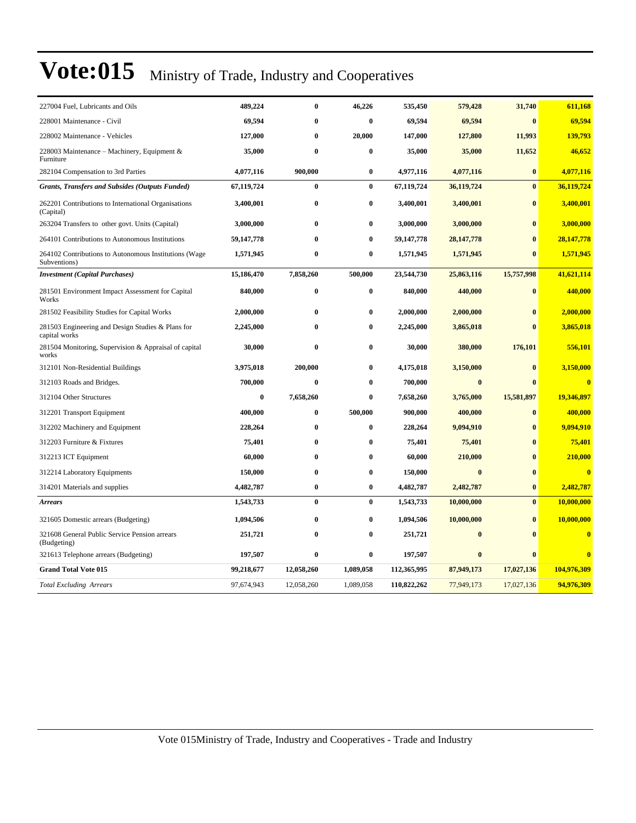| 227004 Fuel, Lubricants and Oils                                      | 489,224    | $\bf{0}$     | 46,226    | 535,450     | 579,428      | 31,740       | 611,168                 |
|-----------------------------------------------------------------------|------------|--------------|-----------|-------------|--------------|--------------|-------------------------|
| 228001 Maintenance - Civil                                            | 69,594     | $\bf{0}$     | 0         | 69,594      | 69,594       | $\bf{0}$     | 69,594                  |
| 228002 Maintenance - Vehicles                                         | 127,000    | $\bf{0}$     | 20,000    | 147,000     | 127,800      | 11,993       | 139,793                 |
| 228003 Maintenance – Machinery, Equipment $\&$<br>Furniture           | 35,000     | $\bf{0}$     | 0         | 35,000      | 35,000       | 11,652       | 46,652                  |
| 282104 Compensation to 3rd Parties                                    | 4,077,116  | 900,000      | 0         | 4,977,116   | 4,077,116    | $\bf{0}$     | 4,077,116               |
| <b>Grants, Transfers and Subsides (Outputs Funded)</b>                | 67,119,724 | $\bf{0}$     | $\bf{0}$  | 67,119,724  | 36,119,724   | $\bf{0}$     | 36,119,724              |
| 262201 Contributions to International Organisations<br>(Capital)      | 3,400,001  | $\bf{0}$     | $\bf{0}$  | 3,400,001   | 3,400,001    | $\bf{0}$     | 3,400,001               |
| 263204 Transfers to other govt. Units (Capital)                       | 3,000,000  | $\bf{0}$     | 0         | 3,000,000   | 3,000,000    | $\bf{0}$     | 3,000,000               |
| 264101 Contributions to Autonomous Institutions                       | 59,147,778 | $\mathbf{0}$ | 0         | 59,147,778  | 28, 147, 778 | $\mathbf{0}$ | 28,147,778              |
| 264102 Contributions to Autonomous Institutions (Wage<br>Subventions) | 1,571,945  | $\bf{0}$     | 0         | 1,571,945   | 1,571,945    | $\mathbf{0}$ | 1,571,945               |
| <b>Investment (Capital Purchases)</b>                                 | 15,186,470 | 7,858,260    | 500,000   | 23,544,730  | 25,863,116   | 15,757,998   | 41,621,114              |
| 281501 Environment Impact Assessment for Capital<br>Works             | 840,000    | $\bf{0}$     | 0         | 840,000     | 440,000      | $\bf{0}$     | 440,000                 |
| 281502 Feasibility Studies for Capital Works                          | 2,000,000  | $\bf{0}$     | 0         | 2,000,000   | 2,000,000    | $\bf{0}$     | 2,000,000               |
| 281503 Engineering and Design Studies & Plans for<br>capital works    | 2,245,000  | $\bf{0}$     | $\bf{0}$  | 2,245,000   | 3,865,018    | $\mathbf{0}$ | 3,865,018               |
| 281504 Monitoring, Supervision & Appraisal of capital<br>works        | 30,000     | $\bf{0}$     | 0         | 30,000      | 380,000      | 176,101      | 556,101                 |
| 312101 Non-Residential Buildings                                      | 3,975,018  | 200,000      | 0         | 4,175,018   | 3,150,000    | $\bf{0}$     | 3,150,000               |
| 312103 Roads and Bridges.                                             | 700,000    | $\bf{0}$     | 0         | 700,000     | $\bf{0}$     | $\mathbf{0}$ | $\mathbf{0}$            |
| 312104 Other Structures                                               | $\bf{0}$   | 7,658,260    | 0         | 7,658,260   | 3,765,000    | 15,581,897   | 19,346,897              |
| 312201 Transport Equipment                                            | 400,000    | $\bf{0}$     | 500,000   | 900,000     | 400,000      | $\bf{0}$     | 400,000                 |
| 312202 Machinery and Equipment                                        | 228,264    | $\bf{0}$     | 0         | 228,264     | 9,094,910    | $\bf{0}$     | 9,094,910               |
| 312203 Furniture & Fixtures                                           | 75,401     | $\bf{0}$     | 0         | 75,401      | 75,401       | $\bf{0}$     | 75,401                  |
| 312213 ICT Equipment                                                  | 60,000     | $\bf{0}$     | 0         | 60,000      | 210,000      | $\bf{0}$     | 210,000                 |
| 312214 Laboratory Equipments                                          | 150,000    | $\bf{0}$     | 0         | 150,000     | $\bf{0}$     | $\bf{0}$     | $\bf{0}$                |
| 314201 Materials and supplies                                         | 4,482,787  | $\bf{0}$     | $\bf{0}$  | 4,482,787   | 2,482,787    | $\bf{0}$     | 2,482,787               |
| <b>Arrears</b>                                                        | 1,543,733  | $\bf{0}$     | $\bf{0}$  | 1,543,733   | 10,000,000   | $\bf{0}$     | 10,000,000              |
| 321605 Domestic arrears (Budgeting)                                   | 1,094,506  | $\bf{0}$     | 0         | 1,094,506   | 10,000,000   | $\bf{0}$     | 10,000,000              |
| 321608 General Public Service Pension arrears<br>(Budgeting)          | 251,721    | $\bf{0}$     | $\bf{0}$  | 251,721     | $\bf{0}$     | $\mathbf{0}$ | $\bf{0}$                |
| 321613 Telephone arrears (Budgeting)                                  | 197,507    | $\bf{0}$     | $\bf{0}$  | 197,507     | $\bf{0}$     | $\bf{0}$     | $\overline{\mathbf{0}}$ |
| <b>Grand Total Vote 015</b>                                           | 99,218,677 | 12,058,260   | 1,089,058 | 112,365,995 | 87,949,173   | 17,027,136   | 104,976,309             |
| <b>Total Excluding Arrears</b>                                        | 97,674,943 | 12,058,260   | 1,089,058 | 110,822,262 | 77,949,173   | 17,027,136   | 94,976,309              |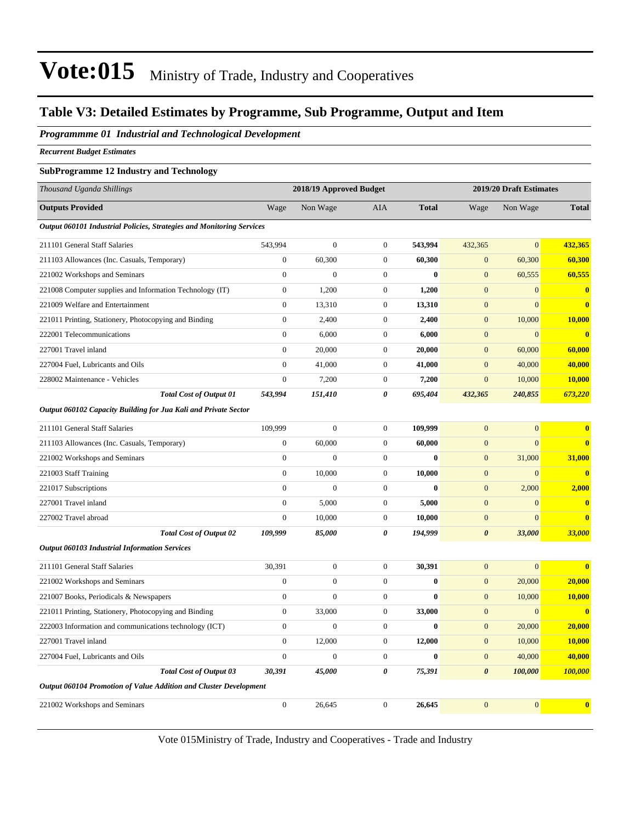#### **Table V3: Detailed Estimates by Programme, Sub Programme, Output and Item**

#### *Programmme 01 Industrial and Technological Development*

*Recurrent Budget Estimates*

#### **SubProgramme 12 Industry and Technology**

| Thousand Uganda Shillings                                             |                  | 2018/19 Approved Budget |                       |              | 2019/20 Draft Estimates |                |                |
|-----------------------------------------------------------------------|------------------|-------------------------|-----------------------|--------------|-------------------------|----------------|----------------|
| <b>Outputs Provided</b>                                               | Wage             | Non Wage                | <b>AIA</b>            | <b>Total</b> | Wage                    | Non Wage       | <b>Total</b>   |
| Output 060101 Industrial Policies, Strategies and Monitoring Services |                  |                         |                       |              |                         |                |                |
| 211101 General Staff Salaries                                         | 543,994          | $\mathbf{0}$            | $\mathbf{0}$          | 543,994      | 432,365                 | $\overline{0}$ | 432,365        |
| 211103 Allowances (Inc. Casuals, Temporary)                           | $\overline{0}$   | 60,300                  | $\mathbf{0}$          | 60,300       | $\mathbf{0}$            | 60,300         | 60,300         |
| 221002 Workshops and Seminars                                         | $\overline{0}$   | $\overline{0}$          | $\mathbf{0}$          | $\bf{0}$     | $\mathbf{0}$            | 60,555         | 60,555         |
| 221008 Computer supplies and Information Technology (IT)              | $\overline{0}$   | 1,200                   | $\overline{0}$        | 1,200        | $\overline{0}$          | $\overline{0}$ | $\bf{0}$       |
| 221009 Welfare and Entertainment                                      | $\overline{0}$   | 13,310                  | $\overline{0}$        | 13,310       | $\overline{0}$          | $\overline{0}$ | $\mathbf{0}$   |
| 221011 Printing, Stationery, Photocopying and Binding                 | $\boldsymbol{0}$ | 2,400                   | $\mathbf{0}$          | 2,400        | $\mathbf{0}$            | 10,000         | 10,000         |
| 222001 Telecommunications                                             | $\overline{0}$   | 6,000                   | $\mathbf{0}$          | 6,000        | $\mathbf{0}$            | $\overline{0}$ | $\bf{0}$       |
| 227001 Travel inland                                                  | $\overline{0}$   | 20,000                  | $\mathbf{0}$          | 20,000       | $\mathbf{0}$            | 60,000         | 60,000         |
| 227004 Fuel, Lubricants and Oils                                      | $\boldsymbol{0}$ | 41,000                  | $\mathbf{0}$          | 41,000       | $\mathbf{0}$            | 40,000         | 40,000         |
| 228002 Maintenance - Vehicles                                         | $\boldsymbol{0}$ | 7,200                   | $\mathbf{0}$          | 7,200        | $\mathbf{0}$            | 10,000         | 10,000         |
| <b>Total Cost of Output 01</b>                                        | 543,994          | 151,410                 | 0                     | 695,404      | 432,365                 | 240,855        | 673,220        |
| Output 060102 Capacity Building for Jua Kali and Private Sector       |                  |                         |                       |              |                         |                |                |
| 211101 General Staff Salaries                                         | 109,999          | $\boldsymbol{0}$        | $\mathbf{0}$          | 109,999      | $\overline{0}$          | $\overline{0}$ | $\bf{0}$       |
| 211103 Allowances (Inc. Casuals, Temporary)                           | $\boldsymbol{0}$ | 60,000                  | $\boldsymbol{0}$      | 60,000       | $\mathbf{0}$            | $\overline{0}$ | $\mathbf{0}$   |
| 221002 Workshops and Seminars                                         | $\boldsymbol{0}$ | $\boldsymbol{0}$        | $\mathbf{0}$          | $\bf{0}$     | $\boldsymbol{0}$        | 31,000         | 31,000         |
| 221003 Staff Training                                                 | $\boldsymbol{0}$ | 10,000                  | $\mathbf{0}$          | 10,000       | $\mathbf{0}$            | $\overline{0}$ | $\mathbf{0}$   |
| 221017 Subscriptions                                                  | $\overline{0}$   | $\overline{0}$          | $\boldsymbol{0}$      | $\bf{0}$     | $\mathbf{0}$            | 2,000          | 2,000          |
| 227001 Travel inland                                                  | $\mathbf{0}$     | 5,000                   | $\boldsymbol{0}$      | 5,000        | $\boldsymbol{0}$        | $\overline{0}$ | $\mathbf{0}$   |
| 227002 Travel abroad                                                  | $\boldsymbol{0}$ | 10,000                  | $\boldsymbol{0}$      | 10,000       | $\boldsymbol{0}$        | $\mathbf{0}$   | $\bf{0}$       |
| <b>Total Cost of Output 02</b>                                        | 109,999          | 85,000                  | $\boldsymbol{\theta}$ | 194,999      | $\boldsymbol{\theta}$   | 33,000         | 33,000         |
| <b>Output 060103 Industrial Information Services</b>                  |                  |                         |                       |              |                         |                |                |
| 211101 General Staff Salaries                                         | 30,391           | $\boldsymbol{0}$        | $\mathbf{0}$          | 30,391       | $\mathbf{0}$            | $\overline{0}$ | $\bf{0}$       |
| 221002 Workshops and Seminars                                         | $\boldsymbol{0}$ | $\boldsymbol{0}$        | $\mathbf{0}$          | $\bf{0}$     | $\mathbf{0}$            | 20,000         | 20,000         |
| 221007 Books, Periodicals & Newspapers                                | $\overline{0}$   | $\overline{0}$          | $\boldsymbol{0}$      | $\mathbf{0}$ | $\mathbf{0}$            | 10,000         | 10,000         |
| 221011 Printing, Stationery, Photocopying and Binding                 | $\mathbf{0}$     | 33,000                  | $\boldsymbol{0}$      | 33,000       | $\boldsymbol{0}$        | $\mathbf{0}$   | $\bf{0}$       |
| 222003 Information and communications technology (ICT)                | $\boldsymbol{0}$ | $\boldsymbol{0}$        | $\boldsymbol{0}$      | $\bf{0}$     | $\mathbf{0}$            | 20,000         | 20,000         |
| 227001 Travel inland                                                  | $\boldsymbol{0}$ | 12,000                  | $\mathbf{0}$          | 12,000       | $\mathbf{0}$            | 10,000         | 10,000         |
| 227004 Fuel, Lubricants and Oils                                      | $\overline{0}$   | $\overline{0}$          | $\mathbf{0}$          | $\bf{0}$     | $\mathbf{0}$            | 40,000         | 40,000         |
| <b>Total Cost of Output 03</b>                                        | 30,391           | 45,000                  | 0                     | 75,391       | $\boldsymbol{\theta}$   | 100,000        | <b>100,000</b> |
| Output 060104 Promotion of Value Addition and Cluster Development     |                  |                         |                       |              |                         |                |                |
| 221002 Workshops and Seminars                                         | $\boldsymbol{0}$ | 26,645                  | $\mathbf{0}$          | 26,645       | $\Omega$                | $\Omega$       | $\bf{0}$       |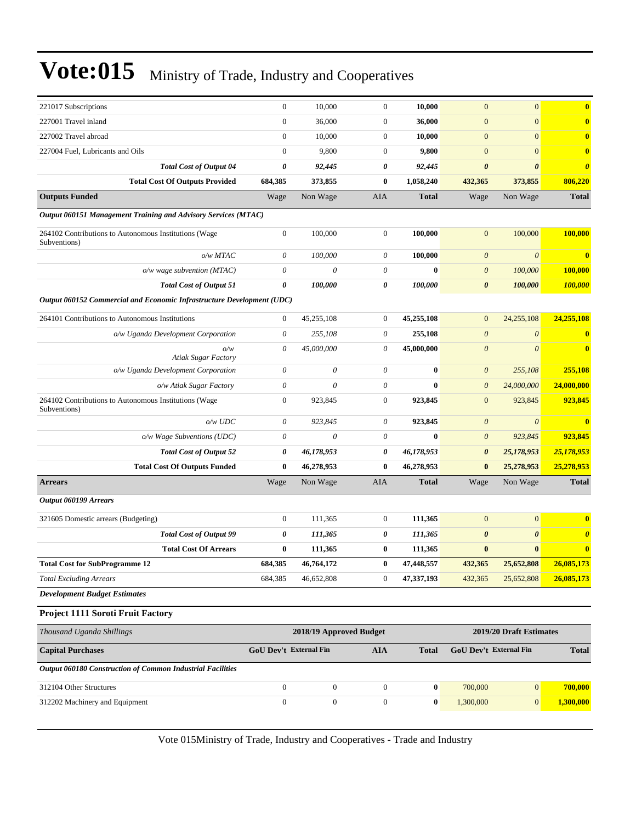| $\boldsymbol{0}$<br>10,000<br>$\boldsymbol{0}$<br>10,000<br>$\mathbf{0}$<br>$\mathbf{0}$<br>$\bf{0}$<br>221017 Subscriptions<br>$\mathbf{0}$<br>$\mathbf{0}$<br>$\boldsymbol{0}$<br>36,000<br>$\boldsymbol{0}$<br>$\bf{0}$<br>36,000<br>227002 Travel abroad<br>$\boldsymbol{0}$<br>10,000<br>$\mathbf{0}$<br>10,000<br>$\mathbf{0}$<br>$\mathbf{0}$<br>$\bf{0}$<br>$\mathbf{0}$<br>9,800<br>$\mathbf{0}$<br>9,800<br>$\boldsymbol{0}$<br>$\mathbf{0}$<br>$\bf{0}$<br>227004 Fuel, Lubricants and Oils<br>$\boldsymbol{\theta}$<br><b>Total Cost of Output 04</b><br>92,445<br>0<br>92,445<br>$\boldsymbol{\theta}$<br>$\boldsymbol{\theta}$<br>$\boldsymbol{\theta}$<br><b>Total Cost Of Outputs Provided</b><br>684,385<br>373,855<br>0<br>1,058,240<br>806,220<br>432,365<br>373,855<br>Wage<br>Non Wage<br>AIA<br><b>Total</b><br>Non Wage<br><b>Total</b><br>Wage<br>Output 060151 Management Training and Advisory Services (MTAC)<br>$\boldsymbol{0}$<br>100,000<br>100,000<br>$\boldsymbol{0}$<br>100,000<br>100,000<br>264102 Contributions to Autonomous Institutions (Wage<br>$\mathbf{0}$<br>Subventions)<br>o/w MTAC<br>$\theta$<br>100,000<br>0<br>100,000<br>$\boldsymbol{\theta}$<br>$\boldsymbol{\theta}$<br>$\bf{0}$<br>$\boldsymbol{\theta}$<br>$\boldsymbol{\theta}$<br>0<br>$\bf{0}$<br>100,000<br>$o/w$ wage subvention (MTAC)<br>$\boldsymbol{\theta}$<br><b>100,000</b><br>$\pmb{\theta}$<br><b>Total Cost of Output 51</b><br>100,000<br>0<br>100,000<br>$\boldsymbol{\theta}$<br>100,000<br>100,000<br>Output 060152 Commercial and Economic Infrastructure Development (UDC)<br>264101 Contributions to Autonomous Institutions<br>$\mathbf{0}$<br>45,255,108<br>45,255,108<br>24,255,108<br>24,255,108<br>$\mathbf{0}$<br>$\mathbf{0}$<br>$\theta$<br>255,108<br>0<br>255,108<br>$\boldsymbol{\theta}$<br>$\boldsymbol{\theta}$<br>o/w Uganda Development Corporation<br>$\bf{0}$<br>$\theta$<br>$\theta$<br>45,000,000<br>0<br>45,000,000<br>$\boldsymbol{\theta}$<br>$\bf{0}$<br>o/w<br><b>Atiak Sugar Factory</b><br>$\theta$<br>0<br>0<br>$\bf{0}$<br>255,108<br>o/w Uganda Development Corporation<br>$\boldsymbol{\theta}$<br>255,108<br>$\theta$<br>0<br>0<br>$\bf{0}$<br>$\boldsymbol{\theta}$<br>24,000,000<br>24,000,000<br>o/w Atiak Sugar Factory<br>$\mathbf{0}$<br>264102 Contributions to Autonomous Institutions (Wage<br>923,845<br>$\mathbf{0}$<br>923,845<br>$\mathbf{0}$<br>923,845<br>923,845<br>Subventions)<br>923,845<br>o/w UDC<br>$\theta$<br>923,845<br>0<br>$\boldsymbol{\theta}$<br>$\theta$<br>$\overline{\mathbf{0}}$<br>$\boldsymbol{\theta}$<br>$\theta$<br>923,845<br>o/w Wage Subventions (UDC)<br>0<br>$\bf{0}$<br>$\boldsymbol{\theta}$<br>923,845<br><b>Total Cost of Output 52</b><br>0<br>46,178,953<br>46,178,953<br>25,178,953<br>25,178,953<br>0<br>$\boldsymbol{\theta}$<br><b>Total Cost Of Outputs Funded</b><br>$\bf{0}$<br>46,278,953<br>$\bf{0}$<br>46,278,953<br>$\bf{0}$<br>25,278,953<br>25,278,953<br><b>Total</b><br>Wage<br>Non Wage<br>AIA<br><b>Total</b><br>Non Wage<br><b>Arrears</b><br>Wage<br>$\boldsymbol{0}$<br>$\boldsymbol{0}$<br>$\mathbf{0}$<br>111,365<br>$\mathbf{0}$<br>111,365<br>$\bf{0}$<br>321605 Domestic arrears (Budgeting)<br><b>Total Cost of Output 99</b><br>0<br>111,365<br>111,365<br>$\boldsymbol{\theta}$<br>$\boldsymbol{\theta}$<br>0<br>$\boldsymbol{\theta}$<br>$\pmb{0}$<br>$\bf{0}$<br><b>Total Cost Of Arrears</b><br>$\bf{0}$<br>111,365<br>$\bf{0}$<br>111,365<br>$\bf{0}$<br><b>Total Cost for SubProgramme 12</b><br>684,385<br>25,652,808<br>46,764,172<br>47,448,557<br>432,365<br>26,085,173<br>$\bf{0}$<br><b>Total Excluding Arrears</b><br>684,385<br>46,652,808<br>$\mathbf{0}$<br>47,337,193<br>26,085,173<br>432,365<br>25,652,808<br>2018/19 Approved Budget<br>2019/20 Draft Estimates<br><b>GoU Dev't External Fin</b><br>GoU Dev't External Fin<br><b>AIA</b><br><b>Total</b><br><b>Total</b><br>$\boldsymbol{0}$<br>$\boldsymbol{0}$<br>$\mathbf{0}$<br>700,000<br>$\mathbf{0}$<br>700,000<br>312104 Other Structures<br>$\boldsymbol{0}$<br>$\boldsymbol{0}$<br>$\boldsymbol{0}$<br>$\boldsymbol{0}$<br>312202 Machinery and Equipment<br>$\bf{0}$<br>1,300,000<br> 0 <br>1,300,000 |                                                            |  |  |  |  |
|---------------------------------------------------------------------------------------------------------------------------------------------------------------------------------------------------------------------------------------------------------------------------------------------------------------------------------------------------------------------------------------------------------------------------------------------------------------------------------------------------------------------------------------------------------------------------------------------------------------------------------------------------------------------------------------------------------------------------------------------------------------------------------------------------------------------------------------------------------------------------------------------------------------------------------------------------------------------------------------------------------------------------------------------------------------------------------------------------------------------------------------------------------------------------------------------------------------------------------------------------------------------------------------------------------------------------------------------------------------------------------------------------------------------------------------------------------------------------------------------------------------------------------------------------------------------------------------------------------------------------------------------------------------------------------------------------------------------------------------------------------------------------------------------------------------------------------------------------------------------------------------------------------------------------------------------------------------------------------------------------------------------------------------------------------------------------------------------------------------------------------------------------------------------------------------------------------------------------------------------------------------------------------------------------------------------------------------------------------------------------------------------------------------------------------------------------------------------------------------------------------------------------------------------------------------------------------------------------------------------------------------------------------------------------------------------------------------------------------------------------------------------------------------------------------------------------------------------------------------------------------------------------------------------------------------------------------------------------------------------------------------------------------------------------------------------------------------------------------------------------------------------------------------------------------------------------------------------------------------------------------------------------------------------------------------------------------------------------------------------------------------------------------------------------------------------------------------------------------------------------------------------------------------------------------------------------------------------------------------------------------------------------------------------------------------------------------------------------------------------------------------------------------------------------------------------------------------------------------------------------------------------------------------------------------------------------------------------------------------------------------------------------------------------------------------------------------------------------------------------------------------------------------------------------------------------------------------------------------|------------------------------------------------------------|--|--|--|--|
|                                                                                                                                                                                                                                                                                                                                                                                                                                                                                                                                                                                                                                                                                                                                                                                                                                                                                                                                                                                                                                                                                                                                                                                                                                                                                                                                                                                                                                                                                                                                                                                                                                                                                                                                                                                                                                                                                                                                                                                                                                                                                                                                                                                                                                                                                                                                                                                                                                                                                                                                                                                                                                                                                                                                                                                                                                                                                                                                                                                                                                                                                                                                                                                                                                                                                                                                                                                                                                                                                                                                                                                                                                                                                                                                                                                                                                                                                                                                                                                                                                                                                                                                                                                                                                 |                                                            |  |  |  |  |
|                                                                                                                                                                                                                                                                                                                                                                                                                                                                                                                                                                                                                                                                                                                                                                                                                                                                                                                                                                                                                                                                                                                                                                                                                                                                                                                                                                                                                                                                                                                                                                                                                                                                                                                                                                                                                                                                                                                                                                                                                                                                                                                                                                                                                                                                                                                                                                                                                                                                                                                                                                                                                                                                                                                                                                                                                                                                                                                                                                                                                                                                                                                                                                                                                                                                                                                                                                                                                                                                                                                                                                                                                                                                                                                                                                                                                                                                                                                                                                                                                                                                                                                                                                                                                                 | 227001 Travel inland                                       |  |  |  |  |
|                                                                                                                                                                                                                                                                                                                                                                                                                                                                                                                                                                                                                                                                                                                                                                                                                                                                                                                                                                                                                                                                                                                                                                                                                                                                                                                                                                                                                                                                                                                                                                                                                                                                                                                                                                                                                                                                                                                                                                                                                                                                                                                                                                                                                                                                                                                                                                                                                                                                                                                                                                                                                                                                                                                                                                                                                                                                                                                                                                                                                                                                                                                                                                                                                                                                                                                                                                                                                                                                                                                                                                                                                                                                                                                                                                                                                                                                                                                                                                                                                                                                                                                                                                                                                                 |                                                            |  |  |  |  |
|                                                                                                                                                                                                                                                                                                                                                                                                                                                                                                                                                                                                                                                                                                                                                                                                                                                                                                                                                                                                                                                                                                                                                                                                                                                                                                                                                                                                                                                                                                                                                                                                                                                                                                                                                                                                                                                                                                                                                                                                                                                                                                                                                                                                                                                                                                                                                                                                                                                                                                                                                                                                                                                                                                                                                                                                                                                                                                                                                                                                                                                                                                                                                                                                                                                                                                                                                                                                                                                                                                                                                                                                                                                                                                                                                                                                                                                                                                                                                                                                                                                                                                                                                                                                                                 |                                                            |  |  |  |  |
|                                                                                                                                                                                                                                                                                                                                                                                                                                                                                                                                                                                                                                                                                                                                                                                                                                                                                                                                                                                                                                                                                                                                                                                                                                                                                                                                                                                                                                                                                                                                                                                                                                                                                                                                                                                                                                                                                                                                                                                                                                                                                                                                                                                                                                                                                                                                                                                                                                                                                                                                                                                                                                                                                                                                                                                                                                                                                                                                                                                                                                                                                                                                                                                                                                                                                                                                                                                                                                                                                                                                                                                                                                                                                                                                                                                                                                                                                                                                                                                                                                                                                                                                                                                                                                 |                                                            |  |  |  |  |
|                                                                                                                                                                                                                                                                                                                                                                                                                                                                                                                                                                                                                                                                                                                                                                                                                                                                                                                                                                                                                                                                                                                                                                                                                                                                                                                                                                                                                                                                                                                                                                                                                                                                                                                                                                                                                                                                                                                                                                                                                                                                                                                                                                                                                                                                                                                                                                                                                                                                                                                                                                                                                                                                                                                                                                                                                                                                                                                                                                                                                                                                                                                                                                                                                                                                                                                                                                                                                                                                                                                                                                                                                                                                                                                                                                                                                                                                                                                                                                                                                                                                                                                                                                                                                                 |                                                            |  |  |  |  |
|                                                                                                                                                                                                                                                                                                                                                                                                                                                                                                                                                                                                                                                                                                                                                                                                                                                                                                                                                                                                                                                                                                                                                                                                                                                                                                                                                                                                                                                                                                                                                                                                                                                                                                                                                                                                                                                                                                                                                                                                                                                                                                                                                                                                                                                                                                                                                                                                                                                                                                                                                                                                                                                                                                                                                                                                                                                                                                                                                                                                                                                                                                                                                                                                                                                                                                                                                                                                                                                                                                                                                                                                                                                                                                                                                                                                                                                                                                                                                                                                                                                                                                                                                                                                                                 | <b>Outputs Funded</b>                                      |  |  |  |  |
|                                                                                                                                                                                                                                                                                                                                                                                                                                                                                                                                                                                                                                                                                                                                                                                                                                                                                                                                                                                                                                                                                                                                                                                                                                                                                                                                                                                                                                                                                                                                                                                                                                                                                                                                                                                                                                                                                                                                                                                                                                                                                                                                                                                                                                                                                                                                                                                                                                                                                                                                                                                                                                                                                                                                                                                                                                                                                                                                                                                                                                                                                                                                                                                                                                                                                                                                                                                                                                                                                                                                                                                                                                                                                                                                                                                                                                                                                                                                                                                                                                                                                                                                                                                                                                 |                                                            |  |  |  |  |
|                                                                                                                                                                                                                                                                                                                                                                                                                                                                                                                                                                                                                                                                                                                                                                                                                                                                                                                                                                                                                                                                                                                                                                                                                                                                                                                                                                                                                                                                                                                                                                                                                                                                                                                                                                                                                                                                                                                                                                                                                                                                                                                                                                                                                                                                                                                                                                                                                                                                                                                                                                                                                                                                                                                                                                                                                                                                                                                                                                                                                                                                                                                                                                                                                                                                                                                                                                                                                                                                                                                                                                                                                                                                                                                                                                                                                                                                                                                                                                                                                                                                                                                                                                                                                                 |                                                            |  |  |  |  |
|                                                                                                                                                                                                                                                                                                                                                                                                                                                                                                                                                                                                                                                                                                                                                                                                                                                                                                                                                                                                                                                                                                                                                                                                                                                                                                                                                                                                                                                                                                                                                                                                                                                                                                                                                                                                                                                                                                                                                                                                                                                                                                                                                                                                                                                                                                                                                                                                                                                                                                                                                                                                                                                                                                                                                                                                                                                                                                                                                                                                                                                                                                                                                                                                                                                                                                                                                                                                                                                                                                                                                                                                                                                                                                                                                                                                                                                                                                                                                                                                                                                                                                                                                                                                                                 |                                                            |  |  |  |  |
|                                                                                                                                                                                                                                                                                                                                                                                                                                                                                                                                                                                                                                                                                                                                                                                                                                                                                                                                                                                                                                                                                                                                                                                                                                                                                                                                                                                                                                                                                                                                                                                                                                                                                                                                                                                                                                                                                                                                                                                                                                                                                                                                                                                                                                                                                                                                                                                                                                                                                                                                                                                                                                                                                                                                                                                                                                                                                                                                                                                                                                                                                                                                                                                                                                                                                                                                                                                                                                                                                                                                                                                                                                                                                                                                                                                                                                                                                                                                                                                                                                                                                                                                                                                                                                 |                                                            |  |  |  |  |
|                                                                                                                                                                                                                                                                                                                                                                                                                                                                                                                                                                                                                                                                                                                                                                                                                                                                                                                                                                                                                                                                                                                                                                                                                                                                                                                                                                                                                                                                                                                                                                                                                                                                                                                                                                                                                                                                                                                                                                                                                                                                                                                                                                                                                                                                                                                                                                                                                                                                                                                                                                                                                                                                                                                                                                                                                                                                                                                                                                                                                                                                                                                                                                                                                                                                                                                                                                                                                                                                                                                                                                                                                                                                                                                                                                                                                                                                                                                                                                                                                                                                                                                                                                                                                                 |                                                            |  |  |  |  |
|                                                                                                                                                                                                                                                                                                                                                                                                                                                                                                                                                                                                                                                                                                                                                                                                                                                                                                                                                                                                                                                                                                                                                                                                                                                                                                                                                                                                                                                                                                                                                                                                                                                                                                                                                                                                                                                                                                                                                                                                                                                                                                                                                                                                                                                                                                                                                                                                                                                                                                                                                                                                                                                                                                                                                                                                                                                                                                                                                                                                                                                                                                                                                                                                                                                                                                                                                                                                                                                                                                                                                                                                                                                                                                                                                                                                                                                                                                                                                                                                                                                                                                                                                                                                                                 |                                                            |  |  |  |  |
|                                                                                                                                                                                                                                                                                                                                                                                                                                                                                                                                                                                                                                                                                                                                                                                                                                                                                                                                                                                                                                                                                                                                                                                                                                                                                                                                                                                                                                                                                                                                                                                                                                                                                                                                                                                                                                                                                                                                                                                                                                                                                                                                                                                                                                                                                                                                                                                                                                                                                                                                                                                                                                                                                                                                                                                                                                                                                                                                                                                                                                                                                                                                                                                                                                                                                                                                                                                                                                                                                                                                                                                                                                                                                                                                                                                                                                                                                                                                                                                                                                                                                                                                                                                                                                 |                                                            |  |  |  |  |
|                                                                                                                                                                                                                                                                                                                                                                                                                                                                                                                                                                                                                                                                                                                                                                                                                                                                                                                                                                                                                                                                                                                                                                                                                                                                                                                                                                                                                                                                                                                                                                                                                                                                                                                                                                                                                                                                                                                                                                                                                                                                                                                                                                                                                                                                                                                                                                                                                                                                                                                                                                                                                                                                                                                                                                                                                                                                                                                                                                                                                                                                                                                                                                                                                                                                                                                                                                                                                                                                                                                                                                                                                                                                                                                                                                                                                                                                                                                                                                                                                                                                                                                                                                                                                                 |                                                            |  |  |  |  |
|                                                                                                                                                                                                                                                                                                                                                                                                                                                                                                                                                                                                                                                                                                                                                                                                                                                                                                                                                                                                                                                                                                                                                                                                                                                                                                                                                                                                                                                                                                                                                                                                                                                                                                                                                                                                                                                                                                                                                                                                                                                                                                                                                                                                                                                                                                                                                                                                                                                                                                                                                                                                                                                                                                                                                                                                                                                                                                                                                                                                                                                                                                                                                                                                                                                                                                                                                                                                                                                                                                                                                                                                                                                                                                                                                                                                                                                                                                                                                                                                                                                                                                                                                                                                                                 |                                                            |  |  |  |  |
|                                                                                                                                                                                                                                                                                                                                                                                                                                                                                                                                                                                                                                                                                                                                                                                                                                                                                                                                                                                                                                                                                                                                                                                                                                                                                                                                                                                                                                                                                                                                                                                                                                                                                                                                                                                                                                                                                                                                                                                                                                                                                                                                                                                                                                                                                                                                                                                                                                                                                                                                                                                                                                                                                                                                                                                                                                                                                                                                                                                                                                                                                                                                                                                                                                                                                                                                                                                                                                                                                                                                                                                                                                                                                                                                                                                                                                                                                                                                                                                                                                                                                                                                                                                                                                 |                                                            |  |  |  |  |
|                                                                                                                                                                                                                                                                                                                                                                                                                                                                                                                                                                                                                                                                                                                                                                                                                                                                                                                                                                                                                                                                                                                                                                                                                                                                                                                                                                                                                                                                                                                                                                                                                                                                                                                                                                                                                                                                                                                                                                                                                                                                                                                                                                                                                                                                                                                                                                                                                                                                                                                                                                                                                                                                                                                                                                                                                                                                                                                                                                                                                                                                                                                                                                                                                                                                                                                                                                                                                                                                                                                                                                                                                                                                                                                                                                                                                                                                                                                                                                                                                                                                                                                                                                                                                                 |                                                            |  |  |  |  |
|                                                                                                                                                                                                                                                                                                                                                                                                                                                                                                                                                                                                                                                                                                                                                                                                                                                                                                                                                                                                                                                                                                                                                                                                                                                                                                                                                                                                                                                                                                                                                                                                                                                                                                                                                                                                                                                                                                                                                                                                                                                                                                                                                                                                                                                                                                                                                                                                                                                                                                                                                                                                                                                                                                                                                                                                                                                                                                                                                                                                                                                                                                                                                                                                                                                                                                                                                                                                                                                                                                                                                                                                                                                                                                                                                                                                                                                                                                                                                                                                                                                                                                                                                                                                                                 |                                                            |  |  |  |  |
|                                                                                                                                                                                                                                                                                                                                                                                                                                                                                                                                                                                                                                                                                                                                                                                                                                                                                                                                                                                                                                                                                                                                                                                                                                                                                                                                                                                                                                                                                                                                                                                                                                                                                                                                                                                                                                                                                                                                                                                                                                                                                                                                                                                                                                                                                                                                                                                                                                                                                                                                                                                                                                                                                                                                                                                                                                                                                                                                                                                                                                                                                                                                                                                                                                                                                                                                                                                                                                                                                                                                                                                                                                                                                                                                                                                                                                                                                                                                                                                                                                                                                                                                                                                                                                 |                                                            |  |  |  |  |
|                                                                                                                                                                                                                                                                                                                                                                                                                                                                                                                                                                                                                                                                                                                                                                                                                                                                                                                                                                                                                                                                                                                                                                                                                                                                                                                                                                                                                                                                                                                                                                                                                                                                                                                                                                                                                                                                                                                                                                                                                                                                                                                                                                                                                                                                                                                                                                                                                                                                                                                                                                                                                                                                                                                                                                                                                                                                                                                                                                                                                                                                                                                                                                                                                                                                                                                                                                                                                                                                                                                                                                                                                                                                                                                                                                                                                                                                                                                                                                                                                                                                                                                                                                                                                                 |                                                            |  |  |  |  |
|                                                                                                                                                                                                                                                                                                                                                                                                                                                                                                                                                                                                                                                                                                                                                                                                                                                                                                                                                                                                                                                                                                                                                                                                                                                                                                                                                                                                                                                                                                                                                                                                                                                                                                                                                                                                                                                                                                                                                                                                                                                                                                                                                                                                                                                                                                                                                                                                                                                                                                                                                                                                                                                                                                                                                                                                                                                                                                                                                                                                                                                                                                                                                                                                                                                                                                                                                                                                                                                                                                                                                                                                                                                                                                                                                                                                                                                                                                                                                                                                                                                                                                                                                                                                                                 |                                                            |  |  |  |  |
|                                                                                                                                                                                                                                                                                                                                                                                                                                                                                                                                                                                                                                                                                                                                                                                                                                                                                                                                                                                                                                                                                                                                                                                                                                                                                                                                                                                                                                                                                                                                                                                                                                                                                                                                                                                                                                                                                                                                                                                                                                                                                                                                                                                                                                                                                                                                                                                                                                                                                                                                                                                                                                                                                                                                                                                                                                                                                                                                                                                                                                                                                                                                                                                                                                                                                                                                                                                                                                                                                                                                                                                                                                                                                                                                                                                                                                                                                                                                                                                                                                                                                                                                                                                                                                 |                                                            |  |  |  |  |
|                                                                                                                                                                                                                                                                                                                                                                                                                                                                                                                                                                                                                                                                                                                                                                                                                                                                                                                                                                                                                                                                                                                                                                                                                                                                                                                                                                                                                                                                                                                                                                                                                                                                                                                                                                                                                                                                                                                                                                                                                                                                                                                                                                                                                                                                                                                                                                                                                                                                                                                                                                                                                                                                                                                                                                                                                                                                                                                                                                                                                                                                                                                                                                                                                                                                                                                                                                                                                                                                                                                                                                                                                                                                                                                                                                                                                                                                                                                                                                                                                                                                                                                                                                                                                                 |                                                            |  |  |  |  |
|                                                                                                                                                                                                                                                                                                                                                                                                                                                                                                                                                                                                                                                                                                                                                                                                                                                                                                                                                                                                                                                                                                                                                                                                                                                                                                                                                                                                                                                                                                                                                                                                                                                                                                                                                                                                                                                                                                                                                                                                                                                                                                                                                                                                                                                                                                                                                                                                                                                                                                                                                                                                                                                                                                                                                                                                                                                                                                                                                                                                                                                                                                                                                                                                                                                                                                                                                                                                                                                                                                                                                                                                                                                                                                                                                                                                                                                                                                                                                                                                                                                                                                                                                                                                                                 | Output 060199 Arrears                                      |  |  |  |  |
|                                                                                                                                                                                                                                                                                                                                                                                                                                                                                                                                                                                                                                                                                                                                                                                                                                                                                                                                                                                                                                                                                                                                                                                                                                                                                                                                                                                                                                                                                                                                                                                                                                                                                                                                                                                                                                                                                                                                                                                                                                                                                                                                                                                                                                                                                                                                                                                                                                                                                                                                                                                                                                                                                                                                                                                                                                                                                                                                                                                                                                                                                                                                                                                                                                                                                                                                                                                                                                                                                                                                                                                                                                                                                                                                                                                                                                                                                                                                                                                                                                                                                                                                                                                                                                 |                                                            |  |  |  |  |
|                                                                                                                                                                                                                                                                                                                                                                                                                                                                                                                                                                                                                                                                                                                                                                                                                                                                                                                                                                                                                                                                                                                                                                                                                                                                                                                                                                                                                                                                                                                                                                                                                                                                                                                                                                                                                                                                                                                                                                                                                                                                                                                                                                                                                                                                                                                                                                                                                                                                                                                                                                                                                                                                                                                                                                                                                                                                                                                                                                                                                                                                                                                                                                                                                                                                                                                                                                                                                                                                                                                                                                                                                                                                                                                                                                                                                                                                                                                                                                                                                                                                                                                                                                                                                                 |                                                            |  |  |  |  |
|                                                                                                                                                                                                                                                                                                                                                                                                                                                                                                                                                                                                                                                                                                                                                                                                                                                                                                                                                                                                                                                                                                                                                                                                                                                                                                                                                                                                                                                                                                                                                                                                                                                                                                                                                                                                                                                                                                                                                                                                                                                                                                                                                                                                                                                                                                                                                                                                                                                                                                                                                                                                                                                                                                                                                                                                                                                                                                                                                                                                                                                                                                                                                                                                                                                                                                                                                                                                                                                                                                                                                                                                                                                                                                                                                                                                                                                                                                                                                                                                                                                                                                                                                                                                                                 |                                                            |  |  |  |  |
|                                                                                                                                                                                                                                                                                                                                                                                                                                                                                                                                                                                                                                                                                                                                                                                                                                                                                                                                                                                                                                                                                                                                                                                                                                                                                                                                                                                                                                                                                                                                                                                                                                                                                                                                                                                                                                                                                                                                                                                                                                                                                                                                                                                                                                                                                                                                                                                                                                                                                                                                                                                                                                                                                                                                                                                                                                                                                                                                                                                                                                                                                                                                                                                                                                                                                                                                                                                                                                                                                                                                                                                                                                                                                                                                                                                                                                                                                                                                                                                                                                                                                                                                                                                                                                 |                                                            |  |  |  |  |
|                                                                                                                                                                                                                                                                                                                                                                                                                                                                                                                                                                                                                                                                                                                                                                                                                                                                                                                                                                                                                                                                                                                                                                                                                                                                                                                                                                                                                                                                                                                                                                                                                                                                                                                                                                                                                                                                                                                                                                                                                                                                                                                                                                                                                                                                                                                                                                                                                                                                                                                                                                                                                                                                                                                                                                                                                                                                                                                                                                                                                                                                                                                                                                                                                                                                                                                                                                                                                                                                                                                                                                                                                                                                                                                                                                                                                                                                                                                                                                                                                                                                                                                                                                                                                                 |                                                            |  |  |  |  |
|                                                                                                                                                                                                                                                                                                                                                                                                                                                                                                                                                                                                                                                                                                                                                                                                                                                                                                                                                                                                                                                                                                                                                                                                                                                                                                                                                                                                                                                                                                                                                                                                                                                                                                                                                                                                                                                                                                                                                                                                                                                                                                                                                                                                                                                                                                                                                                                                                                                                                                                                                                                                                                                                                                                                                                                                                                                                                                                                                                                                                                                                                                                                                                                                                                                                                                                                                                                                                                                                                                                                                                                                                                                                                                                                                                                                                                                                                                                                                                                                                                                                                                                                                                                                                                 | <b>Development Budget Estimates</b>                        |  |  |  |  |
|                                                                                                                                                                                                                                                                                                                                                                                                                                                                                                                                                                                                                                                                                                                                                                                                                                                                                                                                                                                                                                                                                                                                                                                                                                                                                                                                                                                                                                                                                                                                                                                                                                                                                                                                                                                                                                                                                                                                                                                                                                                                                                                                                                                                                                                                                                                                                                                                                                                                                                                                                                                                                                                                                                                                                                                                                                                                                                                                                                                                                                                                                                                                                                                                                                                                                                                                                                                                                                                                                                                                                                                                                                                                                                                                                                                                                                                                                                                                                                                                                                                                                                                                                                                                                                 | Project 1111 Soroti Fruit Factory                          |  |  |  |  |
|                                                                                                                                                                                                                                                                                                                                                                                                                                                                                                                                                                                                                                                                                                                                                                                                                                                                                                                                                                                                                                                                                                                                                                                                                                                                                                                                                                                                                                                                                                                                                                                                                                                                                                                                                                                                                                                                                                                                                                                                                                                                                                                                                                                                                                                                                                                                                                                                                                                                                                                                                                                                                                                                                                                                                                                                                                                                                                                                                                                                                                                                                                                                                                                                                                                                                                                                                                                                                                                                                                                                                                                                                                                                                                                                                                                                                                                                                                                                                                                                                                                                                                                                                                                                                                 | Thousand Uganda Shillings                                  |  |  |  |  |
|                                                                                                                                                                                                                                                                                                                                                                                                                                                                                                                                                                                                                                                                                                                                                                                                                                                                                                                                                                                                                                                                                                                                                                                                                                                                                                                                                                                                                                                                                                                                                                                                                                                                                                                                                                                                                                                                                                                                                                                                                                                                                                                                                                                                                                                                                                                                                                                                                                                                                                                                                                                                                                                                                                                                                                                                                                                                                                                                                                                                                                                                                                                                                                                                                                                                                                                                                                                                                                                                                                                                                                                                                                                                                                                                                                                                                                                                                                                                                                                                                                                                                                                                                                                                                                 | <b>Capital Purchases</b>                                   |  |  |  |  |
|                                                                                                                                                                                                                                                                                                                                                                                                                                                                                                                                                                                                                                                                                                                                                                                                                                                                                                                                                                                                                                                                                                                                                                                                                                                                                                                                                                                                                                                                                                                                                                                                                                                                                                                                                                                                                                                                                                                                                                                                                                                                                                                                                                                                                                                                                                                                                                                                                                                                                                                                                                                                                                                                                                                                                                                                                                                                                                                                                                                                                                                                                                                                                                                                                                                                                                                                                                                                                                                                                                                                                                                                                                                                                                                                                                                                                                                                                                                                                                                                                                                                                                                                                                                                                                 | Output 060180 Construction of Common Industrial Facilities |  |  |  |  |
|                                                                                                                                                                                                                                                                                                                                                                                                                                                                                                                                                                                                                                                                                                                                                                                                                                                                                                                                                                                                                                                                                                                                                                                                                                                                                                                                                                                                                                                                                                                                                                                                                                                                                                                                                                                                                                                                                                                                                                                                                                                                                                                                                                                                                                                                                                                                                                                                                                                                                                                                                                                                                                                                                                                                                                                                                                                                                                                                                                                                                                                                                                                                                                                                                                                                                                                                                                                                                                                                                                                                                                                                                                                                                                                                                                                                                                                                                                                                                                                                                                                                                                                                                                                                                                 |                                                            |  |  |  |  |
|                                                                                                                                                                                                                                                                                                                                                                                                                                                                                                                                                                                                                                                                                                                                                                                                                                                                                                                                                                                                                                                                                                                                                                                                                                                                                                                                                                                                                                                                                                                                                                                                                                                                                                                                                                                                                                                                                                                                                                                                                                                                                                                                                                                                                                                                                                                                                                                                                                                                                                                                                                                                                                                                                                                                                                                                                                                                                                                                                                                                                                                                                                                                                                                                                                                                                                                                                                                                                                                                                                                                                                                                                                                                                                                                                                                                                                                                                                                                                                                                                                                                                                                                                                                                                                 |                                                            |  |  |  |  |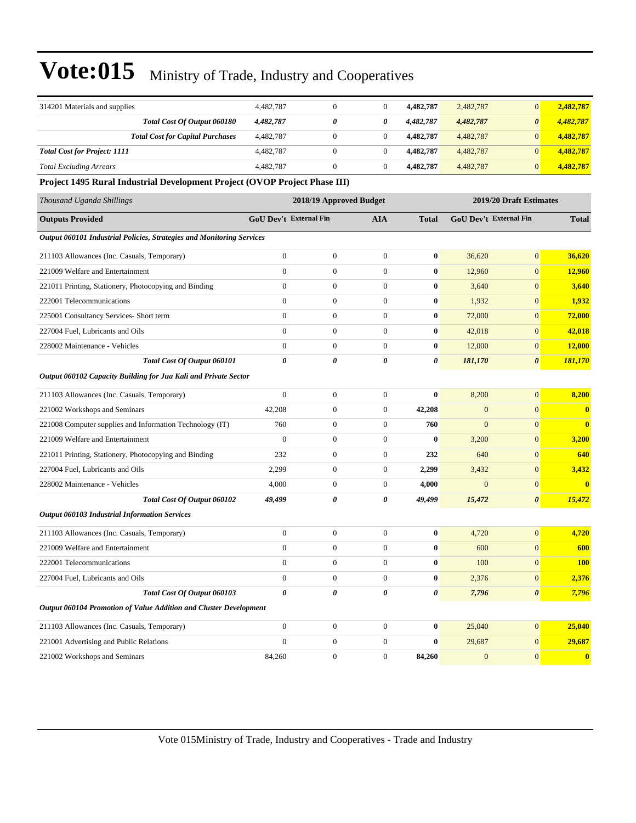| 314201 Materials and supplies                                              | 4,482,787                     | $\boldsymbol{0}$        | $\boldsymbol{0}$ | 4,482,787        | 2,482,787    | $\mathbf{0}$            | 2,482,787               |
|----------------------------------------------------------------------------|-------------------------------|-------------------------|------------------|------------------|--------------|-------------------------|-------------------------|
| Total Cost Of Output 060180                                                | 4,482,787                     | 0                       | 0                | 4,482,787        | 4,482,787    | $\boldsymbol{\theta}$   | 4,482,787               |
| <b>Total Cost for Capital Purchases</b>                                    | 4,482,787                     | $\mathbf{0}$            | $\overline{0}$   | 4,482,787        | 4,482,787    | $\mathbf{0}$            | 4,482,787               |
| <b>Total Cost for Project: 1111</b>                                        | 4,482,787                     | $\boldsymbol{0}$        | $\mathbf{0}$     | 4,482,787        | 4,482,787    | $\mathbf{0}$            | 4,482,787               |
| <b>Total Excluding Arrears</b>                                             | 4,482,787                     | $\mathbf{0}$            | $\mathbf{0}$     | 4,482,787        | 4,482,787    | $\mathbf{0}$            | 4,482,787               |
| Project 1495 Rural Industrial Development Project (OVOP Project Phase III) |                               |                         |                  |                  |              |                         |                         |
| Thousand Uganda Shillings                                                  |                               | 2018/19 Approved Budget |                  |                  |              | 2019/20 Draft Estimates |                         |
| <b>Outputs Provided</b>                                                    | <b>GoU Dev't External Fin</b> |                         | <b>AIA</b>       | <b>Total</b>     |              | GoU Dev't External Fin  | <b>Total</b>            |
| Output 060101 Industrial Policies, Strategies and Monitoring Services      |                               |                         |                  |                  |              |                         |                         |
| 211103 Allowances (Inc. Casuals, Temporary)                                | $\boldsymbol{0}$              | $\boldsymbol{0}$        | $\boldsymbol{0}$ | $\bf{0}$         | 36,620       | $\mathbf{0}$            | 36,620                  |
| 221009 Welfare and Entertainment                                           | $\mathbf{0}$                  | $\boldsymbol{0}$        | $\boldsymbol{0}$ | $\bf{0}$         | 12,960       | $\mathbf{0}$            | 12,960                  |
| 221011 Printing, Stationery, Photocopying and Binding                      | $\boldsymbol{0}$              | $\mathbf{0}$            | $\boldsymbol{0}$ | 0                | 3,640        | $\mathbf{0}$            | 3,640                   |
| 222001 Telecommunications                                                  | $\mathbf{0}$                  | $\boldsymbol{0}$        | $\boldsymbol{0}$ | $\bf{0}$         | 1,932        | $\mathbf{0}$            | 1,932                   |
| 225001 Consultancy Services- Short term                                    | $\mathbf{0}$                  | $\mathbf{0}$            | $\boldsymbol{0}$ | $\bf{0}$         | 72,000       | $\mathbf{0}$            | 72,000                  |
| 227004 Fuel, Lubricants and Oils                                           | $\mathbf{0}$                  | $\boldsymbol{0}$        | $\overline{0}$   | $\bf{0}$         | 42,018       | $\mathbf{0}$            | 42,018                  |
| 228002 Maintenance - Vehicles                                              | $\overline{0}$                | $\mathbf{0}$            | $\mathbf{0}$     | $\bf{0}$         | 12,000       | $\mathbf{0}$            | 12,000                  |
| Total Cost Of Output 060101                                                | 0                             | 0                       | 0                | 0                | 181,170      | $\boldsymbol{\theta}$   | 181,170                 |
| Output 060102 Capacity Building for Jua Kali and Private Sector            |                               |                         |                  |                  |              |                         |                         |
| 211103 Allowances (Inc. Casuals, Temporary)                                | $\boldsymbol{0}$              | $\boldsymbol{0}$        | $\boldsymbol{0}$ | $\bf{0}$         | 8,200        | $\boldsymbol{0}$        | 8,200                   |
| 221002 Workshops and Seminars                                              | 42,208                        | $\boldsymbol{0}$        | $\boldsymbol{0}$ | 42,208           | $\mathbf{0}$ | $\mathbf{0}$            | $\bf{0}$                |
| 221008 Computer supplies and Information Technology (IT)                   | 760                           | $\boldsymbol{0}$        | $\boldsymbol{0}$ | 760              | $\mathbf{0}$ | $\mathbf{0}$            | $\overline{\mathbf{0}}$ |
| 221009 Welfare and Entertainment                                           | $\mathbf{0}$                  | $\mathbf{0}$            | $\boldsymbol{0}$ | $\bf{0}$         | 3,200        | $\mathbf{0}$            | 3,200                   |
| 221011 Printing, Stationery, Photocopying and Binding                      | 232                           | $\mathbf{0}$            | $\boldsymbol{0}$ | 232              | 640          | $\mathbf{0}$            | 640                     |
| 227004 Fuel, Lubricants and Oils                                           | 2,299                         | $\boldsymbol{0}$        | $\boldsymbol{0}$ | 2,299            | 3,432        | $\mathbf{0}$            | 3,432                   |
| 228002 Maintenance - Vehicles                                              | 4,000                         | $\mathbf{0}$            | $\mathbf{0}$     | 4,000            | $\mathbf{0}$ | $\mathbf{0}$            | $\overline{\mathbf{0}}$ |
| Total Cost Of Output 060102                                                | 49,499                        | 0                       | 0                | 49,499           | 15,472       | $\boldsymbol{\theta}$   | 15,472                  |
| <b>Output 060103 Industrial Information Services</b>                       |                               |                         |                  |                  |              |                         |                         |
| 211103 Allowances (Inc. Casuals, Temporary)                                | $\boldsymbol{0}$              | $\boldsymbol{0}$        | $\mathbf{0}$     | $\bf{0}$         | 4,720        | $\mathbf{0}$            | 4,720                   |
| 221009 Welfare and Entertainment                                           | $\boldsymbol{0}$              | $\boldsymbol{0}$        | $\boldsymbol{0}$ | $\bf{0}$         | 600          | $\mathbf{0}$            | 600                     |
| 222001 Telecommunications                                                  | $\boldsymbol{0}$              | $\boldsymbol{0}$        | $\overline{0}$   | $\boldsymbol{0}$ | $100\,$      | $\boldsymbol{0}$        | <b>100</b>              |
| 227004 Fuel, Lubricants and Oils                                           | $\boldsymbol{0}$              | $\boldsymbol{0}$        | $\boldsymbol{0}$ | $\bf{0}$         | 2,376        | $\mathbf{0}$            | 2,376                   |
| Total Cost Of Output 060103                                                | $\boldsymbol{\theta}$         | $\pmb{\theta}$          | $\pmb{\theta}$   | 0                | 7,796        | $\boldsymbol{\theta}$   | 7,796                   |
| Output 060104 Promotion of Value Addition and Cluster Development          |                               |                         |                  |                  |              |                         |                         |
| 211103 Allowances (Inc. Casuals, Temporary)                                | $\boldsymbol{0}$              | $\boldsymbol{0}$        | $\boldsymbol{0}$ | $\bf{0}$         | 25,040       | $\mathbf{0}$            | 25,040                  |
| 221001 Advertising and Public Relations                                    | $\boldsymbol{0}$              | $\boldsymbol{0}$        | $\boldsymbol{0}$ | $\bf{0}$         | 29,687       | $\mathbf{0}$            | 29,687                  |
| 221002 Workshops and Seminars                                              | 84,260                        | $\boldsymbol{0}$        | $\boldsymbol{0}$ | 84,260           | $\mathbf{0}$ | $\mathbf{0}$            | $\boldsymbol{0}$        |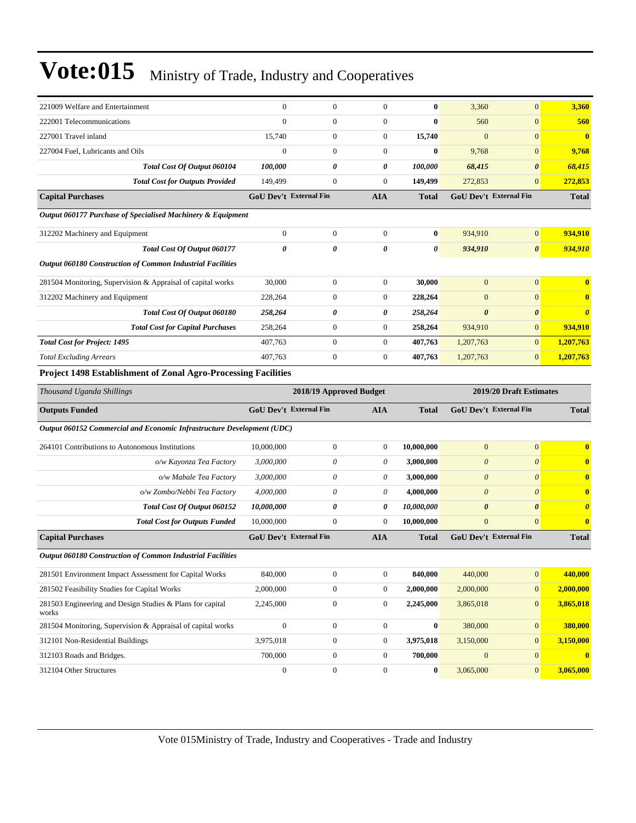| 221009 Welfare and Entertainment                                       | $\boldsymbol{0}$              | $\boldsymbol{0}$        | $\overline{0}$   | $\bf{0}$     | 3,360                 | $\overline{0}$          | 3,360                 |
|------------------------------------------------------------------------|-------------------------------|-------------------------|------------------|--------------|-----------------------|-------------------------|-----------------------|
| 222001 Telecommunications                                              | $\mathbf{0}$                  | $\boldsymbol{0}$        | $\boldsymbol{0}$ | $\bf{0}$     | 560                   | $\boldsymbol{0}$        | 560                   |
| 227001 Travel inland                                                   | 15,740                        | $\boldsymbol{0}$        | $\boldsymbol{0}$ | 15,740       | $\mathbf{0}$          | $\overline{0}$          | $\bf{0}$              |
| 227004 Fuel, Lubricants and Oils                                       | $\overline{0}$                | $\overline{0}$          | $\overline{0}$   | $\bf{0}$     | 9,768                 | $\overline{0}$          | 9,768                 |
| Total Cost Of Output 060104                                            | 100,000                       | 0                       | 0                | 100,000      | 68,415                | $\boldsymbol{\theta}$   | 68,415                |
| <b>Total Cost for Outputs Provided</b>                                 | 149,499                       | $\boldsymbol{0}$        | $\overline{0}$   | 149,499      | 272,853               | $\overline{0}$          | 272,853               |
| <b>Capital Purchases</b>                                               | <b>GoU Dev't External Fin</b> |                         | <b>AIA</b>       | Total        |                       | GoU Dev't External Fin  | <b>Total</b>          |
| Output 060177 Purchase of Specialised Machinery & Equipment            |                               |                         |                  |              |                       |                         |                       |
| 312202 Machinery and Equipment                                         | $\boldsymbol{0}$              | $\boldsymbol{0}$        | $\boldsymbol{0}$ | $\bf{0}$     | 934,910               | $\mathbf{0}$            | 934.910               |
| Total Cost Of Output 060177                                            | $\boldsymbol{\theta}$         | 0                       | 0                | 0            | 934,910               | $\boldsymbol{\theta}$   | 934,910               |
| Output 060180 Construction of Common Industrial Facilities             |                               |                         |                  |              |                       |                         |                       |
| 281504 Monitoring, Supervision & Appraisal of capital works            | 30,000                        | $\boldsymbol{0}$        | $\boldsymbol{0}$ | 30,000       | $\overline{0}$        | $\boldsymbol{0}$        | $\bf{0}$              |
| 312202 Machinery and Equipment                                         | 228,264                       | $\boldsymbol{0}$        | $\boldsymbol{0}$ | 228,264      | $\mathbf{0}$          | $\boldsymbol{0}$        | $\mathbf{0}$          |
| Total Cost Of Output 060180                                            | 258,264                       | 0                       | 0                | 258,264      | $\boldsymbol{\theta}$ | $\boldsymbol{\theta}$   | $\boldsymbol{\theta}$ |
| <b>Total Cost for Capital Purchases</b>                                | 258,264                       | $\boldsymbol{0}$        | 0                | 258,264      | 934,910               | $\mathbf{0}$            | 934,910               |
| <b>Total Cost for Project: 1495</b>                                    | 407,763                       | $\boldsymbol{0}$        | 0                | 407,763      | 1,207,763             | $\boldsymbol{0}$        | 1,207,763             |
| <b>Total Excluding Arrears</b>                                         | 407,763                       | $\boldsymbol{0}$        | $\boldsymbol{0}$ | 407,763      | 1,207,763             | $\boldsymbol{0}$        | 1,207,763             |
| Project 1498 Establishment of Zonal Agro-Processing Facilities         |                               |                         |                  |              |                       |                         |                       |
|                                                                        |                               |                         |                  |              |                       |                         |                       |
| Thousand Uganda Shillings                                              |                               | 2018/19 Approved Budget |                  |              |                       | 2019/20 Draft Estimates |                       |
| <b>Outputs Funded</b>                                                  | GoU Dev't External Fin        |                         | AIA              | <b>Total</b> |                       | GoU Dev't External Fin  | <b>Total</b>          |
| Output 060152 Commercial and Economic Infrastructure Development (UDC) |                               |                         |                  |              |                       |                         |                       |
| 264101 Contributions to Autonomous Institutions                        | 10,000,000                    | $\boldsymbol{0}$        | 0                | 10,000,000   | $\mathbf{0}$          | $\overline{0}$          | $\mathbf{0}$          |
| o/w Kayonza Tea Factory                                                | 3,000,000                     | 0                       | 0                | 3,000,000    | $\boldsymbol{\theta}$ | $\theta$                | $\bf{0}$              |
| o/w Mabale Tea Factory                                                 | 3,000,000                     | 0                       | 0                | 3,000,000    | $\boldsymbol{\theta}$ | $\theta$                | $\bf{0}$              |
| o/w Zombo/Nebbi Tea Factory                                            | 4,000,000                     | 0                       | 0                | 4,000,000    | $\boldsymbol{\theta}$ | $\theta$                | $\bf{0}$              |
| Total Cost Of Output 060152                                            | 10,000,000                    | 0                       | 0                | 10,000,000   | $\boldsymbol{\theta}$ | $\boldsymbol{\theta}$   | $\boldsymbol{\theta}$ |
| <b>Total Cost for Outputs Funded</b>                                   | 10,000,000                    | $\boldsymbol{0}$        | 0                | 10,000,000   | $\mathbf{0}$          | $\overline{0}$          | $\bf{0}$              |
| <b>Capital Purchases</b>                                               | <b>GoU Dev't External Fin</b> |                         | <b>AIA</b>       | <b>Total</b> |                       | GoU Dev't External Fin  | <b>Total</b>          |
| Output 060180 Construction of Common Industrial Facilities             |                               |                         |                  |              |                       |                         |                       |
| 281501 Environment Impact Assessment for Capital Works                 | 840,000                       | $\boldsymbol{0}$        | $\boldsymbol{0}$ | 840,000      | 440,000               | $\mathbf{0}$            | 440,000               |
| 281502 Feasibility Studies for Capital Works                           | 2,000,000                     | $\boldsymbol{0}$        | $\boldsymbol{0}$ | 2,000,000    | 2,000,000             | $\mathbf{0}$            | 2,000,000             |
| 281503 Engineering and Design Studies & Plans for capital<br>works     | 2,245,000                     | $\boldsymbol{0}$        | $\boldsymbol{0}$ | 2,245,000    | 3,865,018             | $\boldsymbol{0}$        | 3,865,018             |
| 281504 Monitoring, Supervision & Appraisal of capital works            | $\boldsymbol{0}$              | $\boldsymbol{0}$        | $\boldsymbol{0}$ | $\bf{0}$     | 380,000               | $\boldsymbol{0}$        | 380,000               |
| 312101 Non-Residential Buildings                                       | 3,975,018                     | $\boldsymbol{0}$        | $\boldsymbol{0}$ | 3,975,018    | 3,150,000             | $\overline{0}$          | 3,150,000             |
| 312103 Roads and Bridges.                                              | 700,000                       | $\boldsymbol{0}$        | $\boldsymbol{0}$ | 700,000      | $\boldsymbol{0}$      | $\mathbf{0}$            | $\bf{0}$              |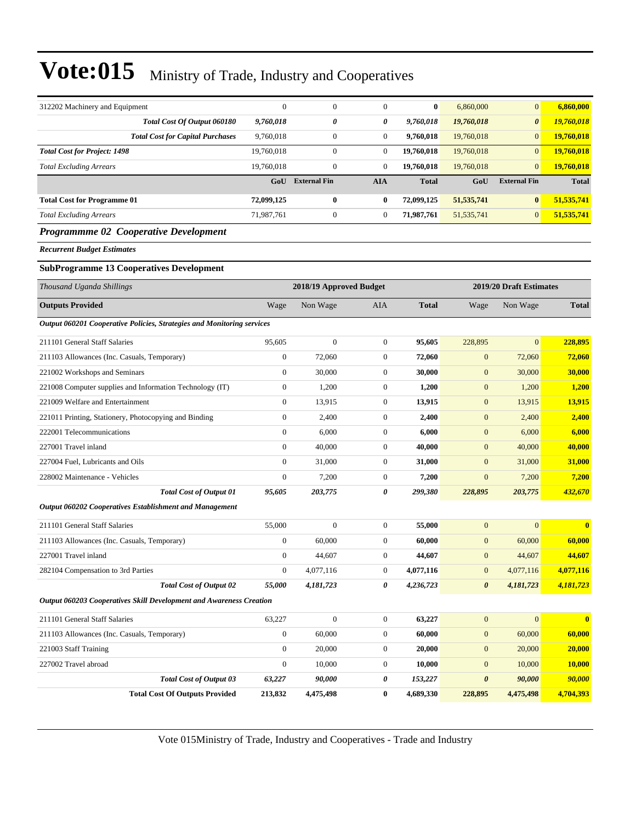| 312202 Machinery and Equipment                                             | $\mathbf{0}$     | $\boldsymbol{0}$        | $\mathbf{0}$     | $\bf{0}$     | 6,860,000             | $\mathbf{0}$            | 6,860,000               |
|----------------------------------------------------------------------------|------------------|-------------------------|------------------|--------------|-----------------------|-------------------------|-------------------------|
| Total Cost Of Output 060180                                                | 9,760,018        | 0                       | 0                | 9,760,018    | 19,760,018            | $\boldsymbol{\theta}$   | 19,760,018              |
| <b>Total Cost for Capital Purchases</b>                                    | 9,760,018        | $\boldsymbol{0}$        | $\boldsymbol{0}$ | 9,760,018    | 19,760,018            | $\mathbf{0}$            | 19,760,018              |
| <b>Total Cost for Project: 1498</b>                                        | 19,760,018       | $\boldsymbol{0}$        | $\boldsymbol{0}$ | 19,760,018   | 19,760,018            | $\mathbf{0}$            | 19,760,018              |
| <b>Total Excluding Arrears</b>                                             | 19,760,018       | $\boldsymbol{0}$        | $\overline{0}$   | 19,760,018   | 19,760,018            | $\mathbf{0}$            | 19,760,018              |
|                                                                            | GoU              | <b>External Fin</b>     | <b>AIA</b>       | <b>Total</b> | GoU                   | <b>External Fin</b>     | <b>Total</b>            |
| <b>Total Cost for Programme 01</b>                                         | 72,099,125       | $\bf{0}$                | 0                | 72,099,125   | 51, 535, 741          | $\bf{0}$                | 51,535,741              |
| <b>Total Excluding Arrears</b>                                             | 71,987,761       | $\boldsymbol{0}$        | $\mathbf{0}$     | 71,987,761   | 51, 535, 741          | $\mathbf{0}$            | 51,535,741              |
| Programmme 02 Cooperative Development                                      |                  |                         |                  |              |                       |                         |                         |
| <b>Recurrent Budget Estimates</b>                                          |                  |                         |                  |              |                       |                         |                         |
| <b>SubProgramme 13 Cooperatives Development</b>                            |                  |                         |                  |              |                       |                         |                         |
| Thousand Uganda Shillings                                                  |                  | 2018/19 Approved Budget |                  |              |                       | 2019/20 Draft Estimates |                         |
| <b>Outputs Provided</b>                                                    | Wage             | Non Wage                | <b>AIA</b>       | <b>Total</b> | Wage                  | Non Wage                | <b>Total</b>            |
| Output 060201 Cooperative Policies, Strategies and Monitoring services     |                  |                         |                  |              |                       |                         |                         |
| 211101 General Staff Salaries                                              | 95,605           | $\overline{0}$          | $\mathbf{0}$     | 95,605       | 228,895               | $\mathbf{0}$            | 228,895                 |
| 211103 Allowances (Inc. Casuals, Temporary)                                | $\boldsymbol{0}$ | 72,060                  | $\boldsymbol{0}$ | 72,060       | $\mathbf{0}$          | 72,060                  | 72,060                  |
| 221002 Workshops and Seminars                                              | $\mathbf{0}$     | 30,000                  | $\mathbf{0}$     | 30,000       | $\boldsymbol{0}$      | 30,000                  | 30,000                  |
| 221008 Computer supplies and Information Technology (IT)                   | $\boldsymbol{0}$ | 1,200                   | $\boldsymbol{0}$ | 1,200        | $\mathbf{0}$          | 1,200                   | 1,200                   |
| 221009 Welfare and Entertainment                                           | $\theta$         | 13,915                  | $\boldsymbol{0}$ | 13,915       | $\mathbf{0}$          | 13,915                  | 13,915                  |
| 221011 Printing, Stationery, Photocopying and Binding                      | $\boldsymbol{0}$ | 2,400                   | 0                | 2,400        | $\mathbf{0}$          | 2,400                   | 2,400                   |
| 222001 Telecommunications                                                  | $\mathbf{0}$     | 6,000                   | $\boldsymbol{0}$ | 6,000        | $\mathbf{0}$          | 6,000                   | 6,000                   |
| 227001 Travel inland                                                       | $\mathbf{0}$     | 40,000                  | $\boldsymbol{0}$ | 40,000       | $\boldsymbol{0}$      | 40,000                  | 40,000                  |
| 227004 Fuel, Lubricants and Oils                                           | $\mathbf{0}$     | 31,000                  | $\boldsymbol{0}$ | 31,000       | $\mathbf{0}$          | 31,000                  | 31,000                  |
| 228002 Maintenance - Vehicles                                              | $\mathbf{0}$     | 7,200                   | $\boldsymbol{0}$ | 7,200        | $\mathbf{0}$          | 7,200                   | 7,200                   |
| <b>Total Cost of Output 01</b>                                             | 95,605           | 203,775                 | 0                | 299,380      | 228,895               | 203,775                 | 432,670                 |
| <b>Output 060202 Cooperatives Establishment and Management</b>             |                  |                         |                  |              |                       |                         |                         |
| 211101 General Staff Salaries                                              | 55,000           | $\overline{0}$          | $\boldsymbol{0}$ | 55,000       | $\mathbf{0}$          | $\mathbf{0}$            | $\overline{\mathbf{0}}$ |
| 211103 Allowances (Inc. Casuals, Temporary)                                | $\mathbf{0}$     | 60,000                  | $\overline{0}$   | 60,000       | $\mathbf{0}$          | 60,000                  | 60,000                  |
| 227001 Travel inland                                                       | $\mathbf{0}$     | 44,607                  | $\mathbf{0}$     | 44,607       | $\mathbf{0}$          | 44,607                  | 44,607                  |
| 282104 Compensation to 3rd Parties                                         | $\boldsymbol{0}$ | 4,077,116               | $\mathbf{0}$     | 4,077,116    | $\mathbf{0}$          | 4,077,116               | 4,077,116               |
| <b>Total Cost of Output 02</b>                                             | 55,000           | 4,181,723               | 0                | 4,236,723    | $\boldsymbol{\theta}$ | 4,181,723               | 4,181,723               |
| <b>Output 060203 Cooperatives Skill Development and Awareness Creation</b> |                  |                         |                  |              |                       |                         |                         |
| 211101 General Staff Salaries                                              | 63,227           | $\boldsymbol{0}$        | $\boldsymbol{0}$ | 63,227       | $\boldsymbol{0}$      | $\boldsymbol{0}$        | $\mathbf{0}$            |
| 211103 Allowances (Inc. Casuals, Temporary)                                | $\mathbf{0}$     | 60,000                  | $\boldsymbol{0}$ | 60,000       | $\boldsymbol{0}$      | 60,000                  | 60,000                  |
| 221003 Staff Training                                                      | $\mathbf{0}$     | 20,000                  | $\boldsymbol{0}$ | 20,000       | $\mathbf{0}$          | 20,000                  | 20,000                  |
| 227002 Travel abroad                                                       | $\mathbf{0}$     | 10,000                  | $\boldsymbol{0}$ | 10,000       | $\mathbf{0}$          | 10,000                  | 10,000                  |
| <b>Total Cost of Output 03</b>                                             | 63,227           | 90,000                  | 0                | 153,227      | $\boldsymbol{\theta}$ | 90,000                  | 90,000                  |
| <b>Total Cost Of Outputs Provided</b>                                      | 213,832          | 4,475,498               | 0                | 4,689,330    | 228,895               | 4,475,498               | 4,704,393               |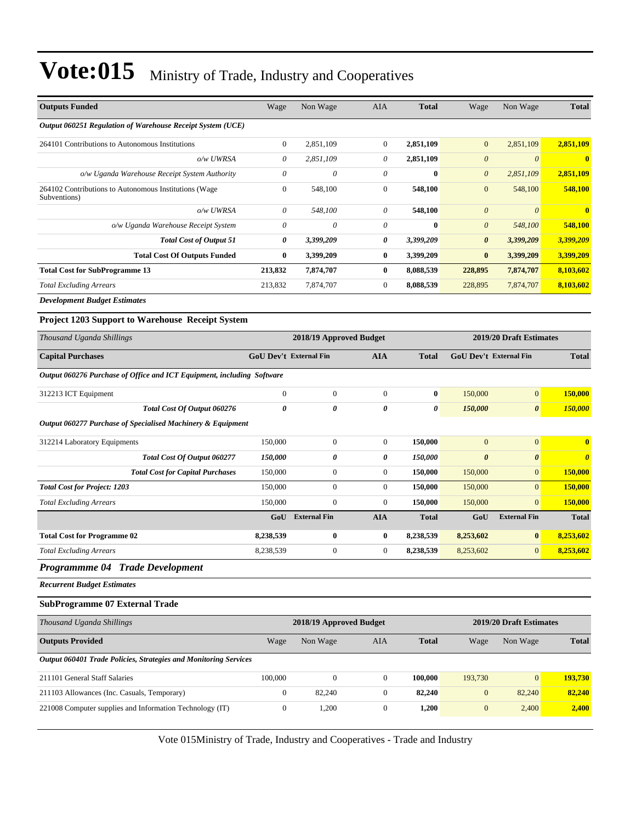| <b>Outputs Funded</b>                                                  | Wage                   | Non Wage                | AIA              | <b>Total</b> | Wage                          | Non Wage                | <b>Total</b>            |
|------------------------------------------------------------------------|------------------------|-------------------------|------------------|--------------|-------------------------------|-------------------------|-------------------------|
| Output 060251 Regulation of Warehouse Receipt System (UCE)             |                        |                         |                  |              |                               |                         |                         |
| 264101 Contributions to Autonomous Institutions                        | $\boldsymbol{0}$       | 2,851,109               | $\boldsymbol{0}$ | 2,851,109    | $\overline{0}$                | 2,851,109               | 2,851,109               |
| o/w UWRSA                                                              | $\theta$               | 2,851,109               | 0                | 2,851,109    | $\boldsymbol{\theta}$         | $\boldsymbol{\theta}$   | $\overline{\mathbf{0}}$ |
| o/w Uganda Warehouse Receipt System Authority                          | $\boldsymbol{\theta}$  | $\boldsymbol{\theta}$   | 0                | $\bf{0}$     | $\boldsymbol{\theta}$         | 2,851,109               | 2,851,109               |
| 264102 Contributions to Autonomous Institutions (Wage<br>Subventions)  | $\boldsymbol{0}$       | 548,100                 | $\boldsymbol{0}$ | 548,100      | $\mathbf{0}$                  | 548,100                 | 548,100                 |
| o/w UWRSA                                                              | $\theta$               | 548,100                 | 0                | 548,100      | $\boldsymbol{\theta}$         | $\theta$                | $\bf{0}$                |
| o/w Uganda Warehouse Receipt System                                    | $\theta$               | 0                       | 0                | $\bf{0}$     | $\boldsymbol{\theta}$         | 548,100                 | 548,100                 |
| <b>Total Cost of Output 51</b>                                         | 0                      | 3,399,209               | 0                | 3,399,209    | $\boldsymbol{\theta}$         | 3,399,209               | 3,399,209               |
| <b>Total Cost Of Outputs Funded</b>                                    | $\bf{0}$               | 3,399,209               | $\bf{0}$         | 3,399,209    | $\bf{0}$                      | 3,399,209               | 3,399,209               |
| <b>Total Cost for SubProgramme 13</b>                                  | 213,832                | 7,874,707               | $\bf{0}$         | 8,088,539    | 228,895                       | 7,874,707               | 8,103,602               |
| <b>Total Excluding Arrears</b>                                         | 213,832                | 7,874,707               | $\boldsymbol{0}$ | 8,088,539    | 228,895                       | 7,874,707               | 8,103,602               |
| <b>Development Budget Estimates</b>                                    |                        |                         |                  |              |                               |                         |                         |
| Project 1203 Support to Warehouse Receipt System                       |                        |                         |                  |              |                               |                         |                         |
| Thousand Uganda Shillings                                              |                        | 2018/19 Approved Budget |                  |              |                               | 2019/20 Draft Estimates |                         |
| <b>Capital Purchases</b>                                               | GoU Dev't External Fin |                         | <b>AIA</b>       | <b>Total</b> | <b>GoU Dev't External Fin</b> |                         | <b>Total</b>            |
| Output 060276 Purchase of Office and ICT Equipment, including Software |                        |                         |                  |              |                               |                         |                         |
| 312213 ICT Equipment                                                   | $\boldsymbol{0}$       | $\boldsymbol{0}$        | $\mathbf{0}$     | $\bf{0}$     | 150,000                       | $\mathbf{0}$            | 150,000                 |
| Total Cost Of Output 060276                                            | $\boldsymbol{\theta}$  | 0                       | 0                | 0            | 150,000                       | $\boldsymbol{\theta}$   | 150,000                 |
| Output 060277 Purchase of Specialised Machinery & Equipment            |                        |                         |                  |              |                               |                         |                         |
| 312214 Laboratory Equipments                                           | 150,000                | $\mathbf{0}$            | $\boldsymbol{0}$ | 150,000      | $\mathbf{0}$                  | $\boldsymbol{0}$        | $\bf{0}$                |
| Total Cost Of Output 060277                                            | 150,000                | 0                       | 0                | 150,000      | $\boldsymbol{\theta}$         | $\boldsymbol{\theta}$   | $\boldsymbol{\theta}$   |
| <b>Total Cost for Capital Purchases</b>                                | 150,000                | $\boldsymbol{0}$        | $\mathbf{0}$     | 150,000      | 150,000                       | $\mathbf{0}$            | 150,000                 |
| <b>Total Cost for Project: 1203</b>                                    | 150,000                | $\boldsymbol{0}$        | $\boldsymbol{0}$ | 150,000      | 150,000                       | $\mathbf{0}$            | 150,000                 |
| <b>Total Excluding Arrears</b>                                         | 150,000                | $\boldsymbol{0}$        | $\boldsymbol{0}$ | 150,000      | 150,000                       | $\mathbf{0}$            | 150,000                 |
|                                                                        | GoU                    | <b>External Fin</b>     | <b>AIA</b>       | <b>Total</b> | GoU                           | <b>External Fin</b>     | <b>Total</b>            |
| <b>Total Cost for Programme 02</b>                                     | 8,238,539              | $\bf{0}$                | $\bf{0}$         | 8,238,539    | 8,253,602                     | $\bf{0}$                | 8,253,602               |
| <b>Total Excluding Arrears</b>                                         | 8,238,539              | $\mathbf{0}$            | $\mathbf{0}$     | 8,238,539    | 8,253,602                     | $\mathbf{0}$            | 8,253,602               |
| Programmme 04 Trade Development                                        |                        |                         |                  |              |                               |                         |                         |
| <b>Recurrent Budget Estimates</b>                                      |                        |                         |                  |              |                               |                         |                         |
| <b>SubProgramme 07 External Trade</b>                                  |                        |                         |                  |              |                               |                         |                         |
| Thousand Uganda Shillings                                              |                        | 2018/19 Approved Budget |                  |              |                               | 2019/20 Draft Estimates |                         |
| <b>Outputs Provided</b>                                                | Wage                   | Non Wage                | AIA              | <b>Total</b> | Wage                          | Non Wage                | <b>Total</b>            |
| Output 060401 Trade Policies, Strategies and Monitoring Services       |                        |                         |                  |              |                               |                         |                         |
| 211101 General Staff Salaries                                          | 100,000                | $\boldsymbol{0}$        | $\boldsymbol{0}$ | 100,000      | 193,730                       | $\mathbf{0}$            | 193,730                 |
| 211103 Allowances (Inc. Casuals, Temporary)                            | $\boldsymbol{0}$       | 82,240                  | $\boldsymbol{0}$ | 82,240       | $\mathbf{0}$                  | 82,240                  | 82,240                  |
| 221008 Computer supplies and Information Technology (IT)               | $\boldsymbol{0}$       | 1,200                   | $\boldsymbol{0}$ | 1,200        | $\mathbf{0}$                  | 2,400                   | 2,400                   |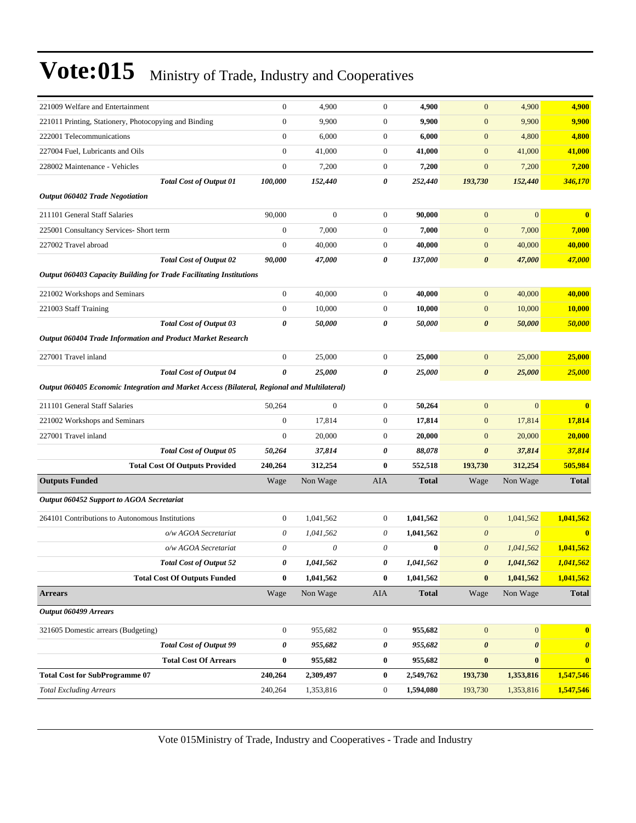| 221009 Welfare and Entertainment                                                            |                                       | $\boldsymbol{0}$ | 4,900            | $\boldsymbol{0}$ | 4,900        | $\mathbf{0}$          | 4,900                 | 4,900                   |
|---------------------------------------------------------------------------------------------|---------------------------------------|------------------|------------------|------------------|--------------|-----------------------|-----------------------|-------------------------|
| 221011 Printing, Stationery, Photocopying and Binding                                       |                                       | $\boldsymbol{0}$ | 9,900            | $\boldsymbol{0}$ | 9,900        | $\boldsymbol{0}$      | 9,900                 | 9,900                   |
| 222001 Telecommunications                                                                   |                                       | $\mathbf{0}$     | 6,000            | $\boldsymbol{0}$ | 6,000        | $\mathbf{0}$          | 4,800                 | 4,800                   |
| 227004 Fuel, Lubricants and Oils                                                            |                                       | $\boldsymbol{0}$ | 41,000           | $\boldsymbol{0}$ | 41,000       | $\mathbf{0}$          | 41,000                | 41,000                  |
| 228002 Maintenance - Vehicles                                                               |                                       | $\boldsymbol{0}$ | 7,200            | $\boldsymbol{0}$ | 7,200        | $\mathbf{0}$          | 7,200                 | 7,200                   |
|                                                                                             | <b>Total Cost of Output 01</b>        | 100,000          | 152,440          | 0                | 252,440      | 193,730               | 152,440               | 346,170                 |
| <b>Output 060402 Trade Negotiation</b>                                                      |                                       |                  |                  |                  |              |                       |                       |                         |
| 211101 General Staff Salaries                                                               |                                       | 90,000           | $\boldsymbol{0}$ | $\boldsymbol{0}$ | 90.000       | $\mathbf{0}$          | $\overline{0}$        | $\overline{\mathbf{0}}$ |
| 225001 Consultancy Services- Short term                                                     |                                       | $\boldsymbol{0}$ | 7,000            | $\boldsymbol{0}$ | 7,000        | $\mathbf{0}$          | 7,000                 | 7,000                   |
| 227002 Travel abroad                                                                        |                                       | $\boldsymbol{0}$ | 40,000           | $\boldsymbol{0}$ | 40,000       | $\boldsymbol{0}$      | 40,000                | 40,000                  |
|                                                                                             | <b>Total Cost of Output 02</b>        | 90,000           | 47,000           | 0                | 137,000      | $\boldsymbol{\theta}$ | 47,000                | 47,000                  |
| <b>Output 060403 Capacity Building for Trade Facilitating Institutions</b>                  |                                       |                  |                  |                  |              |                       |                       |                         |
| 221002 Workshops and Seminars                                                               |                                       | $\boldsymbol{0}$ | 40,000           | $\boldsymbol{0}$ | 40,000       | $\mathbf{0}$          | 40,000                | 40,000                  |
| 221003 Staff Training                                                                       |                                       | $\mathbf{0}$     | 10,000           | $\boldsymbol{0}$ | 10,000       | $\mathbf{0}$          | 10,000                | 10,000                  |
|                                                                                             | <b>Total Cost of Output 03</b>        | 0                | 50,000           | 0                | 50,000       | $\boldsymbol{\theta}$ | 50,000                | 50,000                  |
| Output 060404 Trade Information and Product Market Research                                 |                                       |                  |                  |                  |              |                       |                       |                         |
| 227001 Travel inland                                                                        |                                       | $\mathbf{0}$     | 25,000           | $\boldsymbol{0}$ | 25,000       | $\mathbf{0}$          | 25,000                | 25,000                  |
|                                                                                             | <b>Total Cost of Output 04</b>        | 0                | 25,000           | 0                | 25,000       | $\boldsymbol{\theta}$ | 25,000                | 25,000                  |
| Output 060405 Economic Integration and Market Access (Bilateral, Regional and Multilateral) |                                       |                  |                  |                  |              |                       |                       |                         |
| 211101 General Staff Salaries                                                               |                                       | 50,264           | $\boldsymbol{0}$ | $\boldsymbol{0}$ | 50,264       | $\mathbf{0}$          | $\overline{0}$        | $\bf{0}$                |
| 221002 Workshops and Seminars                                                               |                                       | $\mathbf{0}$     | 17,814           | $\boldsymbol{0}$ | 17,814       | $\mathbf{0}$          | 17,814                | 17,814                  |
| 227001 Travel inland                                                                        |                                       | $\mathbf{0}$     | 20,000           | $\boldsymbol{0}$ | 20,000       | $\mathbf{0}$          | 20,000                | 20,000                  |
|                                                                                             | <b>Total Cost of Output 05</b>        | 50,264           | 37,814           | 0                | 88,078       | $\boldsymbol{\theta}$ | 37,814                | 37,814                  |
|                                                                                             | <b>Total Cost Of Outputs Provided</b> | 240,264          | 312,254          | $\bf{0}$         | 552,518      | 193,730               | 312,254               | 505,984                 |
| <b>Outputs Funded</b>                                                                       |                                       | Wage             | Non Wage         | AIA              | <b>Total</b> | Wage                  | Non Wage              | <b>Total</b>            |
| Output 060452 Support to AGOA Secretariat                                                   |                                       |                  |                  |                  |              |                       |                       |                         |
| 264101 Contributions to Autonomous Institutions                                             |                                       | $\mathbf{0}$     | 1,041,562        | $\boldsymbol{0}$ | 1,041,562    | $\mathbf{0}$          | 1,041,562             | 1,041,562               |
|                                                                                             | o/w AGOA Secretariat                  | 0                | 1,041,562        | 0                | 1,041,562    | $\theta$              | $\boldsymbol{\theta}$ | $\bf{0}$                |
|                                                                                             | o/w AGOA Secretariat                  | 0                | 0                | $\theta$         | $\bf{0}$     | $\boldsymbol{\theta}$ | 1,041,562             | 1,041,562               |
|                                                                                             | <b>Total Cost of Output 52</b>        | 0                | 1,041,562        | 0                | 1,041,562    | $\boldsymbol{\theta}$ | 1,041,562             | 1,041,562               |
|                                                                                             | <b>Total Cost Of Outputs Funded</b>   | $\bf{0}$         | 1,041,562        | $\bf{0}$         | 1,041,562    | $\bf{0}$              | 1,041,562             | 1,041,562               |
| <b>Arrears</b>                                                                              |                                       | Wage             | Non Wage         | ${\rm AIA}$      | <b>Total</b> | Wage                  | Non Wage              | <b>Total</b>            |
| Output 060499 Arrears                                                                       |                                       |                  |                  |                  |              |                       |                       |                         |
| 321605 Domestic arrears (Budgeting)                                                         |                                       | $\boldsymbol{0}$ | 955,682          | $\boldsymbol{0}$ | 955,682      | $\boldsymbol{0}$      | $\mathbf{0}$          | $\bf{0}$                |
|                                                                                             | <b>Total Cost of Output 99</b>        | 0                | 955,682          | 0                | 955,682      | $\pmb{\theta}$        | 0                     | $\boldsymbol{\theta}$   |
|                                                                                             | <b>Total Cost Of Arrears</b>          | $\boldsymbol{0}$ | 955,682          | $\bf{0}$         | 955,682      | $\bf{0}$              | $\bf{0}$              | $\bf{0}$                |
| <b>Total Cost for SubProgramme 07</b>                                                       |                                       | 240,264          | 2,309,497        | $\bf{0}$         | 2,549,762    | 193,730               | 1,353,816             | 1,547,546               |
| <b>Total Excluding Arrears</b>                                                              |                                       | 240,264          | 1,353,816        | $\boldsymbol{0}$ | 1,594,080    | 193,730               | 1,353,816             | 1,547,546               |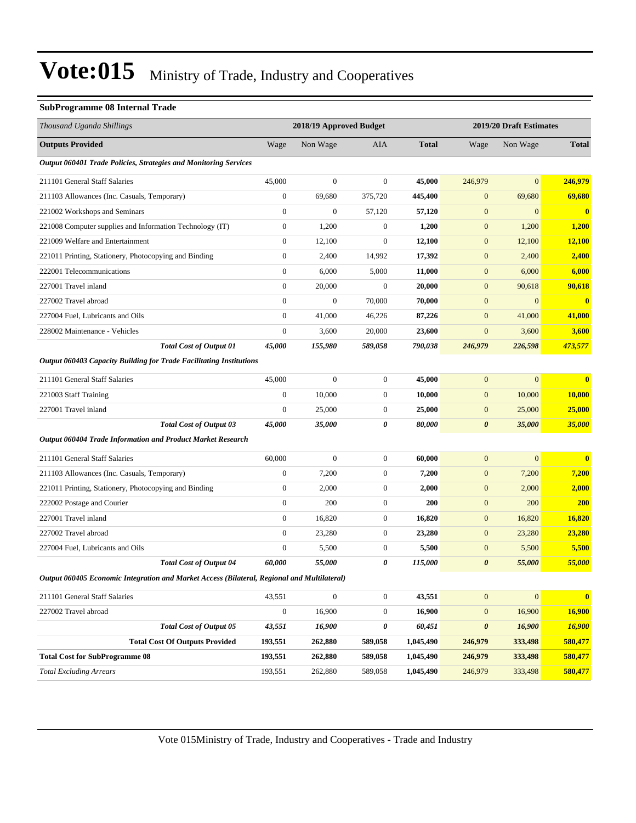#### **SubProgramme 08 Internal Trade**

| Thousand Uganda Shillings                                                                   |                  | 2018/19 Approved Budget |                  |              |                       | 2019/20 Draft Estimates |                         |
|---------------------------------------------------------------------------------------------|------------------|-------------------------|------------------|--------------|-----------------------|-------------------------|-------------------------|
| <b>Outputs Provided</b>                                                                     | Wage             | Non Wage                | AIA              | <b>Total</b> | Wage                  | Non Wage                | <b>Total</b>            |
| Output 060401 Trade Policies, Strategies and Monitoring Services                            |                  |                         |                  |              |                       |                         |                         |
| 211101 General Staff Salaries                                                               | 45,000           | $\boldsymbol{0}$        | $\boldsymbol{0}$ | 45,000       | 246,979               | $\overline{0}$          | 246,979                 |
| 211103 Allowances (Inc. Casuals, Temporary)                                                 | $\overline{0}$   | 69,680                  | 375,720          | 445,400      | $\mathbf{0}$          | 69,680                  | 69,680                  |
| 221002 Workshops and Seminars                                                               | $\overline{0}$   | $\boldsymbol{0}$        | 57,120           | 57,120       | $\boldsymbol{0}$      | $\mathbf{0}$            | $\bf{0}$                |
| 221008 Computer supplies and Information Technology (IT)                                    | $\boldsymbol{0}$ | 1,200                   | $\boldsymbol{0}$ | 1,200        | $\mathbf{0}$          | 1,200                   | 1,200                   |
| 221009 Welfare and Entertainment                                                            | $\boldsymbol{0}$ | 12,100                  | $\boldsymbol{0}$ | 12,100       | $\mathbf{0}$          | 12,100                  | 12,100                  |
| 221011 Printing, Stationery, Photocopying and Binding                                       | $\boldsymbol{0}$ | 2,400                   | 14,992           | 17,392       | $\mathbf{0}$          | 2,400                   | 2,400                   |
| 222001 Telecommunications                                                                   | $\boldsymbol{0}$ | 6,000                   | 5,000            | 11,000       | $\mathbf{0}$          | 6,000                   | 6,000                   |
| 227001 Travel inland                                                                        | $\overline{0}$   | 20,000                  | $\boldsymbol{0}$ | 20,000       | $\mathbf{0}$          | 90,618                  | 90,618                  |
| 227002 Travel abroad                                                                        | $\boldsymbol{0}$ | $\boldsymbol{0}$        | 70,000           | 70,000       | $\mathbf{0}$          | $\mathbf{0}$            | $\mathbf{0}$            |
| 227004 Fuel, Lubricants and Oils                                                            | $\boldsymbol{0}$ | 41,000                  | 46,226           | 87,226       | $\mathbf{0}$          | 41,000                  | 41,000                  |
| 228002 Maintenance - Vehicles                                                               | $\mathbf{0}$     | 3,600                   | 20,000           | 23,600       | $\mathbf{0}$          | 3,600                   | 3,600                   |
| <b>Total Cost of Output 01</b>                                                              | 45,000           | 155,980                 | 589,058          | 790,038      | 246,979               | 226,598                 | 473,577                 |
| Output 060403 Capacity Building for Trade Facilitating Institutions                         |                  |                         |                  |              |                       |                         |                         |
| 211101 General Staff Salaries                                                               | 45,000           | $\mathbf{0}$            | $\boldsymbol{0}$ | 45,000       | $\mathbf{0}$          | $\overline{0}$          | $\overline{\mathbf{0}}$ |
| 221003 Staff Training                                                                       | $\mathbf{0}$     | 10,000                  | $\boldsymbol{0}$ | 10,000       | $\mathbf{0}$          | 10,000                  | <b>10,000</b>           |
| 227001 Travel inland                                                                        | $\boldsymbol{0}$ | 25,000                  | $\boldsymbol{0}$ | 25,000       | $\mathbf{0}$          | 25,000                  | 25,000                  |
| <b>Total Cost of Output 03</b>                                                              | 45,000           | 35,000                  | 0                | 80,000       | $\boldsymbol{\theta}$ | 35,000                  | 35,000                  |
| Output 060404 Trade Information and Product Market Research                                 |                  |                         |                  |              |                       |                         |                         |
| 211101 General Staff Salaries                                                               | 60,000           | $\boldsymbol{0}$        | $\boldsymbol{0}$ | 60,000       | $\mathbf{0}$          | $\boldsymbol{0}$        | $\bf{0}$                |
| 211103 Allowances (Inc. Casuals, Temporary)                                                 | $\boldsymbol{0}$ | 7,200                   | $\boldsymbol{0}$ | 7,200        | $\boldsymbol{0}$      | 7,200                   | 7,200                   |
| 221011 Printing, Stationery, Photocopying and Binding                                       | $\boldsymbol{0}$ | 2,000                   | $\boldsymbol{0}$ | 2,000        | $\mathbf{0}$          | 2,000                   | 2,000                   |
| 222002 Postage and Courier                                                                  | $\boldsymbol{0}$ | 200                     | $\boldsymbol{0}$ | 200          | $\mathbf{0}$          | 200                     | <b>200</b>              |
| 227001 Travel inland                                                                        | $\overline{0}$   | 16,820                  | $\boldsymbol{0}$ | 16,820       | $\mathbf{0}$          | 16,820                  | 16,820                  |
| 227002 Travel abroad                                                                        | $\overline{0}$   | 23,280                  | $\boldsymbol{0}$ | 23,280       | $\mathbf{0}$          | 23,280                  | 23,280                  |
| 227004 Fuel, Lubricants and Oils                                                            | $\boldsymbol{0}$ | 5,500                   | $\boldsymbol{0}$ | 5,500        | $\mathbf{0}$          | 5,500                   | 5,500                   |
| <b>Total Cost of Output 04</b>                                                              | 60,000           | 55,000                  | 0                | 115,000      | $\boldsymbol{\theta}$ | 55,000                  | 55,000                  |
| Output 060405 Economic Integration and Market Access (Bilateral, Regional and Multilateral) |                  |                         |                  |              |                       |                         |                         |
| 211101 General Staff Salaries                                                               | 43,551           | $\boldsymbol{0}$        | $\overline{0}$   | 43,551       | $\mathbf{0}$          | $\boldsymbol{0}$        | $\mathbf{0}$            |
| 227002 Travel abroad                                                                        | $\boldsymbol{0}$ | 16,900                  | $\boldsymbol{0}$ | 16,900       | $\mathbf{0}$          | 16,900                  | <b>16,900</b>           |
| <b>Total Cost of Output 05</b>                                                              | 43,551           | 16,900                  | 0                | 60,451       | $\boldsymbol{\theta}$ | 16,900                  | 16,900                  |
| <b>Total Cost Of Outputs Provided</b>                                                       | 193,551          | 262,880                 | 589,058          | 1,045,490    | 246,979               | 333,498                 | 580,477                 |
| <b>Total Cost for SubProgramme 08</b>                                                       | 193,551          | 262,880                 | 589,058          | 1,045,490    | 246,979               | 333,498                 | 580,477                 |
| <b>Total Excluding Arrears</b>                                                              | 193,551          | 262,880                 | 589,058          | 1,045,490    | 246,979               | 333,498                 | 580,477                 |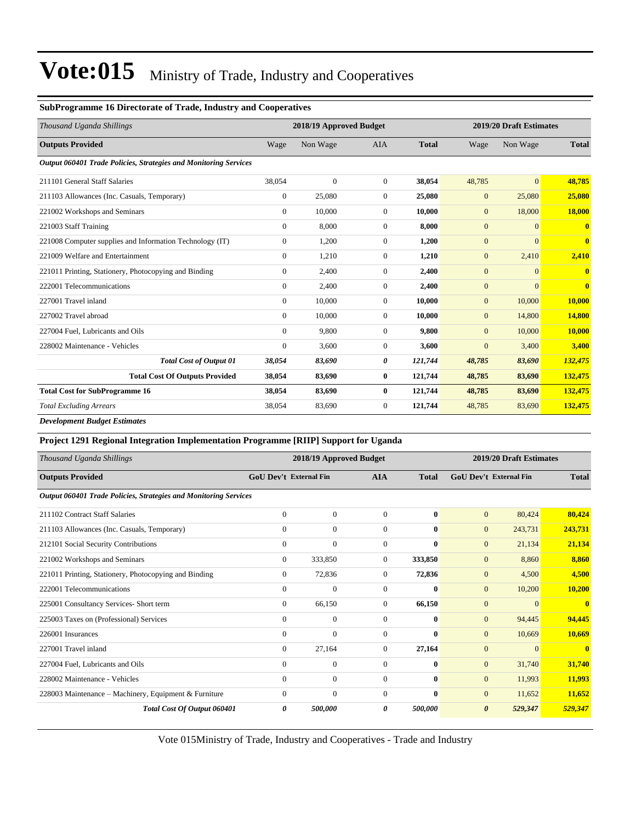#### **SubProgramme 16 Directorate of Trade, Industry and Cooperatives**

| Thousand Uganda Shillings                                        |                | 2018/19 Approved Budget |                  |              | 2019/20 Draft Estimates |                |                         |  |
|------------------------------------------------------------------|----------------|-------------------------|------------------|--------------|-------------------------|----------------|-------------------------|--|
| <b>Outputs Provided</b>                                          | Wage           | Non Wage                | <b>AIA</b>       | <b>Total</b> | Wage                    | Non Wage       | <b>Total</b>            |  |
| Output 060401 Trade Policies, Strategies and Monitoring Services |                |                         |                  |              |                         |                |                         |  |
| 211101 General Staff Salaries                                    | 38,054         | $\overline{0}$          | $\overline{0}$   | 38,054       | 48,785                  | $\overline{0}$ | 48,785                  |  |
| 211103 Allowances (Inc. Casuals, Temporary)                      | $\overline{0}$ | 25,080                  | $\mathbf{0}$     | 25,080       | $\mathbf{0}$            | 25,080         | 25,080                  |  |
| 221002 Workshops and Seminars                                    | $\overline{0}$ | 10,000                  | $\mathbf{0}$     | 10,000       | $\mathbf{0}$            | 18,000         | 18,000                  |  |
| 221003 Staff Training                                            | $\overline{0}$ | 8,000                   | $\overline{0}$   | 8,000        | $\mathbf{0}$            | $\overline{0}$ | $\mathbf{0}$            |  |
| 221008 Computer supplies and Information Technology (IT)         | $\overline{0}$ | 1,200                   | $\mathbf{0}$     | 1,200        | $\mathbf{0}$            | $\overline{0}$ | $\mathbf{0}$            |  |
| 221009 Welfare and Entertainment                                 | $\Omega$       | 1,210                   | $\overline{0}$   | 1,210        | $\mathbf{0}$            | 2,410          | 2,410                   |  |
| 221011 Printing, Stationery, Photocopying and Binding            | $\overline{0}$ | 2,400                   | $\overline{0}$   | 2,400        | $\mathbf{0}$            | $\overline{0}$ | $\mathbf{0}$            |  |
| 222001 Telecommunications                                        | $\overline{0}$ | 2,400                   | $\mathbf{0}$     | 2,400        | $\mathbf{0}$            | $\overline{0}$ | $\overline{\mathbf{0}}$ |  |
| 227001 Travel inland                                             | $\overline{0}$ | 10,000                  | $\mathbf{0}$     | 10,000       | $\mathbf{0}$            | 10,000         | 10,000                  |  |
| 227002 Travel abroad                                             | $\overline{0}$ | 10,000                  | $\overline{0}$   | 10,000       | $\mathbf{0}$            | 14,800         | 14,800                  |  |
| 227004 Fuel, Lubricants and Oils                                 | $\Omega$       | 9,800                   | $\Omega$         | 9,800        | $\mathbf{0}$            | 10,000         | 10,000                  |  |
| 228002 Maintenance - Vehicles                                    | $\mathbf{0}$   | 3,600                   | $\overline{0}$   | 3,600        | $\mathbf{0}$            | 3,400          | 3,400                   |  |
| <b>Total Cost of Output 01</b>                                   | 38,054         | 83,690                  | 0                | 121,744      | 48,785                  | 83,690         | 132,475                 |  |
| <b>Total Cost Of Outputs Provided</b>                            | 38,054         | 83,690                  | $\bf{0}$         | 121,744      | 48,785                  | 83,690         | 132,475                 |  |
| <b>Total Cost for SubProgramme 16</b>                            | 38,054         | 83,690                  | $\bf{0}$         | 121,744      | 48,785                  | 83,690         | 132,475                 |  |
| <b>Total Excluding Arrears</b>                                   | 38,054         | 83,690                  | $\boldsymbol{0}$ | 121,744      | 48,785                  | 83,690         | 132,475                 |  |
|                                                                  |                |                         |                  |              |                         |                |                         |  |

*Development Budget Estimates*

| Project 1291 Regional Integration Implementation Programme [RIIP] Support for Uganda |                               |                         |                |              |                |                               |              |
|--------------------------------------------------------------------------------------|-------------------------------|-------------------------|----------------|--------------|----------------|-------------------------------|--------------|
| Thousand Uganda Shillings                                                            |                               | 2018/19 Approved Budget |                |              |                | 2019/20 Draft Estimates       |              |
| <b>Outputs Provided</b>                                                              | <b>GoU Dev't External Fin</b> |                         | <b>AIA</b>     | <b>Total</b> |                | <b>GoU</b> Dev't External Fin | <b>Total</b> |
| <b>Output 060401 Trade Policies, Strategies and Monitoring Services</b>              |                               |                         |                |              |                |                               |              |
| 211102 Contract Staff Salaries                                                       | $\mathbf{0}$                  | $\mathbf{0}$            | $\overline{0}$ | $\mathbf{0}$ | $\overline{0}$ | 80,424                        | 80,424       |
| 211103 Allowances (Inc. Casuals, Temporary)                                          | $\mathbf{0}$                  | $\mathbf{0}$            | $\overline{0}$ | $\bf{0}$     | $\overline{0}$ | 243,731                       | 243,731      |
| 212101 Social Security Contributions                                                 | $\mathbf{0}$                  | $\mathbf{0}$            | $\mathbf{0}$   | $\mathbf{0}$ | $\overline{0}$ | 21,134                        | 21,134       |
| 221002 Workshops and Seminars                                                        | $\mathbf{0}$                  | 333,850                 | $\overline{0}$ | 333,850      | $\overline{0}$ | 8,860                         | 8,860        |
| 221011 Printing, Stationery, Photocopying and Binding                                | $\mathbf{0}$                  | 72,836                  | $\overline{0}$ | 72,836       | $\overline{0}$ | 4,500                         | 4,500        |
| 222001 Telecommunications                                                            | $\mathbf{0}$                  | $\mathbf{0}$            | $\mathbf{0}$   | $\bf{0}$     | $\overline{0}$ | 10,200                        | 10,200       |
| 225001 Consultancy Services- Short term                                              | $\mathbf{0}$                  | 66,150                  | $\overline{0}$ | 66,150       | $\overline{0}$ | $\Omega$                      | $\bf{0}$     |
| 225003 Taxes on (Professional) Services                                              | $\Omega$                      | $\mathbf{0}$            | $\overline{0}$ | $\mathbf{0}$ | $\overline{0}$ | 94,445                        | 94,445       |
| 226001 Insurances                                                                    | $\Omega$                      | $\mathbf{0}$            | $\Omega$       | $\mathbf{0}$ | $\overline{0}$ | 10,669                        | 10,669       |
| 227001 Travel inland                                                                 | $\mathbf{0}$                  | 27,164                  | $\overline{0}$ | 27,164       | $\overline{0}$ | $\mathbf{0}$                  | $\bf{0}$     |

Vote 015Ministry of Trade, Industry and Cooperatives - Trade and Industry

*Total Cost Of Output 060401 0 500,000 0 500,000 0 529,347 529,347*

227004 Fuel, Lubricants and Oils 0 0 0 **0** 0 31,740 **31,740** 228002 Maintenance - Vehicles 0 0 0 **0** 0 11,993 **11,993** 228003 Maintenance – Machinery, Equipment & Furniture 0 0 0 0 0 0 11,652 **11,652** 11,652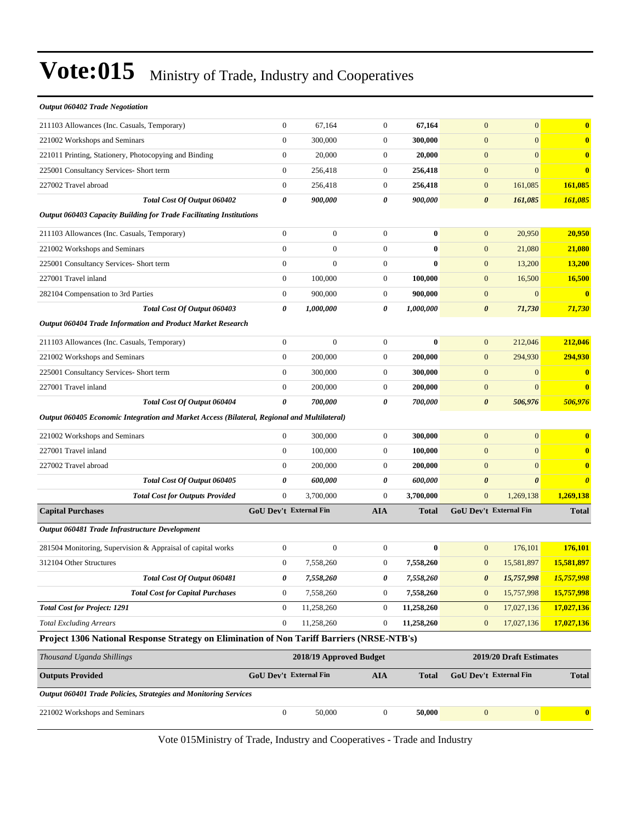| <b>Output 060402 Trade Negotiation</b>                                                      |                               |                        |                                       |              |                       |                                                   |                       |
|---------------------------------------------------------------------------------------------|-------------------------------|------------------------|---------------------------------------|--------------|-----------------------|---------------------------------------------------|-----------------------|
| 211103 Allowances (Inc. Casuals, Temporary)                                                 | $\boldsymbol{0}$              | 67,164                 | $\boldsymbol{0}$                      | 67,164       | $\mathbf{0}$          | $\overline{0}$                                    | $\bf{0}$              |
| 221002 Workshops and Seminars                                                               | $\overline{0}$                | 300,000                | $\boldsymbol{0}$                      | 300,000      | $\mathbf{0}$          | $\overline{0}$                                    | $\bf{0}$              |
| 221011 Printing, Stationery, Photocopying and Binding                                       | $\boldsymbol{0}$              | 20,000                 | $\boldsymbol{0}$                      | 20,000       | $\mathbf{0}$          | $\boldsymbol{0}$                                  | $\mathbf{0}$          |
| 225001 Consultancy Services- Short term                                                     | $\boldsymbol{0}$              | 256,418                | $\boldsymbol{0}$                      | 256,418      | $\boldsymbol{0}$      | $\overline{0}$                                    | $\mathbf{0}$          |
| 227002 Travel abroad                                                                        | $\boldsymbol{0}$              | 256,418                | $\boldsymbol{0}$                      | 256,418      | $\mathbf{0}$          | 161,085                                           | 161,085               |
| Total Cost Of Output 060402                                                                 | 0                             | 900,000                | $\boldsymbol{\theta}$                 | 900,000      | $\pmb{\theta}$        | 161,085                                           | 161,085               |
| <b>Output 060403 Capacity Building for Trade Facilitating Institutions</b>                  |                               |                        |                                       |              |                       |                                                   |                       |
| 211103 Allowances (Inc. Casuals, Temporary)                                                 | $\boldsymbol{0}$              | $\overline{0}$         | $\boldsymbol{0}$                      | $\bf{0}$     | $\mathbf{0}$          | 20,950                                            | 20,950                |
| 221002 Workshops and Seminars                                                               | $\overline{0}$                | $\overline{0}$         | $\boldsymbol{0}$                      | $\bf{0}$     | $\mathbf{0}$          | 21,080                                            | 21,080                |
| 225001 Consultancy Services- Short term                                                     | $\boldsymbol{0}$              | $\overline{0}$         | $\boldsymbol{0}$                      | $\bf{0}$     | $\mathbf{0}$          | 13,200                                            | 13,200                |
| 227001 Travel inland                                                                        | $\boldsymbol{0}$              | 100,000                | $\boldsymbol{0}$                      | 100,000      | $\boldsymbol{0}$      | 16,500                                            | <b>16,500</b>         |
| 282104 Compensation to 3rd Parties                                                          | $\boldsymbol{0}$              | 900,000                | $\boldsymbol{0}$                      | 900,000      | $\boldsymbol{0}$      | $\boldsymbol{0}$                                  | $\mathbf{0}$          |
| Total Cost Of Output 060403                                                                 | 0                             | 1,000,000              | 0                                     | 1,000,000    | $\boldsymbol{\theta}$ | 71,730                                            | 71,730                |
| Output 060404 Trade Information and Product Market Research                                 |                               |                        |                                       |              |                       |                                                   |                       |
| 211103 Allowances (Inc. Casuals, Temporary)                                                 | $\boldsymbol{0}$              | $\boldsymbol{0}$       | $\boldsymbol{0}$                      | $\bf{0}$     | $\mathbf{0}$          | 212,046                                           | 212,046               |
| 221002 Workshops and Seminars                                                               | $\boldsymbol{0}$              | 200,000                | $\boldsymbol{0}$                      | 200,000      | $\boldsymbol{0}$      | 294,930                                           | 294,930               |
| 225001 Consultancy Services- Short term                                                     | $\boldsymbol{0}$              | 300,000                | $\boldsymbol{0}$                      | 300,000      | $\mathbf{0}$          | $\mathbf{0}$                                      | $\bf{0}$              |
| 227001 Travel inland                                                                        | $\boldsymbol{0}$              | 200,000                | $\boldsymbol{0}$                      | 200,000      | $\boldsymbol{0}$      | $\overline{0}$                                    | $\mathbf{0}$          |
| Total Cost Of Output 060404                                                                 | 0                             | 700,000                | 0                                     | 700,000      | $\boldsymbol{\theta}$ | 506,976                                           | 506,976               |
| Output 060405 Economic Integration and Market Access (Bilateral, Regional and Multilateral) |                               |                        |                                       |              |                       |                                                   |                       |
| 221002 Workshops and Seminars                                                               | $\boldsymbol{0}$              | 300,000                | $\boldsymbol{0}$                      | 300,000      | $\mathbf{0}$          | $\overline{0}$                                    | $\bf{0}$              |
| 227001 Travel inland                                                                        | $\boldsymbol{0}$              | 100,000                | $\boldsymbol{0}$                      | 100,000      | $\mathbf{0}$          | $\overline{0}$                                    | $\bf{0}$              |
| 227002 Travel abroad                                                                        | $\boldsymbol{0}$              | 200,000                | $\boldsymbol{0}$                      | 200,000      | $\mathbf{0}$          | $\boldsymbol{0}$                                  | $\bf{0}$              |
| Total Cost Of Output 060405                                                                 | 0                             | 600,000                | 0                                     | 600,000      | $\boldsymbol{\theta}$ | $\boldsymbol{\theta}$                             | $\boldsymbol{\theta}$ |
| <b>Total Cost for Outputs Provided</b>                                                      | $\overline{0}$                | 3,700,000              | $\overline{0}$                        | 3,700,000    | $\mathbf{0}$          | 1,269,138                                         | 1,269,138             |
| <b>Capital Purchases</b>                                                                    |                               | GoU Dev't External Fin | <b>AIA</b>                            | <b>Total</b> |                       | GoU Dev't External Fin                            | <b>Total</b>          |
| Output 060481 Trade Infrastructure Development                                              |                               |                        |                                       |              |                       |                                                   |                       |
| 281504 Monitoring, Supervision & Appraisal of capital works                                 | $\boldsymbol{0}$              | $\boldsymbol{0}$       | $\boldsymbol{0}$                      | $\bf{0}$     | $\mathbf{0}$          | 176,101                                           | 176,101               |
| 312104 Other Structures                                                                     | $\overline{0}$                | 7,558,260              | $\boldsymbol{0}$                      | 7,558,260    | $\mathbf{0}$          | 15,581,897                                        | 15,581,897            |
| Total Cost Of Output 060481                                                                 | 0                             | 7,558,260              | 0                                     | 7,558,260    | $\pmb{\theta}$        | 15,757,998                                        | 15,757,998            |
| <b>Total Cost for Capital Purchases</b>                                                     | 0                             | 7,558,260              | $\boldsymbol{0}$                      | 7,558,260    | $\mathbf{0}$          | 15,757,998                                        | 15,757,998            |
| <b>Total Cost for Project: 1291</b>                                                         | $\boldsymbol{0}$              | 11,258,260             | $\boldsymbol{0}$                      | 11,258,260   | $\mathbf{0}$          | 17,027,136                                        | 17,027,136            |
| <b>Total Excluding Arrears</b>                                                              | $\boldsymbol{0}$              | 11,258,260             | $\boldsymbol{0}$                      | 11,258,260   | $\mathbf{0}$          | 17,027,136                                        | 17,027,136            |
| Project 1306 National Response Strategy on Elimination of Non Tariff Barriers (NRSE-NTB's)  |                               |                        |                                       |              |                       |                                                   |                       |
|                                                                                             |                               |                        |                                       |              |                       |                                                   |                       |
| Thousand Uganda Shillings<br><b>Outputs Provided</b>                                        |                               |                        | 2018/19 Approved Budget<br><b>AIA</b> | <b>Total</b> |                       | 2019/20 Draft Estimates<br>GoU Dev't External Fin | <b>Total</b>          |
|                                                                                             |                               |                        |                                       |              |                       |                                                   |                       |
|                                                                                             | <b>GoU Dev't External Fin</b> |                        |                                       |              |                       |                                                   |                       |
| <b>Output 060401 Trade Policies, Strategies and Monitoring Services</b>                     |                               |                        |                                       |              |                       |                                                   |                       |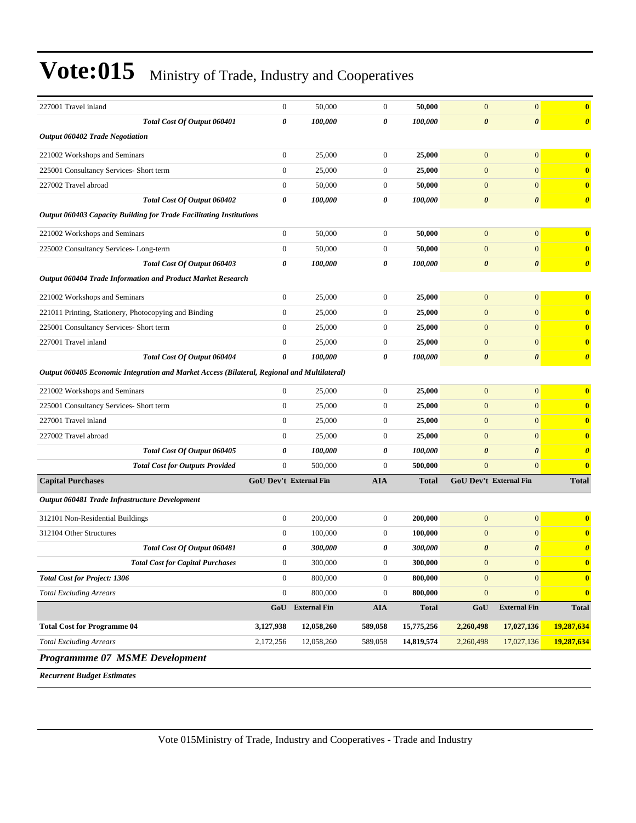| 227001 Travel inland                                                                        | $\boldsymbol{0}$ | 50,000                 | $\mathbf{0}$     | 50,000       | $\mathbf{0}$           | $\boldsymbol{0}$      | $\bf{0}$              |
|---------------------------------------------------------------------------------------------|------------------|------------------------|------------------|--------------|------------------------|-----------------------|-----------------------|
| Total Cost Of Output 060401                                                                 | 0                | 100,000                | 0                | 100,000      | $\boldsymbol{\theta}$  | 0                     | $\boldsymbol{\theta}$ |
| <b>Output 060402 Trade Negotiation</b>                                                      |                  |                        |                  |              |                        |                       |                       |
| 221002 Workshops and Seminars                                                               | $\boldsymbol{0}$ | 25,000                 | $\mathbf{0}$     | 25,000       | $\mathbf{0}$           | $\overline{0}$        | $\bf{0}$              |
| 225001 Consultancy Services- Short term                                                     | $\boldsymbol{0}$ | 25,000                 | $\boldsymbol{0}$ | 25,000       | $\boldsymbol{0}$       | $\mathbf{0}$          | $\bf{0}$              |
| 227002 Travel abroad                                                                        | $\boldsymbol{0}$ | 50,000                 | $\boldsymbol{0}$ | 50,000       | $\mathbf{0}$           | $\overline{0}$        | $\bf{0}$              |
| Total Cost Of Output 060402                                                                 | 0                | 100,000                | 0                | 100,000      | $\boldsymbol{\theta}$  | $\boldsymbol{\theta}$ | $\boldsymbol{\theta}$ |
| <b>Output 060403 Capacity Building for Trade Facilitating Institutions</b>                  |                  |                        |                  |              |                        |                       |                       |
| 221002 Workshops and Seminars                                                               | $\boldsymbol{0}$ | 50,000                 | $\boldsymbol{0}$ | 50,000       | $\mathbf{0}$           | $\mathbf{0}$          | $\bf{0}$              |
| 225002 Consultancy Services-Long-term                                                       | $\boldsymbol{0}$ | 50,000                 | $\mathbf{0}$     | 50,000       | $\mathbf{0}$           | $\overline{0}$        | $\bf{0}$              |
| Total Cost Of Output 060403                                                                 | 0                | 100,000                | 0                | 100,000      | $\boldsymbol{\theta}$  | 0                     | $\boldsymbol{\theta}$ |
| Output 060404 Trade Information and Product Market Research                                 |                  |                        |                  |              |                        |                       |                       |
| 221002 Workshops and Seminars                                                               | $\boldsymbol{0}$ | 25,000                 | $\mathbf{0}$     | 25,000       | $\mathbf{0}$           | $\overline{0}$        | $\bf{0}$              |
| 221011 Printing, Stationery, Photocopying and Binding                                       | $\boldsymbol{0}$ | 25,000                 | $\mathbf{0}$     | 25,000       | $\boldsymbol{0}$       | $\overline{0}$        | $\bf{0}$              |
| 225001 Consultancy Services- Short term                                                     | $\boldsymbol{0}$ | 25,000                 | $\mathbf{0}$     | 25,000       | $\boldsymbol{0}$       | $\mathbf{0}$          | $\bf{0}$              |
| 227001 Travel inland                                                                        | $\boldsymbol{0}$ | 25,000                 | $\mathbf{0}$     | 25,000       | $\mathbf{0}$           | $\overline{0}$        | $\bf{0}$              |
| Total Cost Of Output 060404                                                                 | 0                | 100,000                | 0                | 100,000      | $\boldsymbol{\theta}$  | 0                     | $\boldsymbol{\theta}$ |
| Output 060405 Economic Integration and Market Access (Bilateral, Regional and Multilateral) |                  |                        |                  |              |                        |                       |                       |
| 221002 Workshops and Seminars                                                               | $\boldsymbol{0}$ | 25,000                 | $\mathbf{0}$     | 25,000       | $\boldsymbol{0}$       | $\overline{0}$        | $\bf{0}$              |
| 225001 Consultancy Services- Short term                                                     | $\boldsymbol{0}$ | 25,000                 | $\mathbf{0}$     | 25,000       | $\mathbf{0}$           | $\overline{0}$        | $\bf{0}$              |
| 227001 Travel inland                                                                        | $\boldsymbol{0}$ | 25,000                 | $\mathbf{0}$     | 25,000       | $\mathbf{0}$           | $\mathbf{0}$          | $\bf{0}$              |
| 227002 Travel abroad                                                                        | $\boldsymbol{0}$ | 25,000                 | $\mathbf{0}$     | 25,000       | $\boldsymbol{0}$       | $\overline{0}$        | $\bf{0}$              |
| Total Cost Of Output 060405                                                                 | 0                | 100,000                | 0                | 100,000      | $\boldsymbol{\theta}$  | $\boldsymbol{\theta}$ | $\boldsymbol{\theta}$ |
| <b>Total Cost for Outputs Provided</b>                                                      | $\boldsymbol{0}$ | 500,000                | $\overline{0}$   | 500,000      | $\mathbf{0}$           | $\overline{0}$        | $\bf{0}$              |
| <b>Capital Purchases</b>                                                                    |                  | GoU Dev't External Fin | <b>AIA</b>       | <b>Total</b> | GoU Dev't External Fin |                       | <b>Total</b>          |
| Output 060481 Trade Infrastructure Development                                              |                  |                        |                  |              |                        |                       |                       |
| 312101 Non-Residential Buildings                                                            | $\boldsymbol{0}$ | 200,000                | $\boldsymbol{0}$ | 200,000      | $\mathbf{0}$           | $\overline{0}$        | $\bf{0}$              |
| 312104 Other Structures                                                                     | $\boldsymbol{0}$ | 100,000                | $\mathbf{0}$     | 100,000      | $\mathbf{0}$           | $\mathbf{0}$          | $\bf{0}$              |
| Total Cost Of Output 060481                                                                 | 0                | 300,000                | 0                | 300,000      | $\boldsymbol{\theta}$  | $\boldsymbol{\theta}$ | $\boldsymbol{\theta}$ |
| <b>Total Cost for Capital Purchases</b>                                                     | $\boldsymbol{0}$ | 300,000                | $\boldsymbol{0}$ | 300,000      | $\boldsymbol{0}$       | $\mathbf{0}$          | $\bf{0}$              |
| <b>Total Cost for Project: 1306</b>                                                         | $\boldsymbol{0}$ | 800,000                | $\mathbf{0}$     | 800,000      | $\mathbf{0}$           | $\mathbf{0}$          | $\bf{0}$              |
| <b>Total Excluding Arrears</b>                                                              | $\boldsymbol{0}$ | 800,000                | $\boldsymbol{0}$ | 800,000      | $\boldsymbol{0}$       | $\boldsymbol{0}$      | $\boldsymbol{0}$      |
|                                                                                             |                  | GoU External Fin       | ${\bf A I A}$    | <b>Total</b> | GoU                    | <b>External Fin</b>   | <b>Total</b>          |
| <b>Total Cost for Programme 04</b>                                                          | 3,127,938        | 12,058,260             | 589,058          | 15,775,256   | 2,260,498              | 17,027,136            | 19,287,634            |
| <b>Total Excluding Arrears</b>                                                              | 2,172,256        | 12,058,260             | 589,058          | 14,819,574   | 2,260,498              | 17,027,136            | 19,287,634            |
| Programmme 07 MSME Development                                                              |                  |                        |                  |              |                        |                       |                       |

*Recurrent Budget Estimates*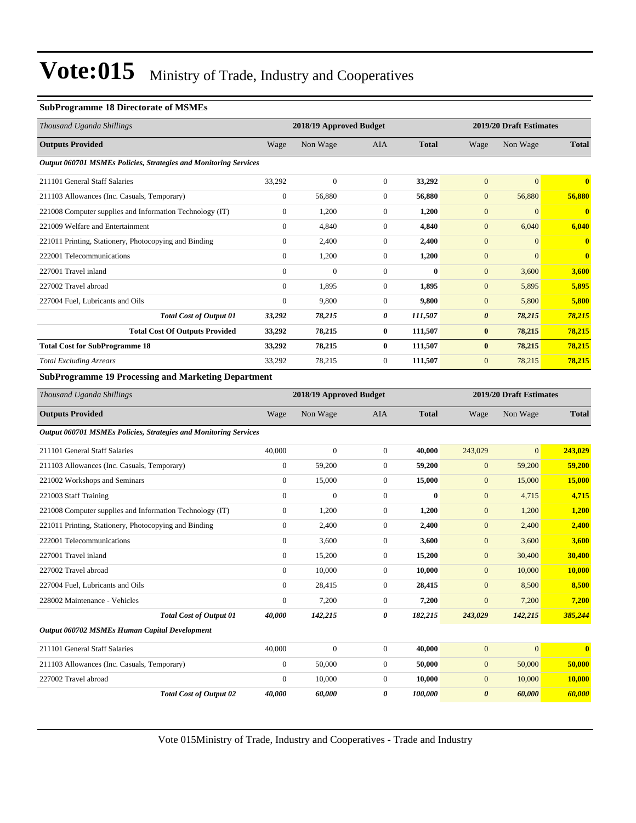#### **SubProgramme 18 Directorate of MSMEs**

| Thousand Uganda Shillings                                               |              | 2018/19 Approved Budget |                |              | 2019/20 Draft Estimates |                         |                         |  |
|-------------------------------------------------------------------------|--------------|-------------------------|----------------|--------------|-------------------------|-------------------------|-------------------------|--|
| <b>Outputs Provided</b>                                                 | Wage         | Non Wage                | <b>AIA</b>     | <b>Total</b> | Wage                    | Non Wage                | <b>Total</b>            |  |
| <b>Output 060701 MSMEs Policies, Strategies and Monitoring Services</b> |              |                         |                |              |                         |                         |                         |  |
| 211101 General Staff Salaries                                           | 33,292       | $\mathbf{0}$            | $\overline{0}$ | 33,292       | $\mathbf{0}$            | $\overline{0}$          | $\overline{\mathbf{0}}$ |  |
| 211103 Allowances (Inc. Casuals, Temporary)                             | $\mathbf{0}$ | 56,880                  | $\Omega$       | 56,880       | $\mathbf{0}$            | 56,880                  | 56,880                  |  |
| 221008 Computer supplies and Information Technology (IT)                | $\Omega$     | 1,200                   | $\overline{0}$ | 1,200        | $\mathbf{0}$            | $\Omega$                | $\overline{\mathbf{0}}$ |  |
| 221009 Welfare and Entertainment                                        | $\Omega$     | 4,840                   | $\overline{0}$ | 4,840        | $\mathbf{0}$            | 6,040                   | 6,040                   |  |
| 221011 Printing, Stationery, Photocopying and Binding                   | $\mathbf{0}$ | 2,400                   | $\overline{0}$ | 2,400        | $\mathbf{0}$            | $\Omega$                | $\overline{\mathbf{0}}$ |  |
| 222001 Telecommunications                                               | $\Omega$     | 1,200                   | $\Omega$       | 1,200        | $\mathbf{0}$            | $\Omega$                | $\overline{\mathbf{0}}$ |  |
| 227001 Travel inland                                                    | $\mathbf{0}$ | $\overline{0}$          | $\Omega$       | $\mathbf{0}$ | $\mathbf{0}$            | 3,600                   | 3,600                   |  |
| 227002 Travel abroad                                                    | $\mathbf{0}$ | 1,895                   | $\overline{0}$ | 1,895        | $\mathbf{0}$            | 5,895                   | 5,895                   |  |
| 227004 Fuel, Lubricants and Oils                                        | $\mathbf{0}$ | 9,800                   | $\overline{0}$ | 9,800        | $\mathbf{0}$            | 5,800                   | 5,800                   |  |
| <b>Total Cost of Output 01</b>                                          | 33,292       | 78,215                  | 0              | 111,507      | $\boldsymbol{\theta}$   | 78,215                  | 78,215                  |  |
| <b>Total Cost Of Outputs Provided</b>                                   | 33,292       | 78,215                  | $\bf{0}$       | 111,507      | $\bf{0}$                | 78,215                  | 78,215                  |  |
| <b>Total Cost for SubProgramme 18</b>                                   | 33,292       | 78,215                  | $\bf{0}$       | 111,507      | $\bf{0}$                | 78,215                  | 78,215                  |  |
| <b>Total Excluding Arrears</b>                                          | 33,292       | 78,215                  | $\overline{0}$ | 111,507      | $\mathbf{0}$            | 78,215                  | 78,215                  |  |
| <b>SubProgramme 19 Processing and Marketing Department</b>              |              |                         |                |              |                         |                         |                         |  |
| Thousand Uganda Shillings                                               |              | 2018/19 Approved Budget |                |              |                         | 2019/20 Draft Estimates |                         |  |
| <b>Outputs Provided</b>                                                 | Wage         | Non Wage                | <b>AIA</b>     | <b>Total</b> | Wage                    | Non Wage                | <b>Total</b>            |  |
| <b>Output 060701 MSMEs Policies, Strategies and Monitoring Services</b> |              |                         |                |              |                         |                         |                         |  |

| 211101 General Staff Salaries                            | 40,000         | $\mathbf{0}$ | $\overline{0}$ | 40,000       | 243,029               | $\Omega$ | 243,029      |
|----------------------------------------------------------|----------------|--------------|----------------|--------------|-----------------------|----------|--------------|
| 211103 Allowances (Inc. Casuals, Temporary)              | $\overline{0}$ | 59,200       | $\overline{0}$ | 59,200       | $\overline{0}$        | 59,200   | 59,200       |
| 221002 Workshops and Seminars                            | $\overline{0}$ | 15,000       | $\overline{0}$ | 15,000       | $\mathbf{0}$          | 15,000   | 15,000       |
| 221003 Staff Training                                    | $\Omega$       | $\mathbf{0}$ | $\Omega$       | $\mathbf{0}$ | $\overline{0}$        | 4,715    | 4,715        |
| 221008 Computer supplies and Information Technology (IT) | $\overline{0}$ | 1,200        | $\overline{0}$ | 1,200        | $\mathbf{0}$          | 1,200    | 1,200        |
| 221011 Printing, Stationery, Photocopying and Binding    | $\overline{0}$ | 2,400        | $\overline{0}$ | 2,400        | $\overline{0}$        | 2,400    | 2,400        |
| 222001 Telecommunications                                | $\overline{0}$ | 3,600        | $\overline{0}$ | 3,600        | $\mathbf{0}$          | 3,600    | 3,600        |
| 227001 Travel inland                                     | $\overline{0}$ | 15,200       | $\overline{0}$ | 15,200       | $\overline{0}$        | 30,400   | 30,400       |
| 227002 Travel abroad                                     | $\overline{0}$ | 10,000       | $\overline{0}$ | 10,000       | $\overline{0}$        | 10,000   | 10,000       |
| 227004 Fuel, Lubricants and Oils                         | $\overline{0}$ | 28,415       | $\overline{0}$ | 28,415       | $\overline{0}$        | 8,500    | 8,500        |
| 228002 Maintenance - Vehicles                            | $\Omega$       | 7,200        | $\Omega$       | 7,200        | $\mathbf{0}$          | 7,200    | 7,200        |
| <b>Total Cost of Output 01</b>                           | 40,000         | 142,215      | 0              | 182,215      | 243,029               | 142,215  | 385,244      |
| Output 060702 MSMEs Human Capital Development            |                |              |                |              |                       |          |              |
| 211101 General Staff Salaries                            | 40,000         | $\Omega$     | $\Omega$       | 40,000       | $\Omega$              | $\Omega$ | $\mathbf{0}$ |
| 211103 Allowances (Inc. Casuals, Temporary)              | $\overline{0}$ | 50,000       | $\Omega$       | 50,000       | $\mathbf{0}$          | 50,000   | 50,000       |
| 227002 Travel abroad                                     | $\overline{0}$ | 10,000       | $\overline{0}$ | 10,000       | $\mathbf{0}$          | 10,000   | 10,000       |
| <b>Total Cost of Output 02</b>                           | 40.000         | 60.000       | 0              | 100.000      | $\boldsymbol{\theta}$ | 60.000   | 60,000       |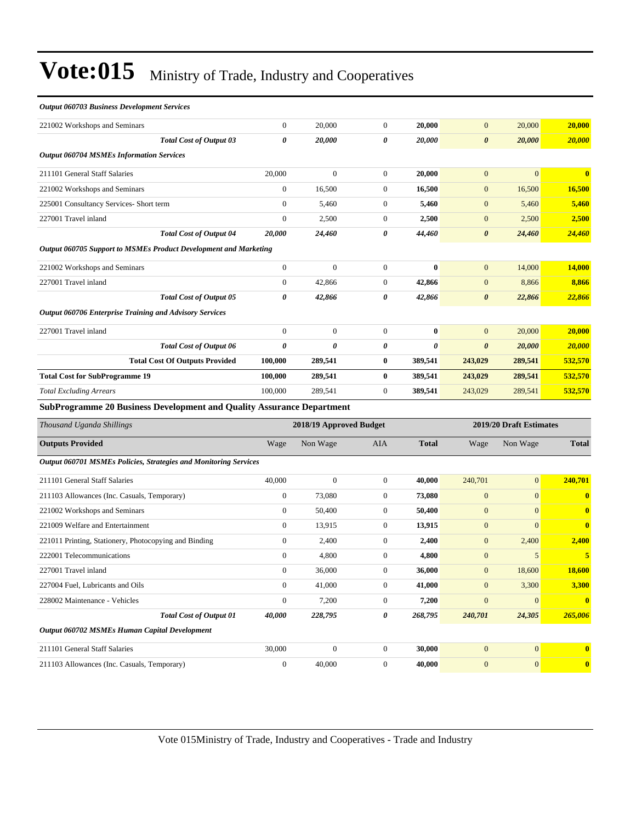| <b>Output 060703 Business Development Services</b> |
|----------------------------------------------------|
| 221002 Workshops and Seminars                      |

| 221002 Workshops and Seminars                                           | $\boldsymbol{0}$      | 20,000                  | $\boldsymbol{0}$ | 20,000                | $\mathbf{0}$          | 20,000                  | 20,000           |
|-------------------------------------------------------------------------|-----------------------|-------------------------|------------------|-----------------------|-----------------------|-------------------------|------------------|
| Total Cost of Output 03                                                 | $\boldsymbol{\theta}$ | 20,000                  | 0                | 20,000                | $\boldsymbol{\theta}$ | 20,000                  | <b>20,000</b>    |
| <b>Output 060704 MSMEs Information Services</b>                         |                       |                         |                  |                       |                       |                         |                  |
| 211101 General Staff Salaries                                           | 20,000                | $\boldsymbol{0}$        | $\mathbf{0}$     | 20,000                | $\mathbf{0}$          | $\mathbf{0}$            | $\bf{0}$         |
| 221002 Workshops and Seminars                                           | $\boldsymbol{0}$      | 16,500                  | $\boldsymbol{0}$ | 16,500                | $\mathbf{0}$          | 16,500                  | 16,500           |
| 225001 Consultancy Services- Short term                                 | $\theta$              | 5,460                   | $\mathbf{0}$     | 5,460                 | $\mathbf{0}$          | 5,460                   | 5,460            |
| 227001 Travel inland                                                    | $\boldsymbol{0}$      | 2,500                   | 0                | 2,500                 | $\mathbf{0}$          | 2,500                   | 2,500            |
| <b>Total Cost of Output 04</b>                                          | 20,000                | 24,460                  | 0                | 44,460                | $\boldsymbol{\theta}$ | 24,460                  | <b>24,460</b>    |
| Output 060705 Support to MSMEs Product Development and Marketing        |                       |                         |                  |                       |                       |                         |                  |
| 221002 Workshops and Seminars                                           | $\mathbf{0}$          | $\boldsymbol{0}$        | $\mathbf{0}$     | $\bf{0}$              | $\mathbf{0}$          | 14,000                  | 14,000           |
| 227001 Travel inland                                                    | $\boldsymbol{0}$      | 42,866                  | $\boldsymbol{0}$ | 42,866                | $\mathbf{0}$          | 8,866                   | 8,866            |
| <b>Total Cost of Output 05</b>                                          | 0                     | 42,866                  | 0                | 42,866                | $\boldsymbol{\theta}$ | 22,866                  | 22,866           |
| <b>Output 060706 Enterprise Training and Advisory Services</b>          |                       |                         |                  |                       |                       |                         |                  |
| 227001 Travel inland                                                    | $\boldsymbol{0}$      | $\boldsymbol{0}$        | $\boldsymbol{0}$ | $\bf{0}$              | $\mathbf{0}$          | 20,000                  | 20,000           |
| Total Cost of Output 06                                                 | $\boldsymbol{\theta}$ | 0                       | 0                | $\boldsymbol{\theta}$ | $\boldsymbol{\theta}$ | 20,000                  | <b>20,000</b>    |
| <b>Total Cost Of Outputs Provided</b>                                   | 100,000               | 289,541                 | 0                | 389,541               | 243,029               | 289,541                 | 532,570          |
| <b>Total Cost for SubProgramme 19</b>                                   | 100,000               | 289,541                 | $\bf{0}$         | 389,541               | 243,029               | 289,541                 | 532,570          |
| <b>Total Excluding Arrears</b>                                          | 100,000               | 289,541                 | $\mathbf{0}$     | 389,541               | 243,029               | 289,541                 | 532,570          |
| SubProgramme 20 Business Development and Quality Assurance Department   |                       |                         |                  |                       |                       |                         |                  |
| Thousand Uganda Shillings                                               |                       | 2018/19 Approved Budget |                  |                       |                       | 2019/20 Draft Estimates |                  |
| <b>Outputs Provided</b>                                                 | Wage                  | Non Wage                | <b>AIA</b>       | <b>Total</b>          | Wage                  | Non Wage                | <b>Total</b>     |
| <b>Output 060701 MSMEs Policies, Strategies and Monitoring Services</b> |                       |                         |                  |                       |                       |                         |                  |
| 211101 General Staff Salaries                                           | 40,000                | $\boldsymbol{0}$        | 0                | 40,000                | 240,701               | $\mathbf{0}$            | 240,701          |
| 211103 Allowances (Inc. Casuals, Temporary)                             | $\boldsymbol{0}$      | 73,080                  | $\boldsymbol{0}$ | 73,080                | $\boldsymbol{0}$      | $\mathbf{0}$            | $\bf{0}$         |
| 221002 Workshops and Seminars                                           | $\mathbf{0}$          | 50,400                  | $\mathbf{0}$     | 50,400                | $\mathbf{0}$          | $\mathbf{0}$            | $\mathbf{0}$     |
| 221009 Welfare and Entertainment                                        | $\boldsymbol{0}$      | 13,915                  | $\boldsymbol{0}$ | 13,915                | $\mathbf{0}$          | $\mathbf{0}$            | $\bf{0}$         |
| 221011 Printing, Stationery, Photocopying and Binding                   | $\mathbf{0}$          | 2,400                   | $\mathbf{0}$     | 2,400                 | $\mathbf{0}$          | 2,400                   | 2,400            |
| 222001 Telecommunications                                               | $\boldsymbol{0}$      | 4,800                   | 0                | 4,800                 | $\mathbf{0}$          | 5                       | 5                |
| 227001 Travel inland                                                    | $\boldsymbol{0}$      | 36,000                  | $\boldsymbol{0}$ | 36,000                | $\boldsymbol{0}$      | 18,600                  | <b>18,600</b>    |
| 227004 Fuel, Lubricants and Oils                                        | $\mathbf{0}$          | 41,000                  | $\overline{0}$   | 41,000                | $\mathbf{0}$          | 3,300                   | 3,300            |
| 228002 Maintenance - Vehicles                                           | $\boldsymbol{0}$      | 7,200                   | $\boldsymbol{0}$ | 7,200                 | $\mathbf{0}$          | $\mathbf{0}$            | $\bf{0}$         |
| <b>Total Cost of Output 01</b>                                          | 40,000                | 228,795                 | 0                | 268,795               | 240,701               | 24,305                  | 265,006          |
| Output 060702 MSMEs Human Capital Development                           |                       |                         |                  |                       |                       |                         |                  |
| 211101 General Staff Salaries                                           | 30,000                | $\boldsymbol{0}$        | $\mathbf{0}$     | 30,000                | $\mathbf{0}$          | $\mathbf{0}$            | $\bf{0}$         |
| 211103 Allowances (Inc. Casuals, Temporary)                             | $\boldsymbol{0}$      | 40,000                  | $\boldsymbol{0}$ | 40,000                | $\boldsymbol{0}$      | $\mathbf{0}$            | $\boldsymbol{0}$ |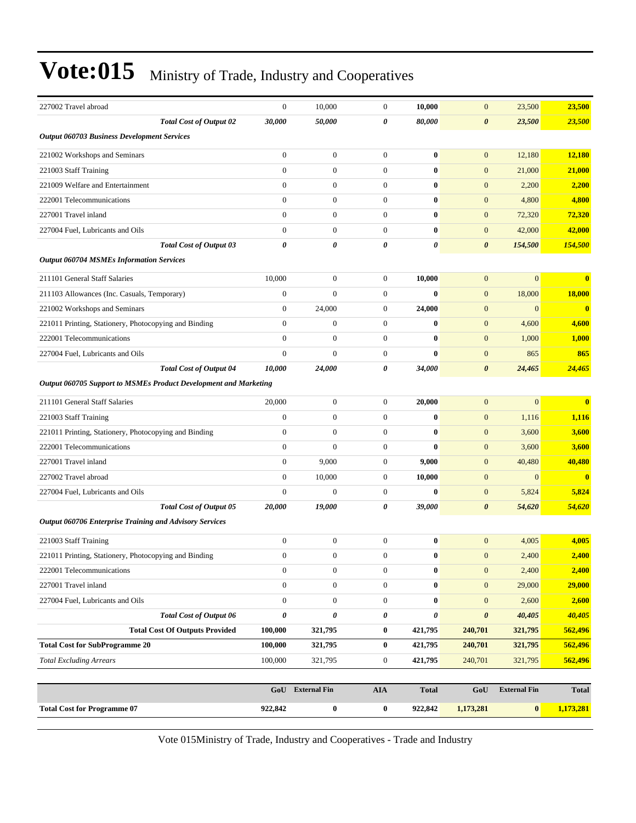| 227002 Travel abroad                                             |                                       | $\boldsymbol{0}$ | 10,000              | $\mathbf{0}$          | 10,000                | $\boldsymbol{0}$      | 23,500              | 23,500       |
|------------------------------------------------------------------|---------------------------------------|------------------|---------------------|-----------------------|-----------------------|-----------------------|---------------------|--------------|
|                                                                  | <b>Total Cost of Output 02</b>        | 30,000           | 50,000              | $\boldsymbol{\theta}$ | 80,000                | $\boldsymbol{\theta}$ | 23,500              | 23,500       |
| <b>Output 060703 Business Development Services</b>               |                                       |                  |                     |                       |                       |                       |                     |              |
| 221002 Workshops and Seminars                                    |                                       | $\overline{0}$   | $\boldsymbol{0}$    | $\overline{0}$        | $\bf{0}$              | $\mathbf{0}$          | 12,180              | 12,180       |
| 221003 Staff Training                                            |                                       | $\overline{0}$   | $\mathbf{0}$        | $\mathbf{0}$          | $\bf{0}$              | $\mathbf{0}$          | 21,000              | 21,000       |
| 221009 Welfare and Entertainment                                 |                                       | $\overline{0}$   | $\boldsymbol{0}$    | $\mathbf{0}$          | $\bf{0}$              | $\mathbf{0}$          | 2,200               | 2,200        |
| 222001 Telecommunications                                        |                                       | $\overline{0}$   | $\mathbf{0}$        | $\mathbf{0}$          | $\bf{0}$              | $\mathbf{0}$          | 4,800               | 4,800        |
| 227001 Travel inland                                             |                                       | $\overline{0}$   | $\boldsymbol{0}$    | $\mathbf{0}$          | $\bf{0}$              | $\mathbf{0}$          | 72,320              | 72,320       |
| 227004 Fuel, Lubricants and Oils                                 |                                       | $\overline{0}$   | $\boldsymbol{0}$    | $\mathbf{0}$          | $\bf{0}$              | $\boldsymbol{0}$      | 42,000              | 42,000       |
|                                                                  | Total Cost of Output 03               | 0                | 0                   | 0                     | $\boldsymbol{\theta}$ | $\boldsymbol{\theta}$ | 154,500             | 154,500      |
| <b>Output 060704 MSMEs Information Services</b>                  |                                       |                  |                     |                       |                       |                       |                     |              |
| 211101 General Staff Salaries                                    |                                       | 10,000           | $\boldsymbol{0}$    | $\mathbf{0}$          | 10,000                | $\boldsymbol{0}$      | $\overline{0}$      | $\bf{0}$     |
| 211103 Allowances (Inc. Casuals, Temporary)                      |                                       | $\boldsymbol{0}$ | $\mathbf{0}$        | $\mathbf{0}$          | $\bf{0}$              | $\mathbf{0}$          | 18,000              | 18,000       |
| 221002 Workshops and Seminars                                    |                                       | $\boldsymbol{0}$ | 24,000              | $\mathbf{0}$          | 24,000                | $\boldsymbol{0}$      | $\mathbf{0}$        | $\bf{0}$     |
| 221011 Printing, Stationery, Photocopying and Binding            |                                       | $\overline{0}$   | $\mathbf{0}$        | $\mathbf{0}$          | $\bf{0}$              | $\boldsymbol{0}$      | 4,600               | 4,600        |
| 222001 Telecommunications                                        |                                       | $\overline{0}$   | $\mathbf{0}$        | $\mathbf{0}$          | $\bf{0}$              | $\mathbf{0}$          | 1,000               | 1,000        |
| 227004 Fuel, Lubricants and Oils                                 |                                       | $\overline{0}$   | $\overline{0}$      | $\mathbf{0}$          | $\bf{0}$              | $\boldsymbol{0}$      | 865                 | 865          |
|                                                                  | <b>Total Cost of Output 04</b>        | 10,000           | 24,000              | 0                     | 34,000                | $\boldsymbol{\theta}$ | 24,465              | 24,465       |
| Output 060705 Support to MSMEs Product Development and Marketing |                                       |                  |                     |                       |                       |                       |                     |              |
| 211101 General Staff Salaries                                    |                                       | 20,000           | $\boldsymbol{0}$    | $\mathbf{0}$          | 20,000                | $\boldsymbol{0}$      | $\overline{0}$      | $\bf{0}$     |
| 221003 Staff Training                                            |                                       | $\overline{0}$   | $\boldsymbol{0}$    | $\mathbf{0}$          | $\bf{0}$              | $\boldsymbol{0}$      | 1,116               | 1,116        |
| 221011 Printing, Stationery, Photocopying and Binding            |                                       | $\boldsymbol{0}$ | $\mathbf{0}$        | $\mathbf{0}$          | $\bf{0}$              | $\mathbf{0}$          | 3,600               | 3,600        |
| 222001 Telecommunications                                        |                                       | $\overline{0}$   | $\overline{0}$      | $\mathbf{0}$          | $\bf{0}$              | $\mathbf{0}$          | 3,600               | 3,600        |
| 227001 Travel inland                                             |                                       | $\mathbf{0}$     | 9,000               | $\mathbf{0}$          | 9,000                 | $\mathbf{0}$          | 40,480              | 40,480       |
| 227002 Travel abroad                                             |                                       | $\overline{0}$   | 10,000              | $\mathbf{0}$          | 10,000                | $\mathbf{0}$          | $\overline{0}$      | $\mathbf{0}$ |
| 227004 Fuel, Lubricants and Oils                                 |                                       | $\overline{0}$   | $\boldsymbol{0}$    | $\mathbf{0}$          | $\bf{0}$              | $\boldsymbol{0}$      | 5,824               | 5,824        |
|                                                                  | <b>Total Cost of Output 05</b>        | 20,000           | 19,000              | 0                     | 39,000                | $\boldsymbol{\theta}$ | 54,620              | 54,620       |
| <b>Output 060706 Enterprise Training and Advisory Services</b>   |                                       |                  |                     |                       |                       |                       |                     |              |
| 221003 Staff Training                                            |                                       | $\boldsymbol{0}$ | $\boldsymbol{0}$    | $\mathbf{0}$          | $\bf{0}$              | $\boldsymbol{0}$      | 4,005               | 4,005        |
| 221011 Printing, Stationery, Photocopying and Binding            |                                       | $\mathbf{0}$     | $\mathbf{0}$        | $\overline{0}$        | $\bf{0}$              | $\overline{0}$        | 2,400               | 2,400        |
| 222001 Telecommunications                                        |                                       | $\boldsymbol{0}$ | $\boldsymbol{0}$    | $\mathbf{0}$          | $\bf{0}$              | $\mathbf{0}$          | 2,400               | 2,400        |
| 227001 Travel inland                                             |                                       | $\boldsymbol{0}$ | $\boldsymbol{0}$    | $\mathbf{0}$          | $\bf{0}$              | $\boldsymbol{0}$      | 29,000              | 29,000       |
| 227004 Fuel, Lubricants and Oils                                 |                                       | $\boldsymbol{0}$ | $\boldsymbol{0}$    | $\boldsymbol{0}$      | $\bf{0}$              | $\boldsymbol{0}$      | 2,600               | 2,600        |
|                                                                  | <b>Total Cost of Output 06</b>        | 0                | 0                   | 0                     | $\boldsymbol{\theta}$ | $\boldsymbol{\theta}$ | 40,405              | 40,405       |
|                                                                  | <b>Total Cost Of Outputs Provided</b> | 100,000          | 321,795             | $\bf{0}$              | 421,795               | 240,701               | 321,795             | 562,496      |
| <b>Total Cost for SubProgramme 20</b>                            |                                       | 100,000          | 321,795             | $\bf{0}$              | 421,795               | 240,701               | 321,795             | 562,496      |
| <b>Total Excluding Arrears</b>                                   |                                       | 100,000          | 321,795             | $\boldsymbol{0}$      | 421,795               | 240,701               | 321,795             | 562,496      |
|                                                                  |                                       |                  |                     |                       |                       |                       |                     |              |
|                                                                  |                                       | GoU              | <b>External Fin</b> | ${\bf A I A}$         | <b>Total</b>          | GoU                   | <b>External Fin</b> | <b>Total</b> |
| <b>Total Cost for Programme 07</b>                               |                                       | 922,842          | $\bf{0}$            | $\bf{0}$              | 922,842               | 1,173,281             | $\bf{0}$            | 1,173,281    |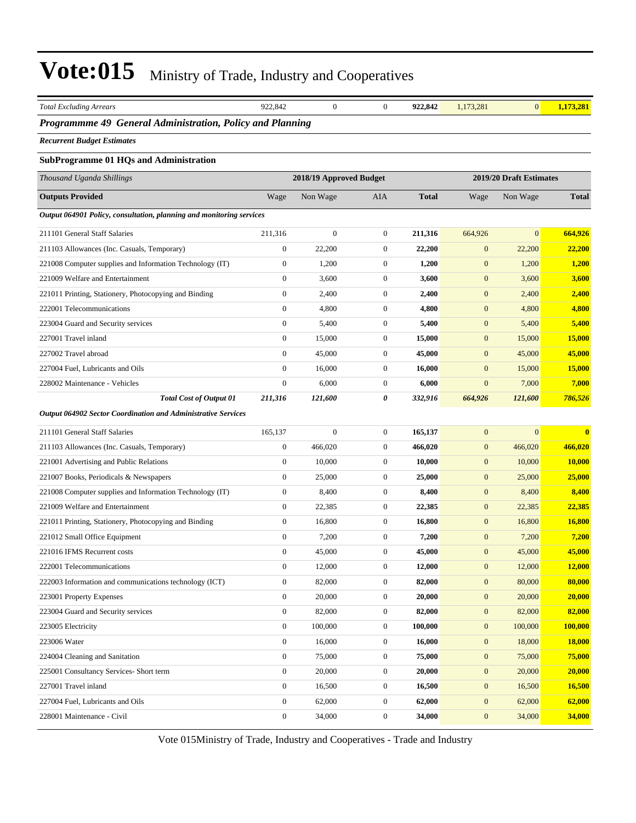| <b>Total Excluding Arrears</b>                                                               | 922,842                          | $\boldsymbol{0}$        | $\mathbf{0}$          | 922,842      | 1,173,281                        | $\mathbf{0}$            | 1,173,281      |
|----------------------------------------------------------------------------------------------|----------------------------------|-------------------------|-----------------------|--------------|----------------------------------|-------------------------|----------------|
| Programmme 49 General Administration, Policy and Planning                                    |                                  |                         |                       |              |                                  |                         |                |
| <b>Recurrent Budget Estimates</b>                                                            |                                  |                         |                       |              |                                  |                         |                |
| <b>SubProgramme 01 HQs and Administration</b>                                                |                                  |                         |                       |              |                                  |                         |                |
| Thousand Uganda Shillings                                                                    |                                  | 2018/19 Approved Budget |                       |              |                                  | 2019/20 Draft Estimates |                |
| <b>Outputs Provided</b>                                                                      | Wage                             | Non Wage                | AIA                   | <b>Total</b> | Wage                             | Non Wage                | <b>Total</b>   |
| Output 064901 Policy, consultation, planning and monitoring services                         |                                  |                         |                       |              |                                  |                         |                |
| 211101 General Staff Salaries                                                                | 211,316                          | $\boldsymbol{0}$        | $\mathbf{0}$          | 211,316      | 664,926                          | $\overline{0}$          | 664,926        |
|                                                                                              | $\mathbf{0}$                     | 22,200                  | $\boldsymbol{0}$      | 22,200       | $\boldsymbol{0}$                 | 22,200                  | 22,200         |
| 211103 Allowances (Inc. Casuals, Temporary)                                                  |                                  |                         |                       |              |                                  |                         |                |
| 221008 Computer supplies and Information Technology (IT)<br>221009 Welfare and Entertainment | $\mathbf{0}$<br>$\boldsymbol{0}$ | 1,200<br>3,600          | 0<br>$\boldsymbol{0}$ | 1,200        | $\mathbf{0}$<br>$\boldsymbol{0}$ | 1,200                   | 1,200<br>3,600 |
|                                                                                              | $\boldsymbol{0}$                 |                         | $\mathbf{0}$          | 3,600        |                                  | 3,600                   |                |
| 221011 Printing, Stationery, Photocopying and Binding                                        |                                  | 2,400                   |                       | 2,400        | $\boldsymbol{0}$                 | 2,400                   | 2,400          |
| 222001 Telecommunications                                                                    | $\boldsymbol{0}$                 | 4,800                   | $\mathbf{0}$          | 4,800        | $\boldsymbol{0}$                 | 4,800                   | 4,800          |
| 223004 Guard and Security services                                                           | $\mathbf{0}$                     | 5,400                   | $\overline{0}$        | 5,400        | $\boldsymbol{0}$                 | 5,400                   | 5,400          |
| 227001 Travel inland                                                                         | $\boldsymbol{0}$                 | 15,000                  | $\boldsymbol{0}$      | 15,000       | $\mathbf{0}$                     | 15,000                  | 15,000         |
| 227002 Travel abroad                                                                         | $\overline{0}$                   | 45,000                  | $\mathbf{0}$          | 45,000       | $\boldsymbol{0}$                 | 45,000                  | 45,000         |
| 227004 Fuel, Lubricants and Oils                                                             | $\boldsymbol{0}$                 | 16,000                  | $\mathbf{0}$          | 16,000       | $\boldsymbol{0}$                 | 15,000                  | 15,000         |
| 228002 Maintenance - Vehicles                                                                | $\boldsymbol{0}$                 | 6,000                   | $\mathbf{0}$          | 6,000        | $\mathbf{0}$                     | 7,000                   | 7,000          |
| <b>Total Cost of Output 01</b>                                                               | 211,316                          | 121,600                 | 0                     | 332,916      | 664,926                          | 121,600                 | 786,526        |
| Output 064902 Sector Coordination and Administrative Services                                |                                  |                         |                       |              |                                  |                         |                |
| 211101 General Staff Salaries                                                                | 165,137                          | $\boldsymbol{0}$        | $\mathbf{0}$          | 165,137      | $\boldsymbol{0}$                 | $\overline{0}$          | $\bf{0}$       |
| 211103 Allowances (Inc. Casuals, Temporary)                                                  | $\boldsymbol{0}$                 | 466,020                 | $\overline{0}$        | 466,020      | $\boldsymbol{0}$                 | 466,020                 | 466,020        |
| 221001 Advertising and Public Relations                                                      | $\boldsymbol{0}$                 | 10,000                  | $\mathbf{0}$          | 10,000       | $\boldsymbol{0}$                 | 10,000                  | 10,000         |
| 221007 Books, Periodicals & Newspapers                                                       | $\boldsymbol{0}$                 | 25,000                  | $\mathbf{0}$          | 25,000       | $\boldsymbol{0}$                 | 25,000                  | 25,000         |
| 221008 Computer supplies and Information Technology (IT)                                     | $\boldsymbol{0}$                 | 8,400                   | $\mathbf{0}$          | 8,400        | $\mathbf{0}$                     | 8,400                   | 8,400          |
| 221009 Welfare and Entertainment                                                             | $\boldsymbol{0}$                 | 22,385                  | $\mathbf{0}$          | 22,385       | $\boldsymbol{0}$                 | 22,385                  | 22,385         |
| 221011 Printing, Stationery, Photocopying and Binding                                        | $\boldsymbol{0}$                 | 16,800                  | $\mathbf{0}$          | 16,800       | $\boldsymbol{0}$                 | 16,800                  | 16,800         |
| 221012 Small Office Equipment                                                                | $\boldsymbol{0}$                 | 7,200                   | $\boldsymbol{0}$      | 7,200        | $\boldsymbol{0}$                 | 7,200                   | 7,200          |
| 221016 IFMS Recurrent costs                                                                  | $\boldsymbol{0}$                 | 45,000                  | $\mathbf{0}$          | 45,000       | $\mathbf{0}$                     | 45,000                  | 45,000         |
| 222001 Telecommunications                                                                    | $\boldsymbol{0}$                 | 12,000                  | $\boldsymbol{0}$      | 12,000       | $\boldsymbol{0}$                 | 12,000                  | 12,000         |
| 222003 Information and communications technology (ICT)                                       | $\mathbf{0}$                     | 82,000                  | $\boldsymbol{0}$      | 82,000       | $\boldsymbol{0}$                 | 80,000                  | 80,000         |
| 223001 Property Expenses                                                                     | $\boldsymbol{0}$                 | 20,000                  | $\boldsymbol{0}$      | 20,000       | $\boldsymbol{0}$                 | 20,000                  | 20,000         |
| 223004 Guard and Security services                                                           | $\boldsymbol{0}$                 | 82,000                  | $\boldsymbol{0}$      | 82,000       | $\boldsymbol{0}$                 | 82,000                  | 82,000         |
| 223005 Electricity                                                                           | $\boldsymbol{0}$                 | 100,000                 | $\boldsymbol{0}$      | 100,000      | $\mathbf{0}$                     | 100,000                 | 100,000        |
| 223006 Water                                                                                 | $\boldsymbol{0}$                 | 16,000                  | $\mathbf{0}$          | 16,000       | $\mathbf{0}$                     | 18,000                  | <b>18,000</b>  |
| 224004 Cleaning and Sanitation                                                               | $\mathbf{0}$                     | 75,000                  | $\overline{0}$        | 75,000       | $\boldsymbol{0}$                 | 75,000                  | 75,000         |
| 225001 Consultancy Services- Short term                                                      | $\boldsymbol{0}$                 | 20,000                  | $\boldsymbol{0}$      | 20,000       | $\boldsymbol{0}$                 | 20,000                  | 20,000         |
| 227001 Travel inland                                                                         | $\boldsymbol{0}$                 | 16,500                  | $\boldsymbol{0}$      | 16,500       | $\mathbf{0}$                     | 16,500                  | 16,500         |
| 227004 Fuel, Lubricants and Oils                                                             | $\boldsymbol{0}$                 | 62,000                  | $\boldsymbol{0}$      | 62,000       | $\boldsymbol{0}$                 | 62,000                  | 62,000         |
| 228001 Maintenance - Civil                                                                   | $\boldsymbol{0}$                 | 34,000                  | $\boldsymbol{0}$      | 34,000       | $\mathbf{0}$                     | 34,000                  | 34,000         |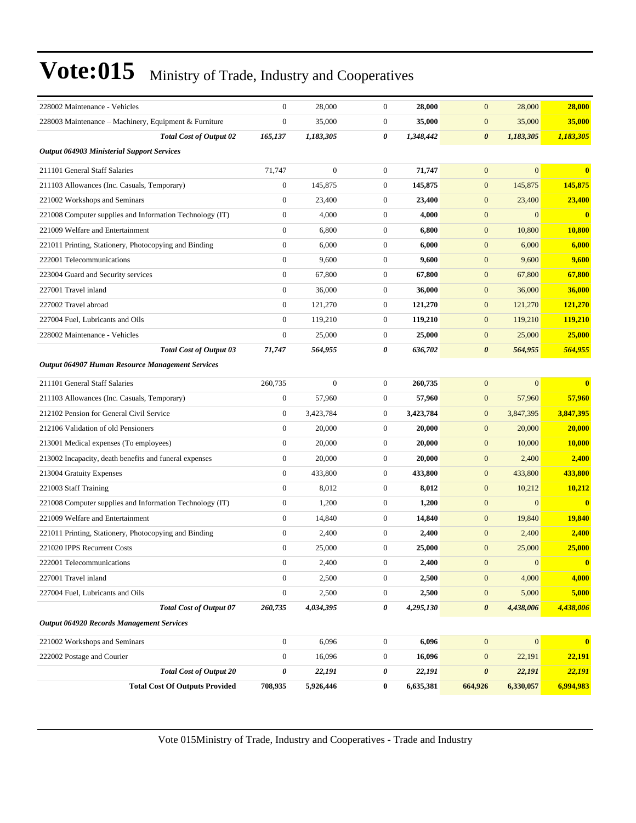| 228002 Maintenance - Vehicles                            | 0                | 28,000           | $\boldsymbol{0}$ | 28,000    | $\mathbf{0}$<br>28,000             | 28,000                                  |
|----------------------------------------------------------|------------------|------------------|------------------|-----------|------------------------------------|-----------------------------------------|
| 228003 Maintenance – Machinery, Equipment & Furniture    | $\boldsymbol{0}$ | 35,000           | $\mathbf{0}$     | 35,000    | 35,000<br>$\mathbf{0}$             | 35,000                                  |
| <b>Total Cost of Output 02</b>                           | 165,137          | 1,183,305        | 0                | 1,348,442 | $\boldsymbol{\theta}$<br>1,183,305 | 1,183,305                               |
| <b>Output 064903 Ministerial Support Services</b>        |                  |                  |                  |           |                                    |                                         |
| 211101 General Staff Salaries                            | 71,747           | $\boldsymbol{0}$ | $\mathbf{0}$     | 71,747    | $\mathbf{0}$                       | $\mathbf{0}$<br>$\overline{\mathbf{0}}$ |
| 211103 Allowances (Inc. Casuals, Temporary)              | $\boldsymbol{0}$ | 145,875          | $\mathbf{0}$     | 145,875   | $\mathbf{0}$<br>145,875            | 145,875                                 |
| 221002 Workshops and Seminars                            | $\boldsymbol{0}$ | 23,400           | $\mathbf{0}$     | 23,400    | $\mathbf{0}$<br>23,400             | 23,400                                  |
| 221008 Computer supplies and Information Technology (IT) | $\overline{0}$   | 4,000            | $\mathbf{0}$     | 4,000     | $\mathbf{0}$                       | $\mathbf{0}$<br>$\mathbf{0}$            |
| 221009 Welfare and Entertainment                         | $\boldsymbol{0}$ | 6,800            | $\mathbf{0}$     | 6,800     | 10,800<br>$\mathbf{0}$             | 10,800                                  |
| 221011 Printing, Stationery, Photocopying and Binding    | $\boldsymbol{0}$ | 6,000            | $\boldsymbol{0}$ | 6,000     | $\mathbf{0}$<br>6,000              | 6,000                                   |
| 222001 Telecommunications                                | $\boldsymbol{0}$ | 9,600            | $\mathbf{0}$     | 9,600     | $\mathbf{0}$<br>9,600              | 9,600                                   |
| 223004 Guard and Security services                       | $\boldsymbol{0}$ | 67,800           | $\mathbf{0}$     | 67,800    | $\mathbf{0}$<br>67,800             | 67,800                                  |
| 227001 Travel inland                                     | $\overline{0}$   | 36,000           | $\mathbf{0}$     | 36,000    | $\mathbf{0}$<br>36,000             | 36,000                                  |
| 227002 Travel abroad                                     | $\boldsymbol{0}$ | 121,270          | $\boldsymbol{0}$ | 121,270   | 121,270<br>$\mathbf{0}$            | 121,270                                 |
| 227004 Fuel, Lubricants and Oils                         | $\overline{0}$   | 119,210          | $\mathbf{0}$     | 119,210   | $\mathbf{0}$<br>119,210            | <b>119,210</b>                          |
| 228002 Maintenance - Vehicles                            | $\boldsymbol{0}$ | 25,000           | $\mathbf{0}$     | 25,000    | $\mathbf{0}$<br>25,000             | 25,000                                  |
| <b>Total Cost of Output 03</b>                           | 71,747           | 564,955          | 0                | 636,702   | $\boldsymbol{\theta}$<br>564,955   | 564,955                                 |
| Output 064907 Human Resource Management Services         |                  |                  |                  |           |                                    |                                         |
| 211101 General Staff Salaries                            | 260,735          | $\boldsymbol{0}$ | $\mathbf{0}$     | 260,735   | $\mathbf{0}$                       | $\mathbf{0}$<br>$\mathbf{0}$            |
| 211103 Allowances (Inc. Casuals, Temporary)              | $\boldsymbol{0}$ | 57,960           | $\boldsymbol{0}$ | 57,960    | 57,960<br>$\mathbf{0}$             | 57,960                                  |
| 212102 Pension for General Civil Service                 | $\boldsymbol{0}$ | 3,423,784        | $\mathbf{0}$     | 3,423,784 | $\mathbf{0}$<br>3,847,395          | 3,847,395                               |
| 212106 Validation of old Pensioners                      | $\boldsymbol{0}$ | 20,000           | $\mathbf{0}$     | 20,000    | $\mathbf{0}$<br>20,000             | 20,000                                  |
| 213001 Medical expenses (To employees)                   | $\boldsymbol{0}$ | 20,000           | $\mathbf{0}$     | 20,000    | $\mathbf{0}$<br>10,000             | <b>10,000</b>                           |
| 213002 Incapacity, death benefits and funeral expenses   | $\boldsymbol{0}$ | 20,000           | $\mathbf{0}$     | 20,000    | $\mathbf{0}$<br>2,400              | 2,400                                   |
| 213004 Gratuity Expenses                                 | $\boldsymbol{0}$ | 433,800          | $\mathbf{0}$     | 433,800   | 433,800<br>$\mathbf{0}$            | 433,800                                 |
| 221003 Staff Training                                    | $\overline{0}$   | 8,012            | $\boldsymbol{0}$ | 8,012     | $\boldsymbol{0}$<br>10,212         | 10,212                                  |
| 221008 Computer supplies and Information Technology (IT) | $\boldsymbol{0}$ | 1,200            | $\mathbf{0}$     | 1,200     | $\mathbf{0}$                       | $\mathbf{0}$<br>$\overline{\mathbf{0}}$ |
| 221009 Welfare and Entertainment                         | $\boldsymbol{0}$ | 14,840           | $\boldsymbol{0}$ | 14,840    | 19,840<br>$\mathbf{0}$             | 19,840                                  |
| 221011 Printing, Stationery, Photocopying and Binding    | $\boldsymbol{0}$ | 2,400            | $\mathbf{0}$     | 2,400     | 2,400<br>$\mathbf{0}$              | 2,400                                   |
| 221020 IPPS Recurrent Costs                              | $\boldsymbol{0}$ | 25,000           | 0                | 25,000    | 25,000<br>$\mathbf{0}$             | 25,000                                  |
| 222001 Telecommunications                                | $\boldsymbol{0}$ | 2,400            | $\boldsymbol{0}$ | 2,400     | $\boldsymbol{0}$                   | $\boldsymbol{0}$<br>$\mathbf{0}$        |
| 227001 Travel inland                                     | $\boldsymbol{0}$ | 2,500            | $\boldsymbol{0}$ | 2,500     | $\boldsymbol{0}$<br>4,000          | 4,000                                   |
| 227004 Fuel, Lubricants and Oils                         | $\boldsymbol{0}$ | 2,500            | $\boldsymbol{0}$ | 2,500     | $\boldsymbol{0}$<br>5,000          | 5,000                                   |
| <b>Total Cost of Output 07</b>                           | 260,735          | 4,034,395        | 0                | 4,295,130 | 4,438,006<br>$\boldsymbol{\theta}$ | 4,438,006                               |
| <b>Output 064920 Records Management Services</b>         |                  |                  |                  |           |                                    |                                         |
| 221002 Workshops and Seminars                            | $\boldsymbol{0}$ | 6,096            | $\boldsymbol{0}$ | 6,096     | $\mathbf{0}$                       | $\boldsymbol{0}$<br>$\bf{0}$            |
| 222002 Postage and Courier                               | $\boldsymbol{0}$ | 16,096           | $\boldsymbol{0}$ | 16,096    | $\boldsymbol{0}$<br>22,191         | 22,191                                  |
| <b>Total Cost of Output 20</b>                           | 0                | 22,191           | 0                | 22,191    | 22,191<br>$\boldsymbol{\theta}$    | 22,191                                  |
| <b>Total Cost Of Outputs Provided</b>                    | 708,935          | 5,926,446        | $\bf{0}$         | 6,635,381 | 6,330,057<br>664,926               | 6,994,983                               |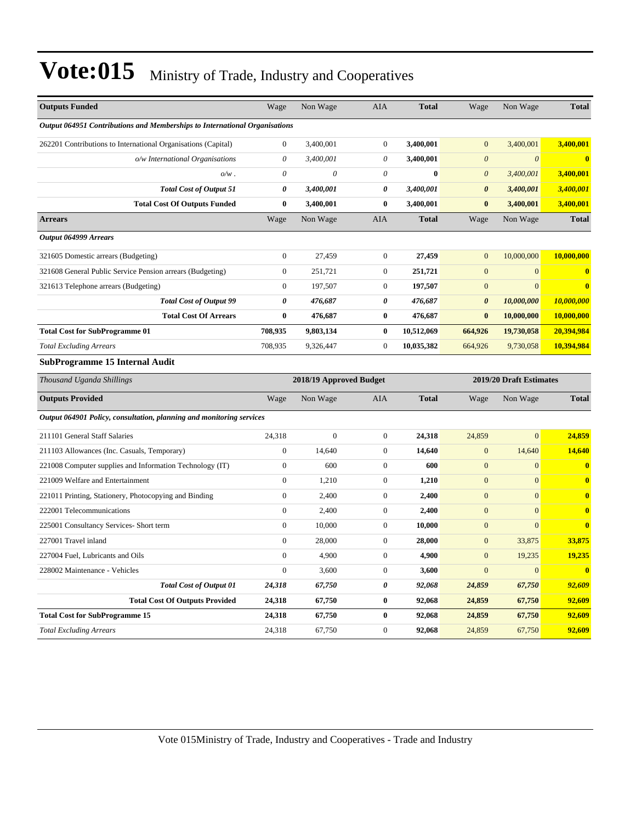| <b>Outputs Funded</b>                                                      |                                       | Wage                  | Non Wage                | AIA              | <b>Total</b> | Wage                  | Non Wage                | <b>Total</b>            |
|----------------------------------------------------------------------------|---------------------------------------|-----------------------|-------------------------|------------------|--------------|-----------------------|-------------------------|-------------------------|
| Output 064951 Contributions and Memberships to International Organisations |                                       |                       |                         |                  |              |                       |                         |                         |
| 262201 Contributions to International Organisations (Capital)              |                                       | $\boldsymbol{0}$      | 3,400,001               | $\boldsymbol{0}$ | 3,400,001    | $\mathbf{0}$          | 3,400,001               | 3,400,001               |
|                                                                            | o/w International Organisations       | $\boldsymbol{\theta}$ | 3,400,001               | 0                | 3,400,001    | $\boldsymbol{0}$      | $\boldsymbol{0}$        | $\overline{\mathbf{0}}$ |
|                                                                            | $o/w$ .                               | $\theta$              | $\theta$                | $\theta$         | $\bf{0}$     | $\boldsymbol{0}$      | 3,400,001               | 3,400,001               |
|                                                                            | <b>Total Cost of Output 51</b>        | $\boldsymbol{\theta}$ | 3,400,001               | 0                | 3,400,001    | $\boldsymbol{\theta}$ | 3,400,001               | 3,400,001               |
|                                                                            | <b>Total Cost Of Outputs Funded</b>   | $\bf{0}$              | 3,400,001               | $\bf{0}$         | 3,400,001    | $\bf{0}$              | 3,400,001               | 3,400,001               |
| <b>Arrears</b>                                                             |                                       | Wage                  | Non Wage                | AIA              | <b>Total</b> | Wage                  | Non Wage                | <b>Total</b>            |
| Output 064999 Arrears                                                      |                                       |                       |                         |                  |              |                       |                         |                         |
| 321605 Domestic arrears (Budgeting)                                        |                                       | $\mathbf{0}$          | 27,459                  | $\boldsymbol{0}$ | 27,459       | $\mathbf{0}$          | 10,000,000              | 10,000,000              |
| 321608 General Public Service Pension arrears (Budgeting)                  |                                       | $\boldsymbol{0}$      | 251,721                 | $\boldsymbol{0}$ | 251,721      | $\boldsymbol{0}$      | $\boldsymbol{0}$        | $\bf{0}$                |
| 321613 Telephone arrears (Budgeting)                                       |                                       | $\boldsymbol{0}$      | 197,507                 | $\boldsymbol{0}$ | 197,507      | $\mathbf{0}$          | $\mathbf{0}$            | $\bf{0}$                |
|                                                                            | <b>Total Cost of Output 99</b>        | $\boldsymbol{\theta}$ | 476,687                 | 0                | 476,687      | $\boldsymbol{\theta}$ | 10,000,000              | 10,000,000              |
|                                                                            | <b>Total Cost Of Arrears</b>          | $\bf{0}$              | 476,687                 | $\bf{0}$         | 476,687      | $\bf{0}$              | 10,000,000              | 10,000,000              |
| <b>Total Cost for SubProgramme 01</b>                                      |                                       | 708,935               | 9,803,134               | $\bf{0}$         | 10,512,069   | 664,926               | 19,730,058              | 20,394,984              |
| <b>Total Excluding Arrears</b>                                             |                                       | 708,935               | 9,326,447               | $\boldsymbol{0}$ | 10,035,382   | 664,926               | 9,730,058               | 10,394,984              |
|                                                                            |                                       |                       |                         |                  |              |                       |                         |                         |
| SubProgramme 15 Internal Audit                                             |                                       |                       |                         |                  |              |                       |                         |                         |
| Thousand Uganda Shillings                                                  |                                       |                       | 2018/19 Approved Budget |                  |              |                       | 2019/20 Draft Estimates |                         |
| <b>Outputs Provided</b>                                                    |                                       | Wage                  | Non Wage                | <b>AIA</b>       | <b>Total</b> | Wage                  | Non Wage                | <b>Total</b>            |
| Output 064901 Policy, consultation, planning and monitoring services       |                                       |                       |                         |                  |              |                       |                         |                         |
| 211101 General Staff Salaries                                              |                                       | 24,318                | $\mathbf{0}$            | $\boldsymbol{0}$ | 24,318       | 24,859                | $\overline{0}$          | 24,859                  |
| 211103 Allowances (Inc. Casuals, Temporary)                                |                                       | $\boldsymbol{0}$      | 14,640                  | $\boldsymbol{0}$ | 14,640       | $\boldsymbol{0}$      | 14,640                  | 14,640                  |
| 221008 Computer supplies and Information Technology (IT)                   |                                       | $\boldsymbol{0}$      | 600                     | $\boldsymbol{0}$ | 600          | $\mathbf{0}$          | $\boldsymbol{0}$        | $\mathbf{0}$            |
| 221009 Welfare and Entertainment                                           |                                       | $\mathbf{0}$          | 1,210                   | $\boldsymbol{0}$ | 1,210        | $\mathbf{0}$          | $\overline{0}$          | $\mathbf{0}$            |
| 221011 Printing, Stationery, Photocopying and Binding                      |                                       | $\boldsymbol{0}$      | 2,400                   | $\boldsymbol{0}$ | 2,400        | $\boldsymbol{0}$      | $\overline{0}$          | $\bf{0}$                |
| 222001 Telecommunications                                                  |                                       | $\mathbf{0}$          | 2,400                   | $\boldsymbol{0}$ | 2,400        | $\mathbf{0}$          | $\mathbf{0}$            | $\bf{0}$                |
| 225001 Consultancy Services- Short term                                    |                                       | $\boldsymbol{0}$      | 10,000                  | $\boldsymbol{0}$ | 10,000       | $\mathbf{0}$          | $\mathbf{0}$            | $\bf{0}$                |
| 227001 Travel inland                                                       |                                       | $\mathbf{0}$          | 28,000                  | $\boldsymbol{0}$ | 28,000       | $\mathbf{0}$          | 33,875                  | 33,875                  |
| 227004 Fuel, Lubricants and Oils                                           |                                       | $\mathbf{0}$          | 4,900                   | $\overline{0}$   | 4,900        | $\overline{0}$        | 19,235                  | 19,235                  |
| 228002 Maintenance - Vehicles                                              |                                       | $\mathbf{0}$          | 3,600                   | $\overline{0}$   | 3,600        | $\mathbf{0}$          | $\mathbf{0}$            | $\overline{\mathbf{0}}$ |
|                                                                            | <b>Total Cost of Output 01</b>        | 24,318                | 67,750                  | 0                | 92,068       | 24,859                | 67,750                  | 92,609                  |
|                                                                            | <b>Total Cost Of Outputs Provided</b> | 24,318                | 67,750                  | $\bf{0}$         | 92,068       | 24,859                | 67,750                  | 92,609                  |
| <b>Total Cost for SubProgramme 15</b>                                      |                                       | 24,318                | 67,750                  | $\bf{0}$         | 92,068       | 24,859                | 67,750                  | 92,609                  |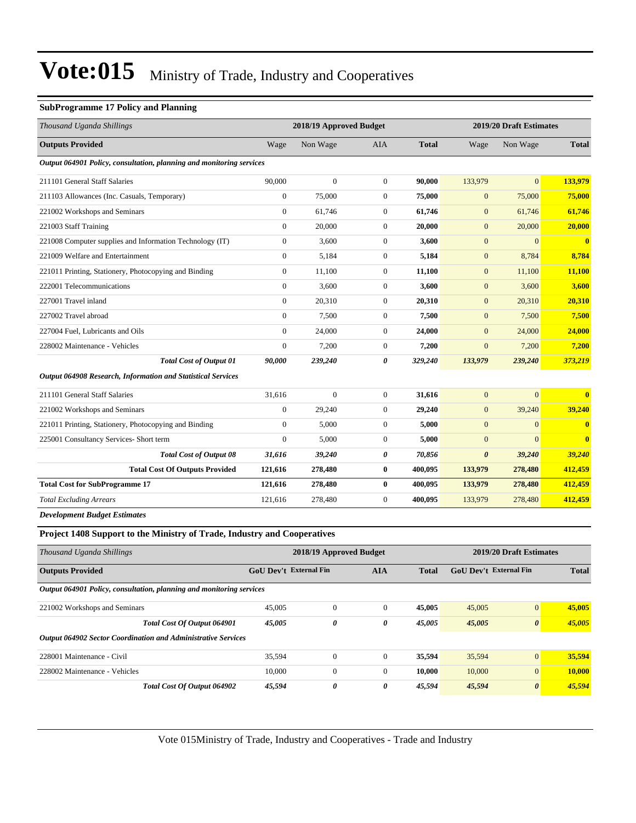#### **SubProgramme 17 Policy and Planning**

| Thousand Uganda Shillings                                                | 2018/19 Approved Budget              |                  |                  |                               | 2019/20 Draft Estimates |                  |               |
|--------------------------------------------------------------------------|--------------------------------------|------------------|------------------|-------------------------------|-------------------------|------------------|---------------|
| <b>Outputs Provided</b>                                                  | Wage                                 | Non Wage         | AIA              | <b>Total</b>                  | Wage                    | Non Wage         | <b>Total</b>  |
| Output 064901 Policy, consultation, planning and monitoring services     |                                      |                  |                  |                               |                         |                  |               |
| 211101 General Staff Salaries                                            | 90,000                               | $\boldsymbol{0}$ | $\mathbf{0}$     | 90,000                        | 133,979                 | $\overline{0}$   | 133,979       |
| 211103 Allowances (Inc. Casuals, Temporary)                              | $\overline{0}$                       | 75,000           | $\mathbf{0}$     | 75,000                        | $\mathbf{0}$            | 75,000           | 75,000        |
| 221002 Workshops and Seminars                                            | $\boldsymbol{0}$                     | 61,746           | $\mathbf{0}$     | 61,746                        | $\boldsymbol{0}$        | 61,746           | 61,746        |
| 221003 Staff Training                                                    | $\boldsymbol{0}$                     | 20,000           | $\boldsymbol{0}$ | 20,000                        | $\mathbf{0}$            | 20,000           | 20,000        |
| 221008 Computer supplies and Information Technology (IT)                 | $\mathbf{0}$                         | 3,600            | $\mathbf{0}$     | 3,600                         | $\mathbf{0}$            | $\overline{0}$   | $\bf{0}$      |
| 221009 Welfare and Entertainment                                         | $\mathbf{0}$                         | 5,184            | $\mathbf{0}$     | 5,184                         | $\mathbf{0}$            | 8,784            | 8,784         |
| 221011 Printing, Stationery, Photocopying and Binding                    | $\mathbf{0}$                         | 11,100           | $\mathbf{0}$     | 11,100                        | $\boldsymbol{0}$        | 11,100           | 11,100        |
| 222001 Telecommunications                                                | $\boldsymbol{0}$                     | 3,600            | $\mathbf{0}$     | 3,600                         | $\mathbf{0}$            | 3,600            | 3,600         |
| 227001 Travel inland                                                     | $\boldsymbol{0}$                     | 20,310           | $\boldsymbol{0}$ | 20,310                        | $\mathbf{0}$            | 20,310           | 20,310        |
| 227002 Travel abroad                                                     | $\mathbf{0}$                         | 7,500            | $\mathbf{0}$     | 7,500                         | $\mathbf{0}$            | 7,500            | 7,500         |
| 227004 Fuel, Lubricants and Oils                                         | $\boldsymbol{0}$                     | 24,000           | $\mathbf{0}$     | 24,000                        | $\mathbf{0}$            | 24,000           | <b>24,000</b> |
| 228002 Maintenance - Vehicles                                            | $\boldsymbol{0}$                     | 7,200            | $\boldsymbol{0}$ | 7,200                         | $\mathbf{0}$            | 7,200            | 7,200         |
| <b>Total Cost of Output 01</b>                                           | 90,000                               | 239,240          | 0                | 329,240                       | 133,979                 | 239,240          | 373,219       |
| Output 064908 Research, Information and Statistical Services             |                                      |                  |                  |                               |                         |                  |               |
| 211101 General Staff Salaries                                            | 31,616                               | $\boldsymbol{0}$ | $\mathbf{0}$     | 31,616                        | $\mathbf{0}$            | $\overline{0}$   | $\bf{0}$      |
| 221002 Workshops and Seminars                                            | $\mathbf{0}$                         | 29,240           | $\mathbf{0}$     | 29,240                        | $\mathbf{0}$            | 39,240           | 39,240        |
| 221011 Printing, Stationery, Photocopying and Binding                    | $\mathbf{0}$                         | 5,000            | $\boldsymbol{0}$ | 5,000                         | $\mathbf{0}$            | $\mathbf{0}$     | $\bf{0}$      |
| 225001 Consultancy Services- Short term                                  | $\boldsymbol{0}$                     | 5,000            | $\mathbf{0}$     | 5,000                         | $\mathbf{0}$            | $\overline{0}$   | $\bf{0}$      |
| Total Cost of Output 08                                                  | 31,616                               | 39,240           | 0                | 70,856                        | $\boldsymbol{\theta}$   | 39,240           | <b>39,240</b> |
| <b>Total Cost Of Outputs Provided</b>                                    | 121,616                              | 278,480          | $\bf{0}$         | 400,095                       | 133,979                 | 278,480          | 412,459       |
| <b>Total Cost for SubProgramme 17</b>                                    | 121,616                              | 278,480          | $\bf{0}$         | 400,095                       | 133,979                 | 278,480          | 412,459       |
| <b>Total Excluding Arrears</b>                                           | 121,616                              | 278,480          | $\boldsymbol{0}$ | 400,095                       | 133,979                 | 278,480          | 412,459       |
| <b>Development Budget Estimates</b>                                      |                                      |                  |                  |                               |                         |                  |               |
| Project 1408 Support to the Ministry of Trade, Industry and Cooperatives |                                      |                  |                  |                               |                         |                  |               |
| Thousand Uganda Shillings                                                | 2018/19 Approved Budget              |                  |                  | 2019/20 Draft Estimates       |                         |                  |               |
| <b>Outputs Provided</b>                                                  | GoU Dev't External Fin<br><b>AIA</b> |                  | <b>Total</b>     | <b>GoU Dev't External Fin</b> |                         | <b>Total</b>     |               |
| Output 064901 Policy, consultation, planning and monitoring services     |                                      |                  |                  |                               |                         |                  |               |
| 221002 Workshops and Seminars                                            | 45,005                               | $\boldsymbol{0}$ | $\boldsymbol{0}$ | 45,005                        | 45,005                  | $\boldsymbol{0}$ | 45,005        |
| Total Cost Of Output 064901                                              | 45,005                               | 0                | $\pmb{\theta}$   | 45,005                        | 45,005                  | $\pmb{\theta}$   | 45,005        |
| Output 064902 Sector Coordination and Administrative Services            |                                      |                  |                  |                               |                         |                  |               |
| 228001 Maintenance - Civil                                               | 35,594                               | $\boldsymbol{0}$ | $\boldsymbol{0}$ | 35,594                        | 35,594                  | 0                | 35,594        |

228002 Maintenance - Vehicles 10,000 0 0 **10,000** 10,000 0 **10,000**

*Total Cost Of Output 064902 45,594 0 0 45,594 45,594 0 45,594*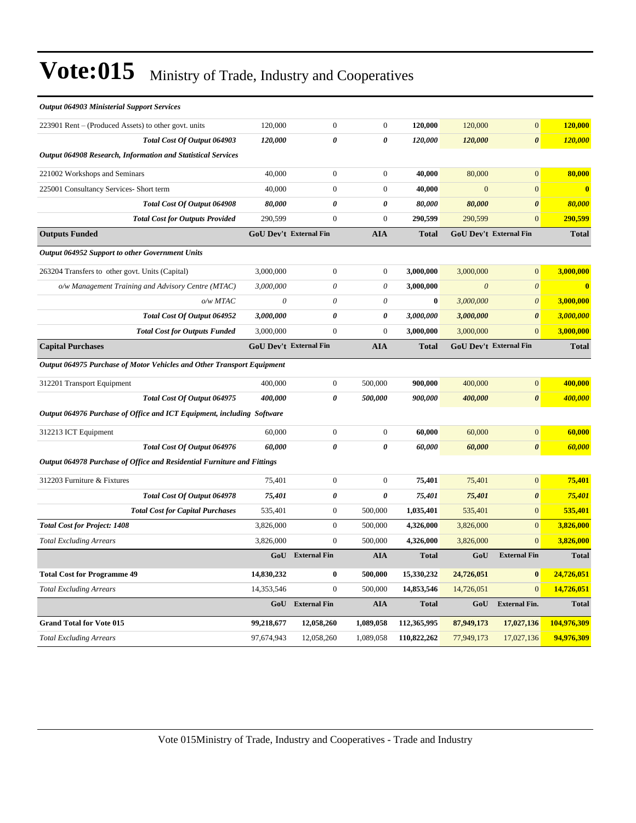| <b>Output 064903 Ministerial Support Services</b>                       |            |                               |                           |              |                       |                        |                |
|-------------------------------------------------------------------------|------------|-------------------------------|---------------------------|--------------|-----------------------|------------------------|----------------|
| 223901 Rent – (Produced Assets) to other govt. units                    | 120,000    | $\boldsymbol{0}$              | $\boldsymbol{0}$          | 120,000      | 120,000               | $\overline{0}$         | 120,000        |
| Total Cost Of Output 064903                                             | 120,000    | 0                             | 0                         | 120,000      | 120,000               | $\boldsymbol{\theta}$  | <b>120,000</b> |
| Output 064908 Research, Information and Statistical Services            |            |                               |                           |              |                       |                        |                |
| 221002 Workshops and Seminars                                           | 40,000     | $\boldsymbol{0}$              | $\boldsymbol{0}$          | 40,000       | 80,000                | $\overline{0}$         | 80,000         |
| 225001 Consultancy Services- Short term                                 | 40,000     | $\boldsymbol{0}$              | $\boldsymbol{0}$          | 40,000       | $\overline{0}$        | $\overline{0}$         | $\bf{0}$       |
| Total Cost Of Output 064908                                             | 80,000     | 0                             | 0                         | 80,000       | 80,000                | $\boldsymbol{\theta}$  | 80,000         |
| <b>Total Cost for Outputs Provided</b>                                  | 290,599    | $\overline{0}$                | $\theta$                  | 290,599      | 290,599               | $\overline{0}$         | 290,599        |
| <b>Outputs Funded</b>                                                   |            | GoU Dev't External Fin        | <b>AIA</b>                | <b>Total</b> |                       | GoU Dev't External Fin | <b>Total</b>   |
| Output 064952 Support to other Government Units                         |            |                               |                           |              |                       |                        |                |
| 263204 Transfers to other govt. Units (Capital)                         | 3,000,000  | $\boldsymbol{0}$              | $\boldsymbol{0}$          | 3,000,000    | 3,000,000             | $\overline{0}$         | 3,000,000      |
| o/w Management Training and Advisory Centre (MTAC)                      | 3,000,000  | 0                             | $\theta$                  | 3,000,000    | $\boldsymbol{\theta}$ | $\boldsymbol{\theta}$  | $\mathbf{0}$   |
| o/w MTAC                                                                | $\theta$   | $\theta$                      | $\boldsymbol{\mathit{0}}$ | $\bf{0}$     | 3,000,000             | $\theta$               | 3,000,000      |
| Total Cost Of Output 064952                                             | 3,000,000  | 0                             | 0                         | 3,000,000    | 3,000,000             | $\boldsymbol{\theta}$  | 3,000,000      |
| <b>Total Cost for Outputs Funded</b>                                    | 3,000,000  | $\overline{0}$                | $\theta$                  | 3,000,000    | 3,000,000             | $\overline{0}$         | 3,000,000      |
| <b>Capital Purchases</b>                                                |            | <b>GoU Dev't External Fin</b> | <b>AIA</b>                | <b>Total</b> |                       | GoU Dev't External Fin | <b>Total</b>   |
| Output 064975 Purchase of Motor Vehicles and Other Transport Equipment  |            |                               |                           |              |                       |                        |                |
| 312201 Transport Equipment                                              | 400,000    | $\boldsymbol{0}$              | 500,000                   | 900,000      | 400,000               | $\overline{0}$         | 400,000        |
| Total Cost Of Output 064975                                             | 400,000    | 0                             | 500,000                   | 900,000      | 400,000               | $\boldsymbol{\theta}$  | 400,000        |
| Output 064976 Purchase of Office and ICT Equipment, including Software  |            |                               |                           |              |                       |                        |                |
| 312213 ICT Equipment                                                    | 60,000     | $\boldsymbol{0}$              | $\theta$                  | 60,000       | 60,000                | $\boldsymbol{0}$       | 60,000         |
| Total Cost Of Output 064976                                             | 60.000     | $\theta$                      | $\theta$                  | 60,000       | 60,000                | $\pmb{\theta}$         | 60,000         |
| Output 064978 Purchase of Office and Residential Furniture and Fittings |            |                               |                           |              |                       |                        |                |
| 312203 Furniture & Fixtures                                             | 75,401     | $\boldsymbol{0}$              | $\boldsymbol{0}$          | 75,401       | 75,401                | $\overline{0}$         | 75,401         |
| Total Cost Of Output 064978                                             | 75,401     | 0                             | 0                         | 75,401       | 75,401                | $\boldsymbol{\theta}$  | 75,401         |
| <b>Total Cost for Capital Purchases</b>                                 | 535,401    | $\boldsymbol{0}$              | 500,000                   | 1,035,401    | 535,401               | $\overline{0}$         | 535,401        |
| <b>Total Cost for Project: 1408</b>                                     | 3,826,000  | $\boldsymbol{0}$              | 500,000                   | 4,326,000    | 3,826,000             | $\overline{0}$         | 3,826,000      |
| <b>Total Excluding Arrears</b>                                          | 3,826,000  | $\boldsymbol{0}$              | 500,000                   | 4,326,000    | 3,826,000             | $\overline{0}$         | 3,826,000      |
|                                                                         | GoU        | <b>External Fin</b>           | <b>AIA</b>                | <b>Total</b> | GoU                   | <b>External Fin</b>    | <b>Total</b>   |
| <b>Total Cost for Programme 49</b>                                      | 14,830,232 | $\boldsymbol{0}$              | 500,000                   | 15,330,232   | 24,726,051            | $\bf{0}$               | 24,726,051     |
| <b>Total Excluding Arrears</b>                                          | 14,353,546 | $\boldsymbol{0}$              | 500,000                   | 14,853,546   | 14,726,051            | $\overline{0}$         | 14,726,051     |
|                                                                         |            | GoU External Fin              | <b>AIA</b>                | <b>Total</b> | GoU                   | <b>External Fin.</b>   | <b>Total</b>   |
| <b>Grand Total for Vote 015</b>                                         | 99,218,677 | 12,058,260                    | 1,089,058                 | 112,365,995  | 87,949,173            | 17,027,136             | 104,976,309    |
| <b>Total Excluding Arrears</b>                                          | 97,674,943 | 12,058,260                    | 1,089,058                 | 110,822,262  | 77,949,173            | 17,027,136             | 94,976,309     |